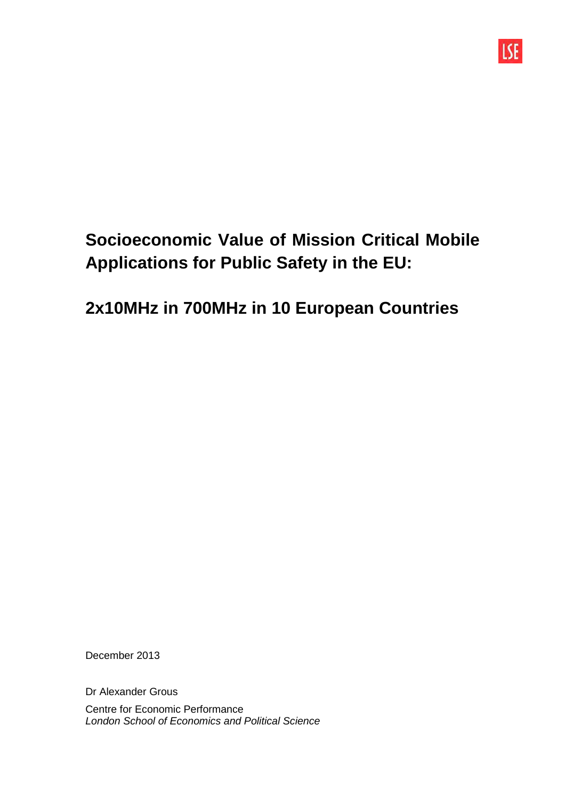

# **Socioeconomic Value of Mission Critical Mobile Applications for Public Safety in the EU:**

## **2x10MHz in 700MHz in 10 European Countries**

December 2013

Dr Alexander Grous

Centre for Economic Performance London School of Economics and Political Science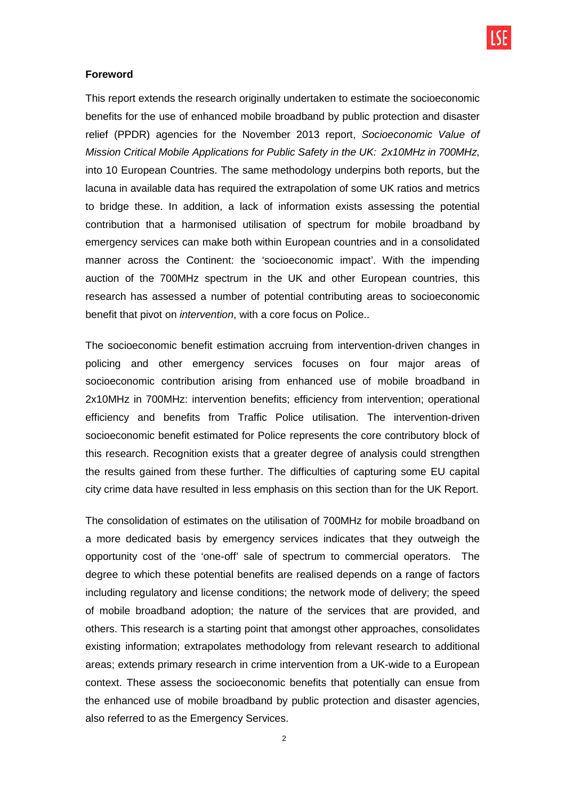#### **Foreword**

This report extends the research originally undertaken to estimate the socioeconomic benefits for the use of enhanced mobile broadband by public protection and disaster relief (PPDR) agencies for the November 2013 report, Socioeconomic Value of Mission Critical Mobile Applications for Public Safety in the UK: 2x10MHz in 700MHz, into 10 European Countries. The same methodology underpins both reports, but the lacuna in available data has required the extrapolation of some UK ratios and metrics to bridge these. In addition, a lack of information exists assessing the potential contribution that a harmonised utilisation of spectrum for mobile broadband by emergency services can make both within European countries and in a consolidated manner across the Continent: the 'socioeconomic impact'. With the impending auction of the 700MHz spectrum in the UK and other European countries, this research has assessed a number of potential contributing areas to socioeconomic benefit that pivot on intervention, with a core focus on Police..

The socioeconomic benefit estimation accruing from intervention-driven changes in policing and other emergency services focuses on four major areas of socioeconomic contribution arising from enhanced use of mobile broadband in 2x10MHz in 700MHz: intervention benefits; efficiency from intervention; operational efficiency and benefits from Traffic Police utilisation. The intervention-driven socioeconomic benefit estimated for Police represents the core contributory block of this research. Recognition exists that a greater degree of analysis could strengthen the results gained from these further. The difficulties of capturing some EU capital city crime data have resulted in less emphasis on this section than for the UK Report.

The consolidation of estimates on the utilisation of 700MHz for mobile broadband on a more dedicated basis by emergency services indicates that they outweigh the opportunity cost of the 'one-off' sale of spectrum to commercial operators. The degree to which these potential benefits are realised depends on a range of factors including regulatory and license conditions; the network mode of delivery; the speed of mobile broadband adoption; the nature of the services that are provided, and others. This research is a starting point that amongst other approaches, consolidates existing information; extrapolates methodology from relevant research to additional areas; extends primary research in crime intervention from a UK-wide to a European context. These assess the socioeconomic benefits that potentially can ensue from the enhanced use of mobile broadband by public protection and disaster agencies, also referred to as the Emergency Services.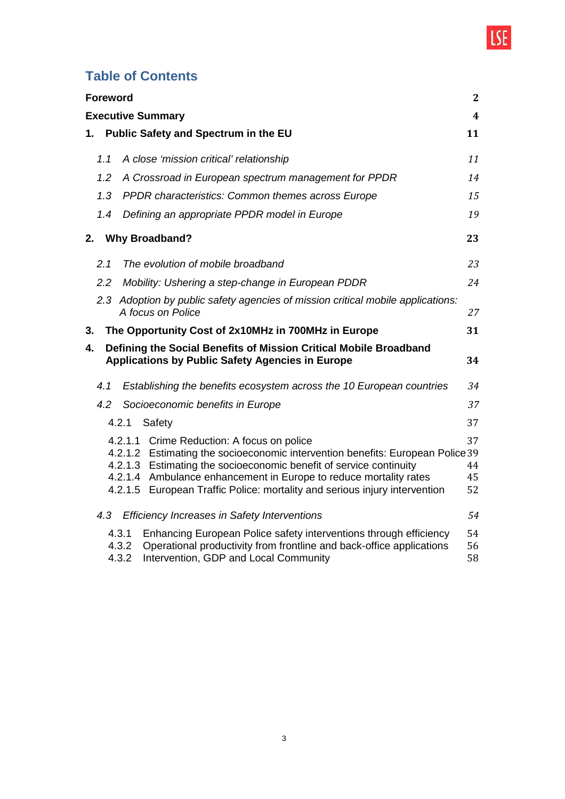

## **Table of Contents**

|    | <b>Foreword</b> |                                                                                                                                                                                                                                                                                                                                                       | $\mathbf{2}$         |
|----|-----------------|-------------------------------------------------------------------------------------------------------------------------------------------------------------------------------------------------------------------------------------------------------------------------------------------------------------------------------------------------------|----------------------|
|    |                 | <b>Executive Summary</b>                                                                                                                                                                                                                                                                                                                              | $\boldsymbol{4}$     |
| 1. |                 | Public Safety and Spectrum in the EU                                                                                                                                                                                                                                                                                                                  | 11                   |
|    | 1.1             | A close 'mission critical' relationship                                                                                                                                                                                                                                                                                                               | 11                   |
|    | 1.2             | A Crossroad in European spectrum management for PPDR                                                                                                                                                                                                                                                                                                  | 14                   |
|    | 1.3             | PPDR characteristics: Common themes across Europe                                                                                                                                                                                                                                                                                                     | 15                   |
|    | 1.4             | Defining an appropriate PPDR model in Europe                                                                                                                                                                                                                                                                                                          | 19                   |
| 2. |                 | <b>Why Broadband?</b>                                                                                                                                                                                                                                                                                                                                 | 23                   |
|    | 2.1             | The evolution of mobile broadband                                                                                                                                                                                                                                                                                                                     | 23                   |
|    | 2.2             | Mobility: Ushering a step-change in European PDDR                                                                                                                                                                                                                                                                                                     | 24                   |
|    |                 | 2.3 Adoption by public safety agencies of mission critical mobile applications:<br>A focus on Police                                                                                                                                                                                                                                                  | 27                   |
| 3. |                 | The Opportunity Cost of 2x10MHz in 700MHz in Europe                                                                                                                                                                                                                                                                                                   | 31                   |
| 4. |                 | Defining the Social Benefits of Mission Critical Mobile Broadband<br><b>Applications by Public Safety Agencies in Europe</b>                                                                                                                                                                                                                          | 34                   |
|    | 4.1             | Establishing the benefits ecosystem across the 10 European countries                                                                                                                                                                                                                                                                                  | 34                   |
|    | 4.2             | Socioeconomic benefits in Europe                                                                                                                                                                                                                                                                                                                      | 37                   |
|    |                 | 4.2.1<br>Safety                                                                                                                                                                                                                                                                                                                                       | 37                   |
|    |                 | 4.2.1.1 Crime Reduction: A focus on police<br>4.2.1.2 Estimating the socioeconomic intervention benefits: European Police 39<br>4.2.1.3 Estimating the socioeconomic benefit of service continuity<br>4.2.1.4 Ambulance enhancement in Europe to reduce mortality rates<br>4.2.1.5 European Traffic Police: mortality and serious injury intervention | 37<br>44<br>45<br>52 |
|    | 4.3             | <b>Efficiency Increases in Safety Interventions</b>                                                                                                                                                                                                                                                                                                   | 54                   |
|    |                 | Enhancing European Police safety interventions through efficiency<br>4.3.1<br>Operational productivity from frontline and back-office applications<br>4.3.2<br>4.3.2<br>Intervention, GDP and Local Community                                                                                                                                         | 54<br>56<br>58       |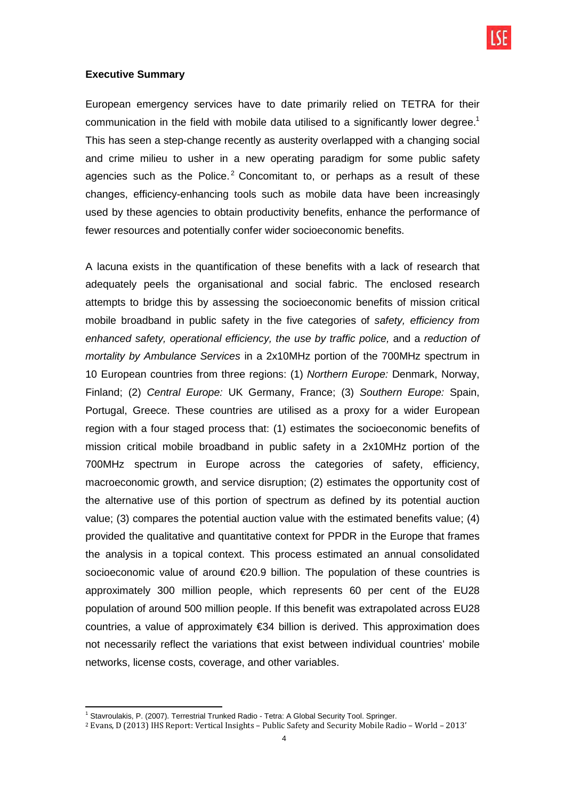

#### **Executive Summary**

European emergency services have to date primarily relied on TETRA for their communication in the field with mobile data utilised to a significantly lower degree.<sup>1</sup> This has seen a step-change recently as austerity overlapped with a changing social and crime milieu to usher in a new operating paradigm for some public safety agencies such as the Police.<sup>2</sup> Concomitant to, or perhaps as a result of these changes, efficiency-enhancing tools such as mobile data have been increasingly used by these agencies to obtain productivity benefits, enhance the performance of fewer resources and potentially confer wider socioeconomic benefits.

A lacuna exists in the quantification of these benefits with a lack of research that adequately peels the organisational and social fabric. The enclosed research attempts to bridge this by assessing the socioeconomic benefits of mission critical mobile broadband in public safety in the five categories of safety, efficiency from enhanced safety, operational efficiency, the use by traffic police, and a reduction of mortality by Ambulance Services in a 2x10MHz portion of the 700MHz spectrum in 10 European countries from three regions: (1) Northern Europe: Denmark, Norway, Finland; (2) Central Europe: UK Germany, France; (3) Southern Europe: Spain, Portugal, Greece. These countries are utilised as a proxy for a wider European region with a four staged process that: (1) estimates the socioeconomic benefits of mission critical mobile broadband in public safety in a 2x10MHz portion of the 700MHz spectrum in Europe across the categories of safety, efficiency, macroeconomic growth, and service disruption; (2) estimates the opportunity cost of the alternative use of this portion of spectrum as defined by its potential auction value; (3) compares the potential auction value with the estimated benefits value; (4) provided the qualitative and quantitative context for PPDR in the Europe that frames the analysis in a topical context. This process estimated an annual consolidated socioeconomic value of around €20.9 billion. The population of these countries is approximately 300 million people, which represents 60 per cent of the EU28 population of around 500 million people. If this benefit was extrapolated across EU28 countries, a value of approximately €34 billion is derived. This approximation does not necessarily reflect the variations that exist between individual countries' mobile networks, license costs, coverage, and other variables.

 1 Stavroulakis, P. (2007). Terrestrial Trunked Radio - Tetra: A Global Security Tool. Springer.

<sup>2</sup> Evans, D (2013) IHS Report: Vertical Insights – Public Safety and Security Mobile Radio – World – 2013'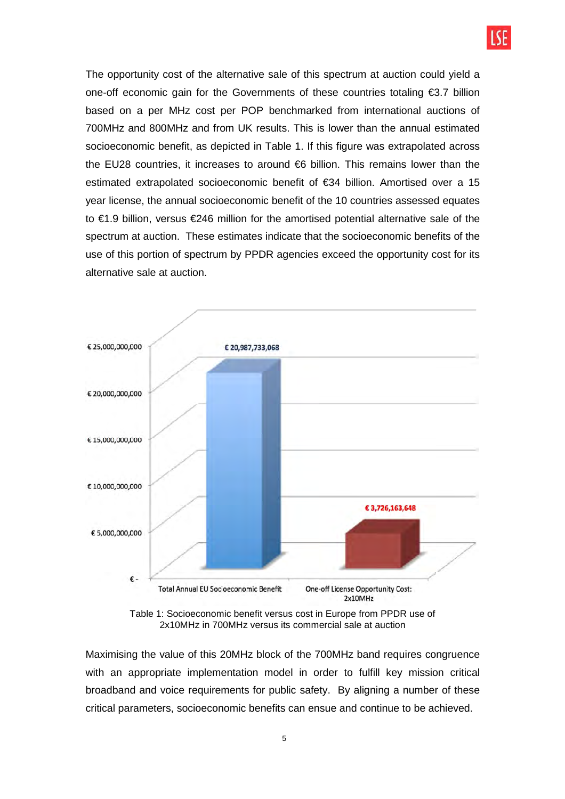

The opportunity cost of the alternative sale of this spectrum at auction could yield a one-off economic gain for the Governments of these countries totaling €3.7 billion based on a per MHz cost per POP benchmarked from international auctions of 700MHz and 800MHz and from UK results. This is lower than the annual estimated socioeconomic benefit, as depicted in Table 1. If this figure was extrapolated across the EU28 countries, it increases to around €6 billion. This remains lower than the estimated extrapolated socioeconomic benefit of €34 billion. Amortised over a 15 year license, the annual socioeconomic benefit of the 10 countries assessed equates to €1.9 billion, versus €246 million for the amortised potential alternative sale of the spectrum at auction. These estimates indicate that the socioeconomic benefits of the use of this portion of spectrum by PPDR agencies exceed the opportunity cost for its alternative sale at auction.



Table 1: Socioeconomic benefit versus cost in Europe from PPDR use of 2x10MHz in 700MHz versus its commercial sale at auction

Maximising the value of this 20MHz block of the 700MHz band requires congruence with an appropriate implementation model in order to fulfill key mission critical broadband and voice requirements for public safety. By aligning a number of these critical parameters, socioeconomic benefits can ensue and continue to be achieved.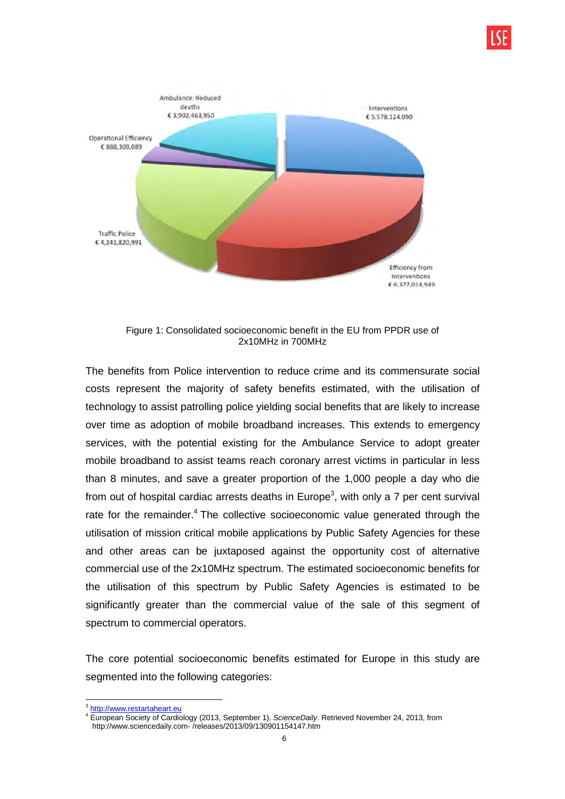

Figure 1: Consolidated socioeconomic benefit in the EU from PPDR use of 2x10MHz in 700MHz

The benefits from Police intervention to reduce crime and its commensurate social costs represent the majority of safety benefits estimated, with the utilisation of technology to assist patrolling police yielding social benefits that are likely to increase over time as adoption of mobile broadband increases. This extends to emergency services, with the potential existing for the Ambulance Service to adopt greater mobile broadband to assist teams reach coronary arrest victims in particular in less than 8 minutes, and save a greater proportion of the 1,000 people a day who die from out of hospital cardiac arrests deaths in Europe<sup>3</sup>, with only a 7 per cent survival rate for the remainder.<sup>4</sup> The collective socioeconomic value generated through the utilisation of mission critical mobile applications by Public Safety Agencies for these and other areas can be juxtaposed against the opportunity cost of alternative commercial use of the 2x10MHz spectrum. The estimated socioeconomic benefits for the utilisation of this spectrum by Public Safety Agencies is estimated to be significantly greater than the commercial value of the sale of this segment of spectrum to commercial operators.

The core potential socioeconomic benefits estimated for Europe in this study are segmented into the following categories:

 $\overline{a}$ <sup>3</sup> http://www.restartaheart.eu

<sup>&</sup>lt;sup>4</sup> European Society of Cardiology (2013, September 1). ScienceDaily. Retrieved November 24, 2013, from http://www.sciencedaily.com- /releases/2013/09/130901154147.htm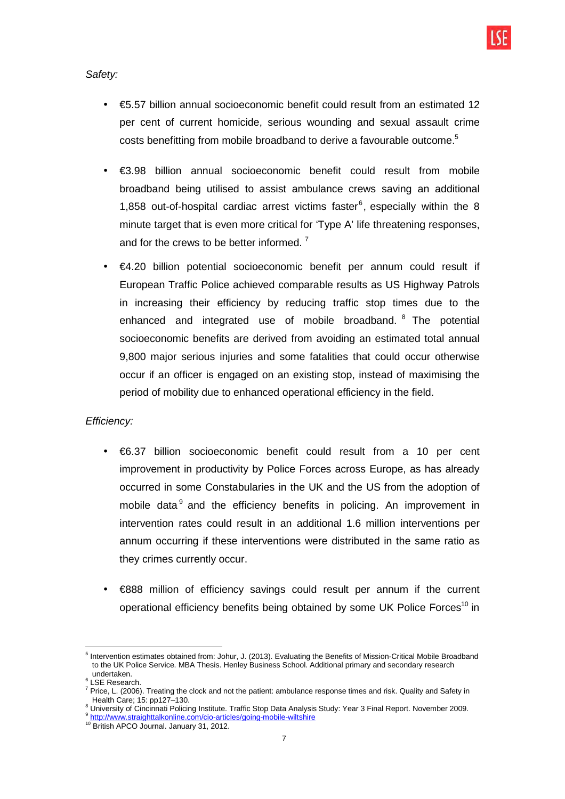Safety:

- €5.57 billion annual socioeconomic benefit could result from an estimated 12 per cent of current homicide, serious wounding and sexual assault crime costs benefitting from mobile broadband to derive a favourable outcome.<sup>5</sup>
- €3.98 billion annual socioeconomic benefit could result from mobile broadband being utilised to assist ambulance crews saving an additional 1,858 out-of-hospital cardiac arrest victims faster $6$ , especially within the 8 minute target that is even more critical for 'Type A' life threatening responses, and for the crews to be better informed.  $7$
- €4.20 billion potential socioeconomic benefit per annum could result if European Traffic Police achieved comparable results as US Highway Patrols in increasing their efficiency by reducing traffic stop times due to the enhanced and integrated use of mobile broadband. <sup>8</sup> The potential socioeconomic benefits are derived from avoiding an estimated total annual 9,800 major serious injuries and some fatalities that could occur otherwise occur if an officer is engaged on an existing stop, instead of maximising the period of mobility due to enhanced operational efficiency in the field.

## Efficiency:

- €6.37 billion socioeconomic benefit could result from a 10 per cent improvement in productivity by Police Forces across Europe, as has already occurred in some Constabularies in the UK and the US from the adoption of mobile data<sup>9</sup> and the efficiency benefits in policing. An improvement in intervention rates could result in an additional 1.6 million interventions per annum occurring if these interventions were distributed in the same ratio as they crimes currently occur.
- €888 million of efficiency savings could result per annum if the current operational efficiency benefits being obtained by some UK Police Forces<sup>10</sup> in

 5 Intervention estimates obtained from: Johur, J. (2013). Evaluating the Benefits of Mission-Critical Mobile Broadband to the UK Police Service. MBA Thesis. Henley Business School. Additional primary and secondary research undertaken.

<sup>6</sup> LSE Research.

<sup>&</sup>lt;sup>7</sup> Price, L. (2006). Treating the clock and not the patient: ambulance response times and risk. Quality and Safety in Health Care; 15: pp127–130.

<sup>&</sup>lt;sup>8</sup> University of Cincinnati Policing Institute. Traffic Stop Data Analysis Study: Year 3 Final Report. November 2009.

<sup>&</sup>lt;sup>9</sup> http://www.straighttalkonline.com/cio-articles/going-mobile-wiltshire

<sup>10</sup> British APCO Journal. January 31, 2012.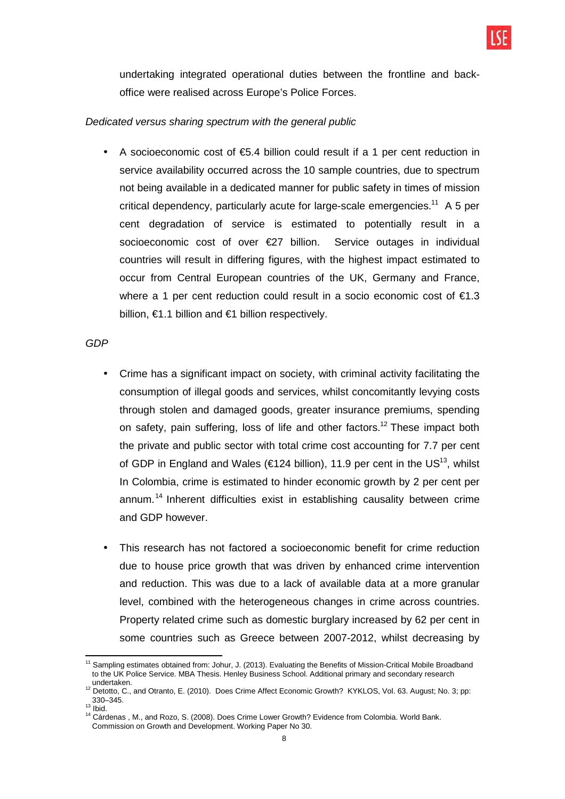

undertaking integrated operational duties between the frontline and backoffice were realised across Europe's Police Forces.

### Dedicated versus sharing spectrum with the general public

A socioeconomic cost of  $\epsilon$ 5.4 billion could result if a 1 per cent reduction in service availability occurred across the 10 sample countries, due to spectrum not being available in a dedicated manner for public safety in times of mission critical dependency, particularly acute for large-scale emergencies.<sup>11</sup> A 5 per cent degradation of service is estimated to potentially result in a socioeconomic cost of over €27 billion. Service outages in individual countries will result in differing figures, with the highest impact estimated to occur from Central European countries of the UK, Germany and France, where a 1 per cent reduction could result in a socio economic cost of  $\epsilon$ 1.3 billion,  $\epsilon$ 1.1 billion and  $\epsilon$ 1 billion respectively.

#### GDP

- Crime has a significant impact on society, with criminal activity facilitating the consumption of illegal goods and services, whilst concomitantly levying costs through stolen and damaged goods, greater insurance premiums, spending on safety, pain suffering, loss of life and other factors.<sup>12</sup> These impact both the private and public sector with total crime cost accounting for 7.7 per cent of GDP in England and Wales (€124 billion), 11.9 per cent in the US<sup>13</sup>, whilst In Colombia, crime is estimated to hinder economic growth by 2 per cent per annum.<sup>14</sup> Inherent difficulties exist in establishing causality between crime and GDP however.
- This research has not factored a socioeconomic benefit for crime reduction due to house price growth that was driven by enhanced crime intervention and reduction. This was due to a lack of available data at a more granular level, combined with the heterogeneous changes in crime across countries. Property related crime such as domestic burglary increased by 62 per cent in some countries such as Greece between 2007-2012, whilst decreasing by

 $\overline{a}$  $11$  Sampling estimates obtained from: Johur, J. (2013). Evaluating the Benefits of Mission-Critical Mobile Broadband to the UK Police Service. MBA Thesis. Henley Business School. Additional primary and secondary research undertaken.

<sup>12</sup> Detotto, C., and Otranto, E. (2010). Does Crime Affect Economic Growth? KYKLOS, Vol. 63. August; No. 3; pp: 330–345.

 $13$  Ibid.

<sup>&</sup>lt;sup>14</sup> Cárdenas, M., and Rozo, S. (2008). Does Crime Lower Growth? Evidence from Colombia. World Bank. Commission on Growth and Development. Working Paper No 30.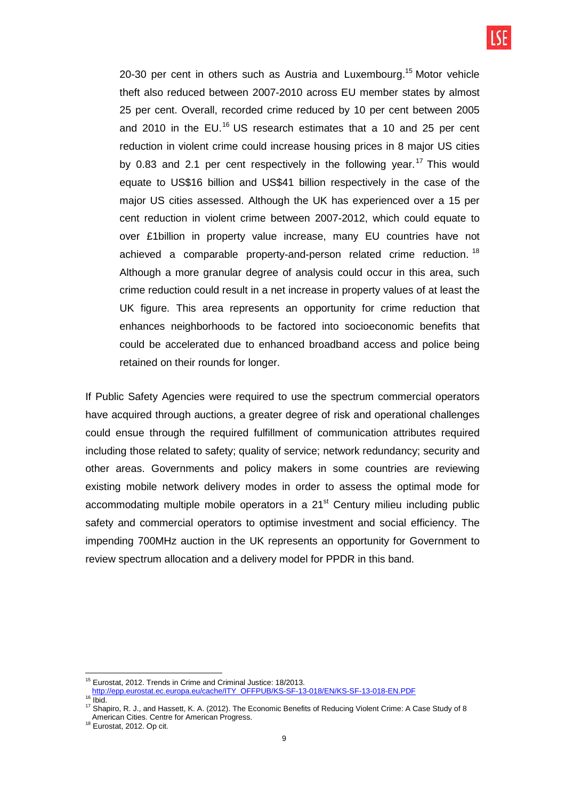20-30 per cent in others such as Austria and Luxembourg.<sup>15</sup> Motor vehicle theft also reduced between 2007-2010 across EU member states by almost 25 per cent. Overall, recorded crime reduced by 10 per cent between 2005 and 2010 in the EU.<sup>16</sup> US research estimates that a 10 and 25 per cent reduction in violent crime could increase housing prices in 8 major US cities by 0.83 and 2.1 per cent respectively in the following year.<sup>17</sup> This would equate to US\$16 billion and US\$41 billion respectively in the case of the major US cities assessed. Although the UK has experienced over a 15 per cent reduction in violent crime between 2007-2012, which could equate to over £1billion in property value increase, many EU countries have not achieved a comparable property-and-person related crime reduction. <sup>18</sup> Although a more granular degree of analysis could occur in this area, such crime reduction could result in a net increase in property values of at least the UK figure. This area represents an opportunity for crime reduction that enhances neighborhoods to be factored into socioeconomic benefits that could be accelerated due to enhanced broadband access and police being retained on their rounds for longer.

If Public Safety Agencies were required to use the spectrum commercial operators have acquired through auctions, a greater degree of risk and operational challenges could ensue through the required fulfillment of communication attributes required including those related to safety; quality of service; network redundancy; security and other areas. Governments and policy makers in some countries are reviewing existing mobile network delivery modes in order to assess the optimal mode for accommodating multiple mobile operators in a  $21<sup>st</sup>$  Century milieu including public safety and commercial operators to optimise investment and social efficiency. The impending 700MHz auction in the UK represents an opportunity for Government to review spectrum allocation and a delivery model for PPDR in this band.

 $\overline{a}$ <sup>15</sup> Eurostat, 2012. Trends in Crime and Criminal Justice: 18/2013.

http://epp.eurostat.ec.europa.eu/cache/ITY\_OFFPUB/KS-SF-13-018/EN/KS-SF-13-018-EN.PDF

 $16 \overline{\text{lbid}}$ .

<sup>&</sup>lt;sup>17</sup> Shapiro, R. J., and Hassett, K. A. (2012). The Economic Benefits of Reducing Violent Crime: A Case Study of 8

American Cities. Centre for American Progress.

<sup>18</sup> Eurostat, 2012. Op cit.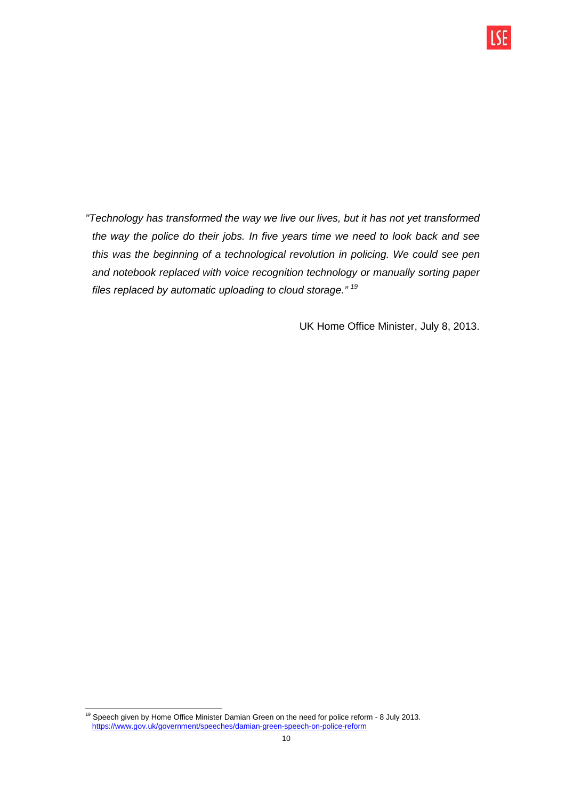

UK Home Office Minister, July 8, 2013.

 <sup>19</sup> Speech given by Home Office Minister Damian Green on the need for police reform  $-8$  July 2013. https://www.gov.uk/government/speeches/damian-green-speech-on-police-reform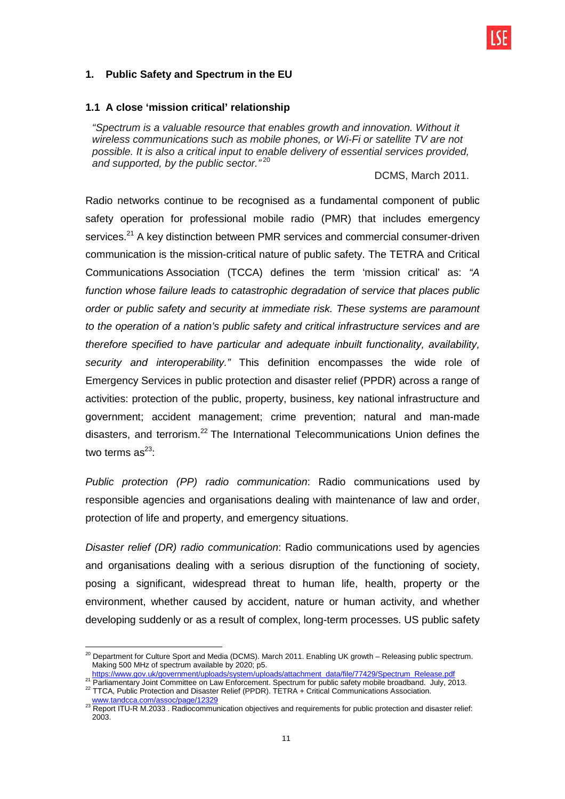## **1. Public Safety and Spectrum in the EU**

#### **1.1 A close 'mission critical' relationship**

"Spectrum is a valuable resource that enables growth and innovation. Without it wireless communications such as mobile phones, or Wi-Fi or satellite TV are not possible. It is also a critical input to enable delivery of essential services provided, and supported, by the public sector."<sup>20</sup>

#### DCMS, March 2011.

Radio networks continue to be recognised as a fundamental component of public safety operation for professional mobile radio (PMR) that includes emergency services.<sup>21</sup> A key distinction between PMR services and commercial consumer-driven communication is the mission-critical nature of public safety. The TETRA and Critical Communications Association (TCCA) defines the term 'mission critical' as: "A function whose failure leads to catastrophic degradation of service that places public order or public safety and security at immediate risk. These systems are paramount to the operation of a nation's public safety and critical infrastructure services and are therefore specified to have particular and adequate inbuilt functionality, availability, security and interoperability." This definition encompasses the wide role of Emergency Services in public protection and disaster relief (PPDR) across a range of activities: protection of the public, property, business, key national infrastructure and government; accident management; crime prevention; natural and man-made disasters, and terrorism.<sup>22</sup> The International Telecommunications Union defines the two terms  $as^{23}$ :

Public protection (PP) radio communication: Radio communications used by responsible agencies and organisations dealing with maintenance of law and order, protection of life and property, and emergency situations.

Disaster relief (DR) radio communication: Radio communications used by agencies and organisations dealing with a serious disruption of the functioning of society, posing a significant, widespread threat to human life, health, property or the environment, whether caused by accident, nature or human activity, and whether developing suddenly or as a result of complex, long-term processes. US public safety

 $\overline{\phantom{a}}$  $^{20}$  Department for Culture Sport and Media (DCMS). March 2011. Enabling UK growth – Releasing public spectrum. Making 500 MHz of spectrum available by 2020; p5.

https://www.gov.uk/government/uploads/system/uploads/attachment\_data/file/77429/Spectrum\_Release.pdf

<sup>21</sup> Parliamentary Joint Committee on Law Enforcement. Spectrum for public safety mobile broadband. July, 2013. <sup>22</sup> TTCA, Public Protection and Disaster Relief (PPDR). TETRA + Critical Communications Association.

www.tandcca.com/assoc/page/12329

 $^{23}$  Report ITU-R M.2033 . Radiocommunication objectives and requirements for public protection and disaster relief: 2003.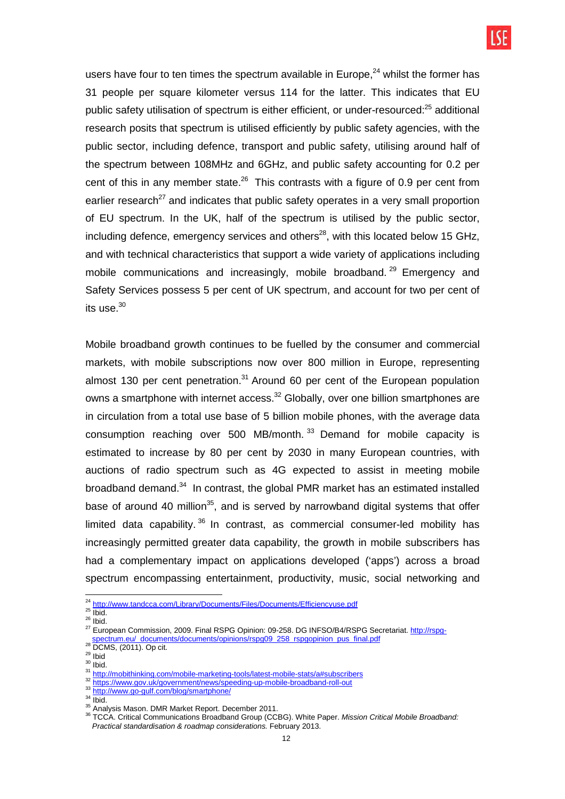

users have four to ten times the spectrum available in Europe, $^{24}$  whilst the former has 31 people per square kilometer versus 114 for the latter. This indicates that EU public safety utilisation of spectrum is either efficient, or under-resourced:<sup>25</sup> additional research posits that spectrum is utilised efficiently by public safety agencies, with the public sector, including defence, transport and public safety, utilising around half of the spectrum between 108MHz and 6GHz, and public safety accounting for 0.2 per cent of this in any member state.<sup>26</sup> This contrasts with a figure of 0.9 per cent from earlier research<sup>27</sup> and indicates that public safety operates in a very small proportion of EU spectrum. In the UK, half of the spectrum is utilised by the public sector, including defence, emergency services and others<sup>28</sup>, with this located below 15 GHz. and with technical characteristics that support a wide variety of applications including mobile communications and increasingly, mobile broadband.<sup>29</sup> Emergency and Safety Services possess 5 per cent of UK spectrum, and account for two per cent of its use. $^{30}$ 

Mobile broadband growth continues to be fuelled by the consumer and commercial markets, with mobile subscriptions now over 800 million in Europe, representing almost 130 per cent penetration. $31$  Around 60 per cent of the European population owns a smartphone with internet access.<sup>32</sup> Globally, over one billion smartphones are in circulation from a total use base of 5 billion mobile phones, with the average data consumption reaching over 500 MB/month.<sup>33</sup> Demand for mobile capacity is estimated to increase by 80 per cent by 2030 in many European countries, with auctions of radio spectrum such as 4G expected to assist in meeting mobile broadband demand.<sup>34</sup> In contrast, the global PMR market has an estimated installed base of around 40 million<sup>35</sup>, and is served by narrowband digital systems that offer limited data capability.  $36$  In contrast, as commercial consumer-led mobility has increasingly permitted greater data capability, the growth in mobile subscribers has had a complementary impact on applications developed ('apps') across a broad spectrum encompassing entertainment, productivity, music, social networking and

 $\overline{\phantom{a}}$ 

 $30$  lbid.

<sup>&</sup>lt;sup>24</sup> http://www.tandcca.com/Library/Documents/Files/Documents/Efficiencyuse.pdf

 $25 \overline{\text{lbid}}$ .  $26$  Ibid.

<sup>&</sup>lt;sup>27</sup> European Commission, 2009. Final RSPG Opinion: 09-258. DG INFSO/B4/RSPG Secretariat. http://rspgspectrum.eu/\_documents/documents/opinions/rspg09\_258\_rspgopinion\_pus\_final.pdf

<sup>28</sup> DCMS, (2011). Op cit.

 $29$  Ibid

<sup>31</sup> http://mobithinking.com/mobile-marketing-tools/latest-mobile-stats/a#subscribers

<sup>32</sup> https://www.gov.uk/government/news/speeding-up-mobile-broadband-roll-out

<sup>33</sup> http://www.go-gulf.com/blog/smartphone/

 $34$   $\overline{libid}$ .

<sup>&</sup>lt;sup>35</sup> Analysis Mason. DMR Market Report. December 2011.

<sup>&</sup>lt;sup>36</sup> TCCA. Critical Communications Broadband Group (CCBG). White Paper. Mission Critical Mobile Broadband: Practical standardisation & roadmap considerations. February 2013.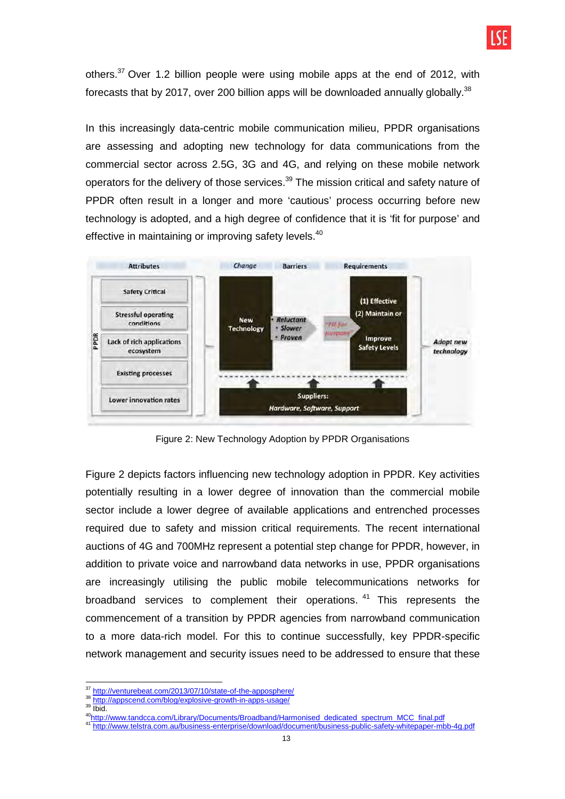others.<sup>37</sup> Over 1.2 billion people were using mobile apps at the end of 2012, with forecasts that by 2017, over 200 billion apps will be downloaded annually globally.<sup>38</sup>

In this increasingly data-centric mobile communication milieu, PPDR organisations are assessing and adopting new technology for data communications from the commercial sector across 2.5G, 3G and 4G, and relying on these mobile network operators for the delivery of those services.<sup>39</sup> The mission critical and safety nature of PPDR often result in a longer and more 'cautious' process occurring before new technology is adopted, and a high degree of confidence that it is 'fit for purpose' and effective in maintaining or improving safety levels.<sup>40</sup>



Figure 2: New Technology Adoption by PPDR Organisations

Figure 2 depicts factors influencing new technology adoption in PPDR. Key activities potentially resulting in a lower degree of innovation than the commercial mobile sector include a lower degree of available applications and entrenched processes required due to safety and mission critical requirements. The recent international auctions of 4G and 700MHz represent a potential step change for PPDR, however, in addition to private voice and narrowband data networks in use, PPDR organisations are increasingly utilising the public mobile telecommunications networks for broadband services to complement their operations. <sup>41</sup> This represents the commencement of a transition by PPDR agencies from narrowband communication to a more data-rich model. For this to continue successfully, key PPDR-specific network management and security issues need to be addressed to ensure that these

 $\overline{\phantom{a}}$ <sup>37</sup> http://venturebeat.com/2013/07/10/state-of-the-apposphere/

<sup>38</sup> http://appscend.com/blog/explosive-growth-in-apps-usage/

 $39$   $\frac{1}{1}$  bid.

<sup>&</sup>lt;sup>40</sup>http://www.tandcca.com/Library/Documents/Broadband/Harmonised\_dedicated\_spectrum\_MCC\_final.pdf<br>11 http://www.talstra.com.cu/businesse.artempie.ideumlead/desumerat/businesse.public.artety.unkiteges.arte

<sup>41</sup> http://www.telstra.com.au/business-enterprise/download/document/business-public-safety-whitepaper-mbb-4g.pdf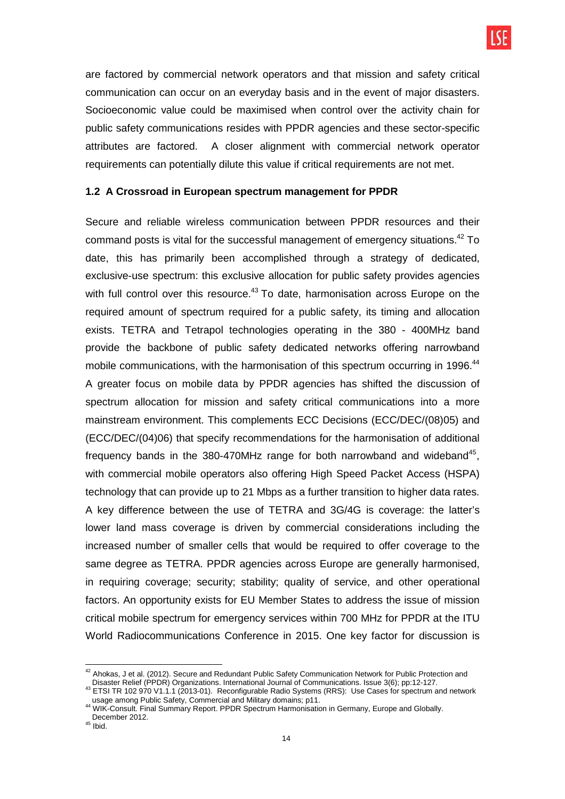are factored by commercial network operators and that mission and safety critical communication can occur on an everyday basis and in the event of major disasters. Socioeconomic value could be maximised when control over the activity chain for public safety communications resides with PPDR agencies and these sector-specific attributes are factored. A closer alignment with commercial network operator requirements can potentially dilute this value if critical requirements are not met.

## **1.2 A Crossroad in European spectrum management for PPDR**

Secure and reliable wireless communication between PPDR resources and their command posts is vital for the successful management of emergency situations.<sup>42</sup> To date, this has primarily been accomplished through a strategy of dedicated, exclusive-use spectrum: this exclusive allocation for public safety provides agencies with full control over this resource.<sup>43</sup> To date, harmonisation across Europe on the required amount of spectrum required for a public safety, its timing and allocation exists. TETRA and Tetrapol technologies operating in the 380 - 400MHz band provide the backbone of public safety dedicated networks offering narrowband mobile communications, with the harmonisation of this spectrum occurring in 1996.<sup>44</sup> A greater focus on mobile data by PPDR agencies has shifted the discussion of spectrum allocation for mission and safety critical communications into a more mainstream environment. This complements ECC Decisions (ECC/DEC/(08)05) and (ECC/DEC/(04)06) that specify recommendations for the harmonisation of additional frequency bands in the 380-470MHz range for both narrowband and wideband<sup>45</sup>, with commercial mobile operators also offering High Speed Packet Access (HSPA) technology that can provide up to 21 Mbps as a further transition to higher data rates. A key difference between the use of TETRA and 3G/4G is coverage: the latter's lower land mass coverage is driven by commercial considerations including the increased number of smaller cells that would be required to offer coverage to the same degree as TETRA. PPDR agencies across Europe are generally harmonised, in requiring coverage; security; stability; quality of service, and other operational factors. An opportunity exists for EU Member States to address the issue of mission critical mobile spectrum for emergency services within 700 MHz for PPDR at the ITU World Radiocommunications Conference in 2015. One key factor for discussion is

 $\overline{a}$  $^{42}$  Ahokas, J et al. (2012). Secure and Redundant Public Safety Communication Network for Public Protection and Disaster Relief (PPDR) Organizations. International Journal of Communications. Issue 3(6); pp:12-127.

<sup>43</sup> ETSI TR 102 970 V1.1.1 (2013-01). Reconfigurable Radio Systems (RRS): Use Cases for spectrum and network usage among Public Safety, Commercial and Military domains; p11.

<sup>44</sup> WIK-Consult. Final Summary Report. PPDR Spectrum Harmonisation in Germany, Europe and Globally. December 2012.

 $45$  Ibid.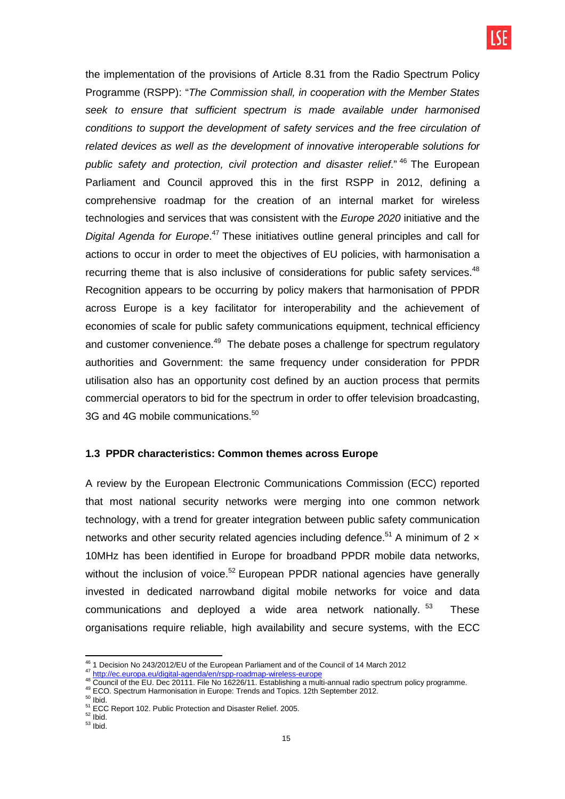the implementation of the provisions of Article 8.31 from the Radio Spectrum Policy Programme (RSPP): "The Commission shall, in cooperation with the Member States seek to ensure that sufficient spectrum is made available under harmonised conditions to support the development of safety services and the free circulation of related devices as well as the development of innovative interoperable solutions for public safety and protection, civil protection and disaster relief." <sup>46</sup> The European Parliament and Council approved this in the first RSPP in 2012, defining a comprehensive roadmap for the creation of an internal market for wireless technologies and services that was consistent with the Europe 2020 initiative and the Digital Agenda for Europe.<sup>47</sup> These initiatives outline general principles and call for actions to occur in order to meet the objectives of EU policies, with harmonisation a recurring theme that is also inclusive of considerations for public safety services.<sup>48</sup> Recognition appears to be occurring by policy makers that harmonisation of PPDR across Europe is a key facilitator for interoperability and the achievement of economies of scale for public safety communications equipment, technical efficiency and customer convenience.<sup>49</sup> The debate poses a challenge for spectrum regulatory authorities and Government: the same frequency under consideration for PPDR utilisation also has an opportunity cost defined by an auction process that permits commercial operators to bid for the spectrum in order to offer television broadcasting, 3G and 4G mobile communications. $^{50}$ 

## **1.3 PPDR characteristics: Common themes across Europe**

A review by the European Electronic Communications Commission (ECC) reported that most national security networks were merging into one common network technology, with a trend for greater integration between public safety communication networks and other security related agencies including defence.<sup>51</sup> A minimum of 2  $\times$ 10MHz has been identified in Europe for broadband PPDR mobile data networks, without the inclusion of voice.<sup>52</sup> European PPDR national agencies have generally invested in dedicated narrowband digital mobile networks for voice and data communications and deployed a wide area network nationally.<sup>53</sup> These organisations require reliable, high availability and secure systems, with the ECC

 $\overline{\phantom{a}}$ <sup>46</sup> 1 Decision No 243/2012/EU of the European Parliament and of the Council of 14 March 2012

<sup>47</sup> http://ec.europa.eu/digital-agenda/en/rspp-roadmap-wireless-europe

<sup>48</sup> Council of the EU. Dec 20111. File No 16226/11. Establishing a multi-annual radio spectrum policy programme. <sup>49</sup> ECO. Spectrum Harmonisation in Europe: Trends and Topics. 12th September 2012.

 $50$  lbid.

<sup>&</sup>lt;sup>51</sup> ECC Report 102. Public Protection and Disaster Relief. 2005.  $52$  Ibid.

 $53$  lbid.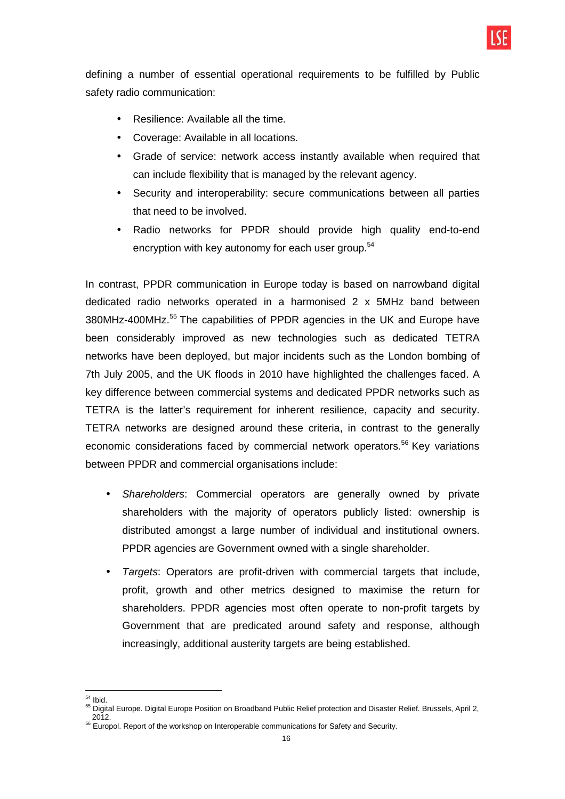

defining a number of essential operational requirements to be fulfilled by Public safety radio communication:

- Resilience: Available all the time.
- Coverage: Available in all locations.
- Grade of service: network access instantly available when required that can include flexibility that is managed by the relevant agency.
- Security and interoperability: secure communications between all parties that need to be involved.
- Radio networks for PPDR should provide high quality end-to-end encryption with key autonomy for each user group.<sup>54</sup>

In contrast, PPDR communication in Europe today is based on narrowband digital dedicated radio networks operated in a harmonised 2 x 5MHz band between 380MHz-400MHz.<sup>55</sup> The capabilities of PPDR agencies in the UK and Europe have been considerably improved as new technologies such as dedicated TETRA networks have been deployed, but major incidents such as the London bombing of 7th July 2005, and the UK floods in 2010 have highlighted the challenges faced. A key difference between commercial systems and dedicated PPDR networks such as TETRA is the latter's requirement for inherent resilience, capacity and security. TETRA networks are designed around these criteria, in contrast to the generally economic considerations faced by commercial network operators.<sup>56</sup> Key variations between PPDR and commercial organisations include:

- Shareholders: Commercial operators are generally owned by private shareholders with the majority of operators publicly listed: ownership is distributed amongst a large number of individual and institutional owners. PPDR agencies are Government owned with a single shareholder.
- Targets: Operators are profit-driven with commercial targets that include, profit, growth and other metrics designed to maximise the return for shareholders. PPDR agencies most often operate to non-profit targets by Government that are predicated around safety and response, although increasingly, additional austerity targets are being established.

 $\overline{a}$  $54$  Ibid.

<sup>&</sup>lt;sub>55</sub> Digital Europe. Digital Europe Position on Broadband Public Relief protection and Disaster Relief. Brussels, April 2, 2012.

<sup>&</sup>lt;sup>56</sup> Europol. Report of the workshop on Interoperable communications for Safety and Security.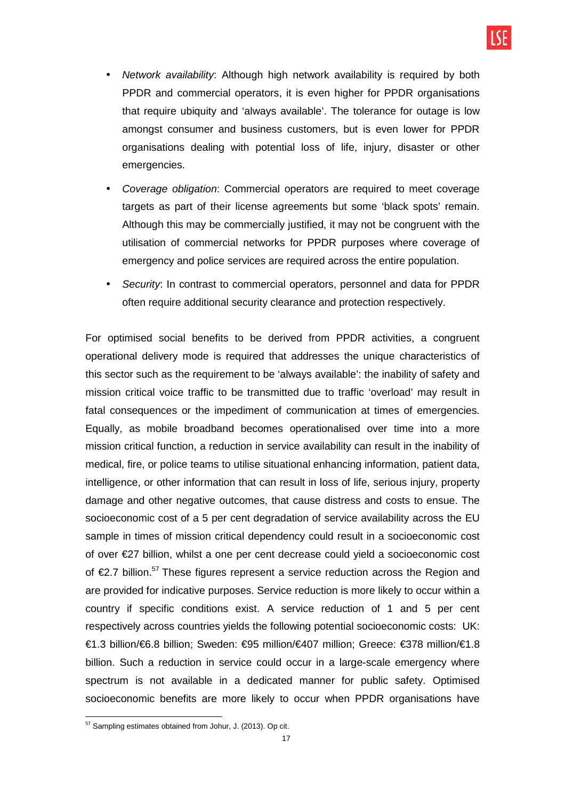- Network availability: Although high network availability is required by both PPDR and commercial operators, it is even higher for PPDR organisations that require ubiquity and 'always available'. The tolerance for outage is low amongst consumer and business customers, but is even lower for PPDR organisations dealing with potential loss of life, injury, disaster or other emergencies.
- Coverage obligation: Commercial operators are required to meet coverage targets as part of their license agreements but some 'black spots' remain. Although this may be commercially justified, it may not be congruent with the utilisation of commercial networks for PPDR purposes where coverage of emergency and police services are required across the entire population.
- Security: In contrast to commercial operators, personnel and data for PPDR often require additional security clearance and protection respectively.

For optimised social benefits to be derived from PPDR activities, a congruent operational delivery mode is required that addresses the unique characteristics of this sector such as the requirement to be 'always available': the inability of safety and mission critical voice traffic to be transmitted due to traffic 'overload' may result in fatal consequences or the impediment of communication at times of emergencies. Equally, as mobile broadband becomes operationalised over time into a more mission critical function, a reduction in service availability can result in the inability of medical, fire, or police teams to utilise situational enhancing information, patient data, intelligence, or other information that can result in loss of life, serious injury, property damage and other negative outcomes, that cause distress and costs to ensue. The socioeconomic cost of a 5 per cent degradation of service availability across the EU sample in times of mission critical dependency could result in a socioeconomic cost of over €27 billion, whilst a one per cent decrease could yield a socioeconomic cost of €2.7 billion.<sup>57</sup> These figures represent a service reduction across the Region and are provided for indicative purposes. Service reduction is more likely to occur within a country if specific conditions exist. A service reduction of 1 and 5 per cent respectively across countries yields the following potential socioeconomic costs: UK: €1.3 billion/€6.8 billion; Sweden: €95 million/€407 million; Greece: €378 million/€1.8 billion. Such a reduction in service could occur in a large-scale emergency where spectrum is not available in a dedicated manner for public safety. Optimised socioeconomic benefits are more likely to occur when PPDR organisations have

 $\overline{a}$  $57$  Sampling estimates obtained from Johur, J. (2013). Op cit.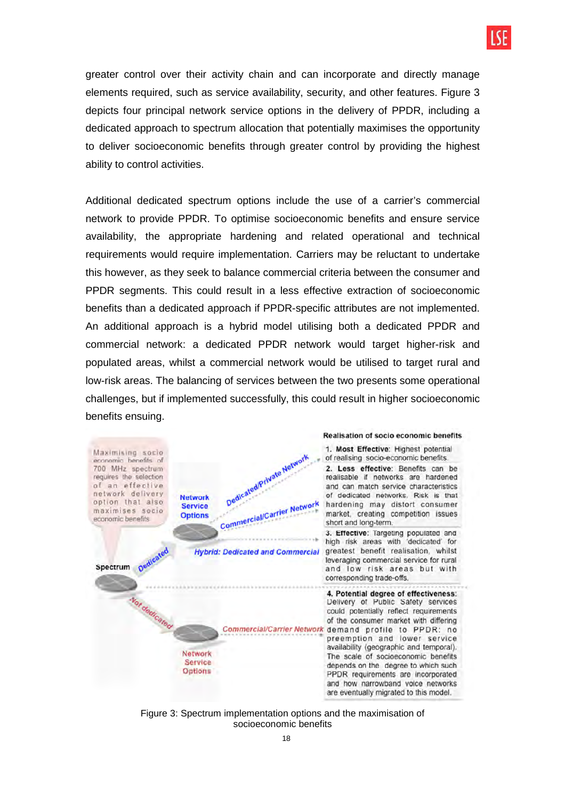greater control over their activity chain and can incorporate and directly manage elements required, such as service availability, security, and other features. Figure 3 depicts four principal network service options in the delivery of PPDR, including a dedicated approach to spectrum allocation that potentially maximises the opportunity to deliver socioeconomic benefits through greater control by providing the highest ability to control activities.

Additional dedicated spectrum options include the use of a carrier's commercial network to provide PPDR. To optimise socioeconomic benefits and ensure service availability, the appropriate hardening and related operational and technical requirements would require implementation. Carriers may be reluctant to undertake this however, as they seek to balance commercial criteria between the consumer and PPDR segments. This could result in a less effective extraction of socioeconomic benefits than a dedicated approach if PPDR-specific attributes are not implemented. An additional approach is a hybrid model utilising both a dedicated PPDR and commercial network: a dedicated PPDR network would target higher-risk and populated areas, whilst a commercial network would be utilised to target rural and low-risk areas. The balancing of services between the two presents some operational challenges, but if implemented successfully, this could result in higher socioeconomic benefits ensuing.



Figure 3: Spectrum implementation options and the maximisation of socioeconomic benefits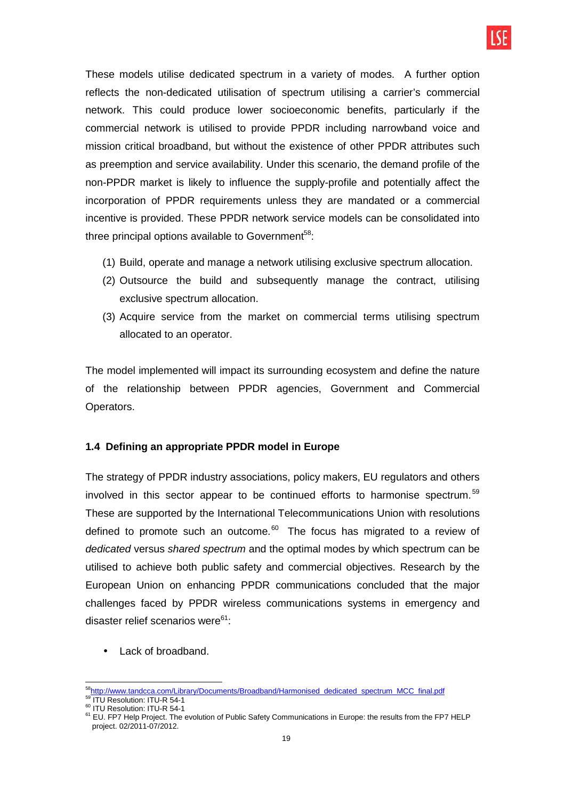

These models utilise dedicated spectrum in a variety of modes. A further option reflects the non-dedicated utilisation of spectrum utilising a carrier's commercial network. This could produce lower socioeconomic benefits, particularly if the commercial network is utilised to provide PPDR including narrowband voice and mission critical broadband, but without the existence of other PPDR attributes such as preemption and service availability. Under this scenario, the demand profile of the non-PPDR market is likely to influence the supply-profile and potentially affect the incorporation of PPDR requirements unless they are mandated or a commercial incentive is provided. These PPDR network service models can be consolidated into three principal options available to Government $58$ :

- (1) Build, operate and manage a network utilising exclusive spectrum allocation.
- (2) Outsource the build and subsequently manage the contract, utilising exclusive spectrum allocation.
- (3) Acquire service from the market on commercial terms utilising spectrum allocated to an operator.

The model implemented will impact its surrounding ecosystem and define the nature of the relationship between PPDR agencies, Government and Commercial Operators.

#### **1.4 Defining an appropriate PPDR model in Europe**

The strategy of PPDR industry associations, policy makers, EU regulators and others involved in this sector appear to be continued efforts to harmonise spectrum.<sup>59</sup> These are supported by the International Telecommunications Union with resolutions defined to promote such an outcome. $60$  The focus has migrated to a review of dedicated versus shared spectrum and the optimal modes by which spectrum can be utilised to achieve both public safety and commercial objectives. Research by the European Union on enhancing PPDR communications concluded that the major challenges faced by PPDR wireless communications systems in emergency and disaster relief scenarios were $61$ :

Lack of broadband.

 $\overline{a}$ <sup>58</sup>http://www.tandcca.com/Library/Documents/Broadband/Harmonised\_dedicated\_spectrum\_MCC\_final.pdf 59 ITU Resolution: ITU-R 54-1

<sup>60</sup> ITU Resolution: ITU-R 54-1

<sup>&</sup>lt;sup>61</sup> EU. FP7 Help Project. The evolution of Public Safety Communications in Europe: the results from the FP7 HELP project. 02/2011-07/2012.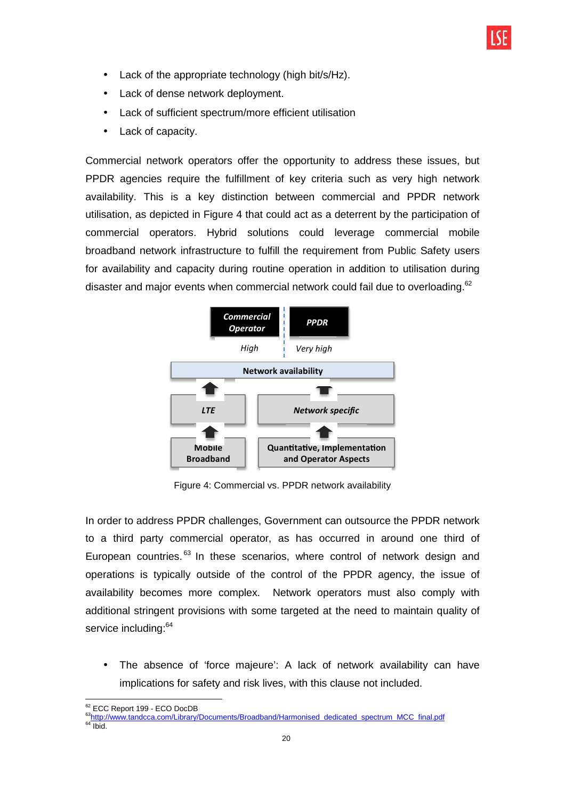- Lack of the appropriate technology (high bit/s/Hz).
- Lack of dense network deployment.
- Lack of sufficient spectrum/more efficient utilisation
- Lack of capacity.

Commercial network operators offer the opportunity to address these issues, but PPDR agencies require the fulfillment of key criteria such as very high network availability. This is a key distinction between commercial and PPDR network utilisation, as depicted in Figure 4 that could act as a deterrent by the participation of commercial operators. Hybrid solutions could leverage commercial mobile broadband network infrastructure to fulfill the requirement from Public Safety users for availability and capacity during routine operation in addition to utilisation during disaster and major events when commercial network could fail due to overloading.<sup>62</sup>



Figure 4: Commercial vs. PPDR network availability

In order to address PPDR challenges, Government can outsource the PPDR network to a third party commercial operator, as has occurred in around one third of European countries.<sup>63</sup> In these scenarios, where control of network design and operations is typically outside of the control of the PPDR agency, the issue of availability becomes more complex. Network operators must also comply with additional stringent provisions with some targeted at the need to maintain quality of service including:<sup>64</sup>

• The absence of 'force majeure': A lack of network availability can have implications for safety and risk lives, with this clause not included.

 $\overline{\phantom{a}}$ <sup>62</sup> ECC Report 199 - ECO DocDB

<sup>&</sup>lt;sup>63</sup>http://www.tandcca.com/Library/Documents/Broadband/Harmonised\_dedicated\_spectrum\_MCC\_final.pdf

 $64$  Ibid.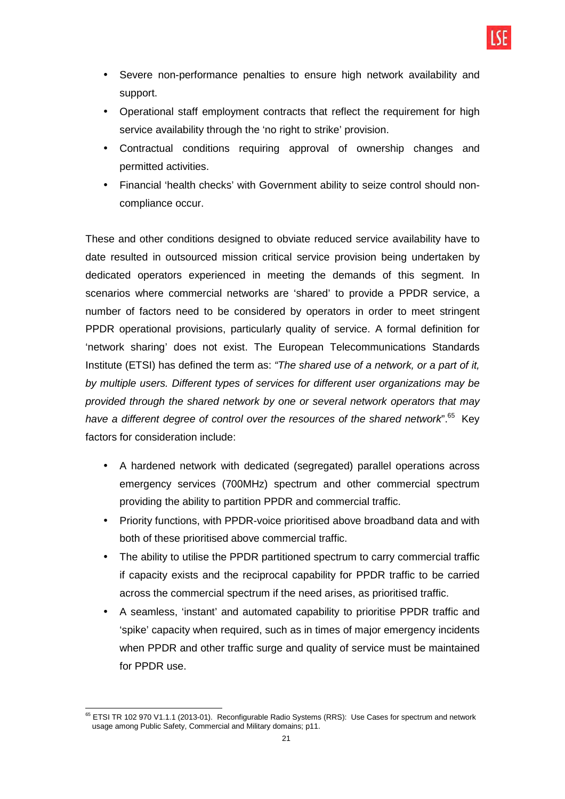- Severe non-performance penalties to ensure high network availability and support.
- Operational staff employment contracts that reflect the requirement for high service availability through the 'no right to strike' provision.
- Contractual conditions requiring approval of ownership changes and permitted activities.
- Financial 'health checks' with Government ability to seize control should noncompliance occur.

These and other conditions designed to obviate reduced service availability have to date resulted in outsourced mission critical service provision being undertaken by dedicated operators experienced in meeting the demands of this segment. In scenarios where commercial networks are 'shared' to provide a PPDR service, a number of factors need to be considered by operators in order to meet stringent PPDR operational provisions, particularly quality of service. A formal definition for 'network sharing' does not exist. The European Telecommunications Standards Institute (ETSI) has defined the term as: "The shared use of a network, or a part of it, by multiple users. Different types of services for different user organizations may be provided through the shared network by one or several network operators that may have a different degree of control over the resources of the shared network".<sup>65</sup> Key factors for consideration include:

- A hardened network with dedicated (segregated) parallel operations across emergency services (700MHz) spectrum and other commercial spectrum providing the ability to partition PPDR and commercial traffic.
- Priority functions, with PPDR-voice prioritised above broadband data and with both of these prioritised above commercial traffic.
- The ability to utilise the PPDR partitioned spectrum to carry commercial traffic if capacity exists and the reciprocal capability for PPDR traffic to be carried across the commercial spectrum if the need arises, as prioritised traffic.
- A seamless, 'instant' and automated capability to prioritise PPDR traffic and 'spike' capacity when required, such as in times of major emergency incidents when PPDR and other traffic surge and quality of service must be maintained for PPDR use.

 $\overline{\phantom{a}}$ <sup>65</sup> ETSI TR 102 970 V1.1.1 (2013-01). Reconfigurable Radio Systems (RRS): Use Cases for spectrum and network usage among Public Safety, Commercial and Military domains; p11.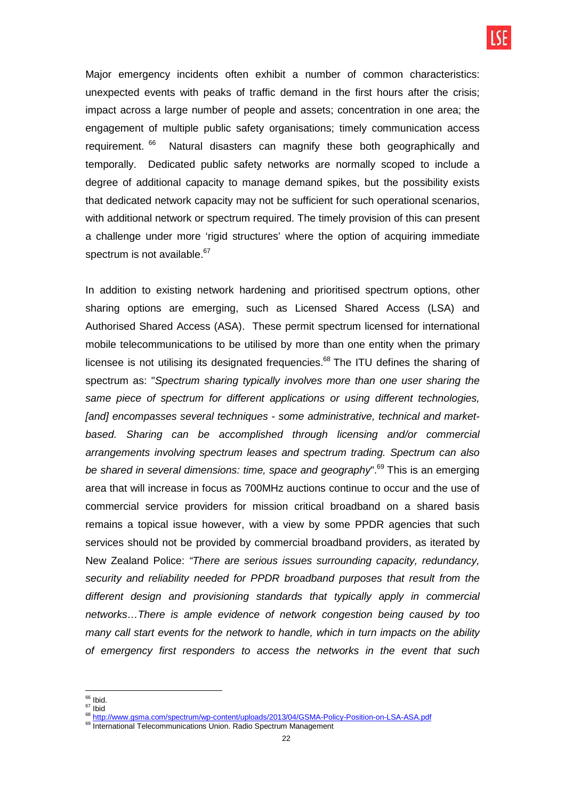Major emergency incidents often exhibit a number of common characteristics: unexpected events with peaks of traffic demand in the first hours after the crisis; impact across a large number of people and assets; concentration in one area; the engagement of multiple public safety organisations; timely communication access requirement.<sup>66</sup> Natural disasters can magnify these both geographically and temporally. Dedicated public safety networks are normally scoped to include a degree of additional capacity to manage demand spikes, but the possibility exists that dedicated network capacity may not be sufficient for such operational scenarios, with additional network or spectrum required. The timely provision of this can present a challenge under more 'rigid structures' where the option of acquiring immediate spectrum is not available.<sup>67</sup>

In addition to existing network hardening and prioritised spectrum options, other sharing options are emerging, such as Licensed Shared Access (LSA) and Authorised Shared Access (ASA). These permit spectrum licensed for international mobile telecommunications to be utilised by more than one entity when the primary licensee is not utilising its designated frequencies. $68$  The ITU defines the sharing of spectrum as: "Spectrum sharing typically involves more than one user sharing the same piece of spectrum for different applications or using different technologies, [and] encompasses several techniques - some administrative, technical and marketbased. Sharing can be accomplished through licensing and/or commercial arrangements involving spectrum leases and spectrum trading. Spectrum can also be shared in several dimensions: time, space and geography".<sup>69</sup> This is an emerging area that will increase in focus as 700MHz auctions continue to occur and the use of commercial service providers for mission critical broadband on a shared basis remains a topical issue however, with a view by some PPDR agencies that such services should not be provided by commercial broadband providers, as iterated by New Zealand Police: "There are serious issues surrounding capacity, redundancy, security and reliability needed for PPDR broadband purposes that result from the different design and provisioning standards that typically apply in commercial networks…There is ample evidence of network congestion being caused by too many call start events for the network to handle, which in turn impacts on the ability of emergency first responders to access the networks in the event that such

 $\overline{\phantom{a}}$ <sup>66</sup> Ibid.

 $67$  Ibid

<sup>68</sup> http://www.gsma.com/spectrum/wp-content/uploads/2013/04/GSMA-Policy-Position-on-LSA-ASA.pdf

<sup>&</sup>lt;sup>69</sup> International Telecommunications Union. Radio Spectrum Management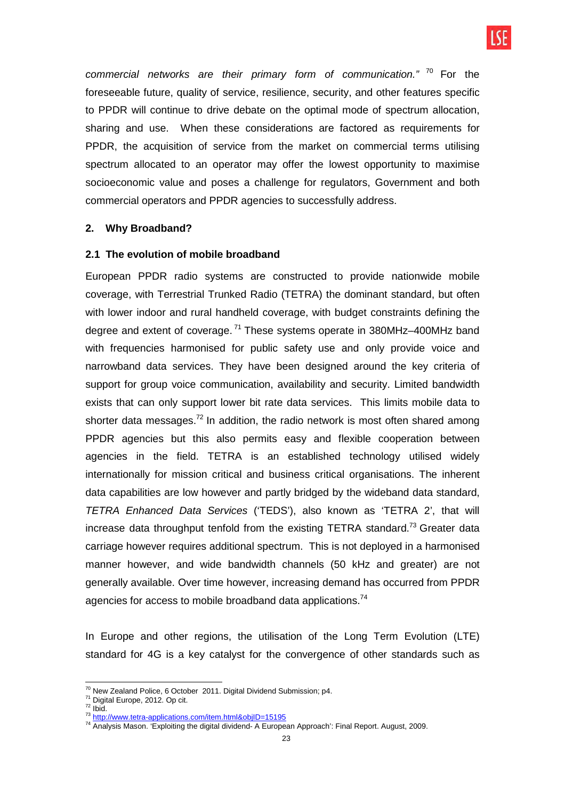

commercial networks are their primary form of communication."  $70$  For the foreseeable future, quality of service, resilience, security, and other features specific to PPDR will continue to drive debate on the optimal mode of spectrum allocation, sharing and use. When these considerations are factored as requirements for PPDR, the acquisition of service from the market on commercial terms utilising spectrum allocated to an operator may offer the lowest opportunity to maximise socioeconomic value and poses a challenge for regulators, Government and both commercial operators and PPDR agencies to successfully address.

#### **2. Why Broadband?**

#### **2.1 The evolution of mobile broadband**

European PPDR radio systems are constructed to provide nationwide mobile coverage, with Terrestrial Trunked Radio (TETRA) the dominant standard, but often with lower indoor and rural handheld coverage, with budget constraints defining the degree and extent of coverage.<sup>71</sup> These systems operate in 380MHz-400MHz band with frequencies harmonised for public safety use and only provide voice and narrowband data services. They have been designed around the key criteria of support for group voice communication, availability and security. Limited bandwidth exists that can only support lower bit rate data services. This limits mobile data to shorter data messages.<sup>72</sup> In addition, the radio network is most often shared among PPDR agencies but this also permits easy and flexible cooperation between agencies in the field. TETRA is an established technology utilised widely internationally for mission critical and business critical organisations. The inherent data capabilities are low however and partly bridged by the wideband data standard, TETRA Enhanced Data Services ('TEDS'), also known as 'TETRA 2', that will increase data throughput tenfold from the existing TETRA standard.<sup>73</sup> Greater data carriage however requires additional spectrum. This is not deployed in a harmonised manner however, and wide bandwidth channels (50 kHz and greater) are not generally available. Over time however, increasing demand has occurred from PPDR agencies for access to mobile broadband data applications.<sup>74</sup>

In Europe and other regions, the utilisation of the Long Term Evolution (LTE) standard for 4G is a key catalyst for the convergence of other standards such as

 $\overline{a}$  $70$  New Zealand Police, 6 October 2011. Digital Dividend Submission; p4.

<sup>71</sup> Digital Europe, 2012. Op cit.

 $72$  Ibid.

<sup>&</sup>lt;sup>73</sup> http://www.tetra-applications.com/item.html&objID=15195

 $^{74}$  Analysis Mason. 'Exploiting the digital dividend- A European Approach': Final Report. August, 2009.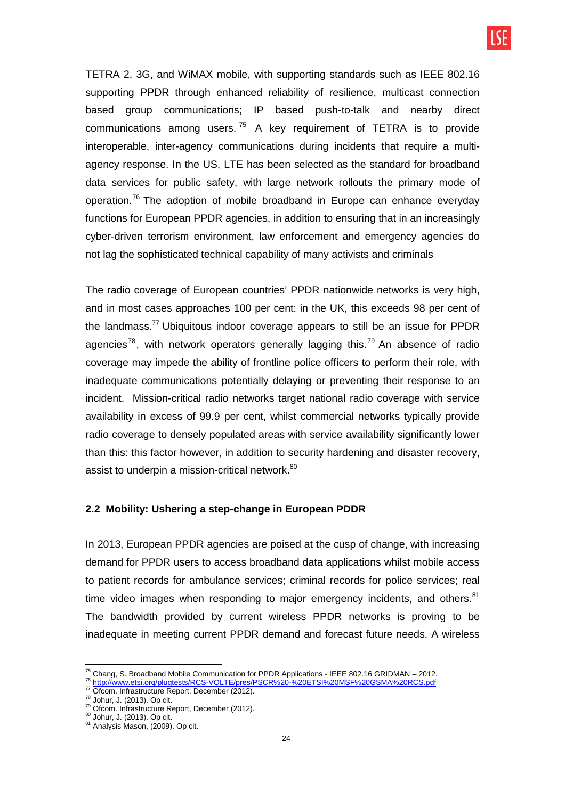TETRA 2, 3G, and WiMAX mobile, with supporting standards such as IEEE 802.16 supporting PPDR through enhanced reliability of resilience, multicast connection based group communications; IP based push-to-talk and nearby direct communications among users.<sup>75</sup> A key requirement of TETRA is to provide interoperable, inter-agency communications during incidents that require a multiagency response. In the US, LTE has been selected as the standard for broadband data services for public safety, with large network rollouts the primary mode of operation.<sup>76</sup> The adoption of mobile broadband in Europe can enhance everyday functions for European PPDR agencies, in addition to ensuring that in an increasingly cyber-driven terrorism environment, law enforcement and emergency agencies do not lag the sophisticated technical capability of many activists and criminals

The radio coverage of European countries' PPDR nationwide networks is very high, and in most cases approaches 100 per cent: in the UK, this exceeds 98 per cent of the landmass.<sup>77</sup> Ubiquitous indoor coverage appears to still be an issue for PPDR agencies<sup>78</sup>, with network operators generally lagging this.<sup>79</sup> An absence of radio coverage may impede the ability of frontline police officers to perform their role, with inadequate communications potentially delaying or preventing their response to an incident. Mission-critical radio networks target national radio coverage with service availability in excess of 99.9 per cent, whilst commercial networks typically provide radio coverage to densely populated areas with service availability significantly lower than this: this factor however, in addition to security hardening and disaster recovery, assist to underpin a mission-critical network.<sup>80</sup>

## **2.2 Mobility: Ushering a step-change in European PDDR**

In 2013, European PPDR agencies are poised at the cusp of change, with increasing demand for PPDR users to access broadband data applications whilst mobile access to patient records for ambulance services; criminal records for police services; real time video images when responding to major emergency incidents, and others. $81$ The bandwidth provided by current wireless PPDR networks is proving to be inadequate in meeting current PPDR demand and forecast future needs. A wireless

 $\overline{a}$ 

<sup>&</sup>lt;sup>75</sup> Chang, S. Broadband Mobile Communication for PPDR Applications - IEEE 802.16 GRIDMAN – 2012.

<sup>76</sup> http://www.etsi.org/plugtests/RCS-VOLTE/pres/PSCR%20-%20ETSI%20MSF%20GSMA%20RCS.pdf

<sup>77</sup> Ofcom. Infrastructure Report, December (2012).

<sup>78</sup> Johur, J. (2013). Op cit.

<sup>79</sup> Ofcom. Infrastructure Report, December (2012).

<sup>80</sup> Johur, J. (2013). Op cit. 81 Analysis Mason, (2009). Op cit.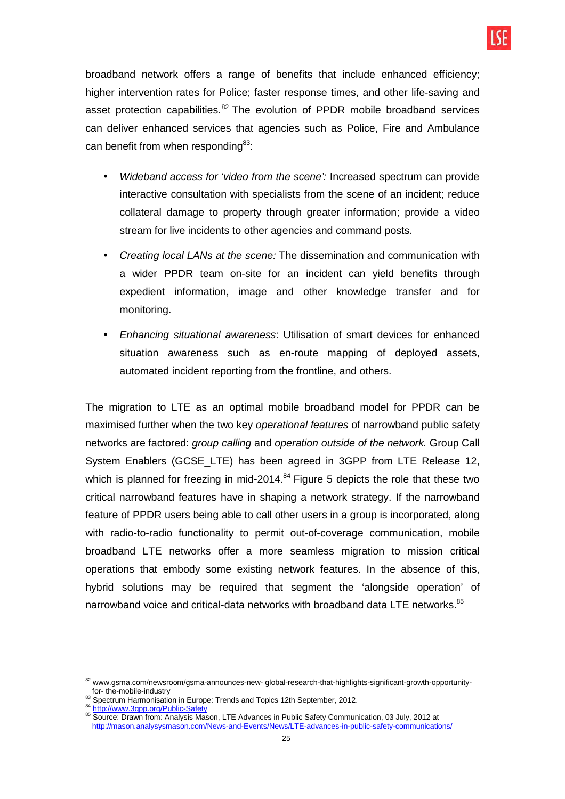broadband network offers a range of benefits that include enhanced efficiency; higher intervention rates for Police; faster response times, and other life-saving and asset protection capabilities. $82$  The evolution of PPDR mobile broadband services can deliver enhanced services that agencies such as Police, Fire and Ambulance can benefit from when responding<sup>83</sup>:

- Wideband access for 'video from the scene': Increased spectrum can provide interactive consultation with specialists from the scene of an incident; reduce collateral damage to property through greater information; provide a video stream for live incidents to other agencies and command posts.
- Creating local LANs at the scene: The dissemination and communication with a wider PPDR team on-site for an incident can yield benefits through expedient information, image and other knowledge transfer and for monitoring.
- Enhancing situational awareness: Utilisation of smart devices for enhanced situation awareness such as en-route mapping of deployed assets, automated incident reporting from the frontline, and others.

The migration to LTE as an optimal mobile broadband model for PPDR can be maximised further when the two key operational features of narrowband public safety networks are factored: group calling and operation outside of the network. Group Call System Enablers (GCSE\_LTE) has been agreed in 3GPP from LTE Release 12, which is planned for freezing in mid-2014. $84$  Figure 5 depicts the role that these two critical narrowband features have in shaping a network strategy. If the narrowband feature of PPDR users being able to call other users in a group is incorporated, along with radio-to-radio functionality to permit out-of-coverage communication, mobile broadband LTE networks offer a more seamless migration to mission critical operations that embody some existing network features. In the absence of this, hybrid solutions may be required that segment the 'alongside operation' of narrowband voice and critical-data networks with broadband data LTE networks. $85$ 

 $\overline{a}$ <sup>82</sup> www.gsma.com/newsroom/gsma-announces-new- global-research-that-highlights-significant-growth-opportunityfor- the-mobile-industry

<sup>83</sup> Spectrum Harmonisation in Europe: Trends and Topics 12th September, 2012.

<sup>84</sup> http://www.3gpp.org/Public-Safety

<sup>85</sup> Source: Drawn from: Analysis Mason, LTE Advances in Public Safety Communication, 03 July, 2012 at http://mason.analysysmason.com/News-and-Events/News/LTE-advances-in-public-safety-communications/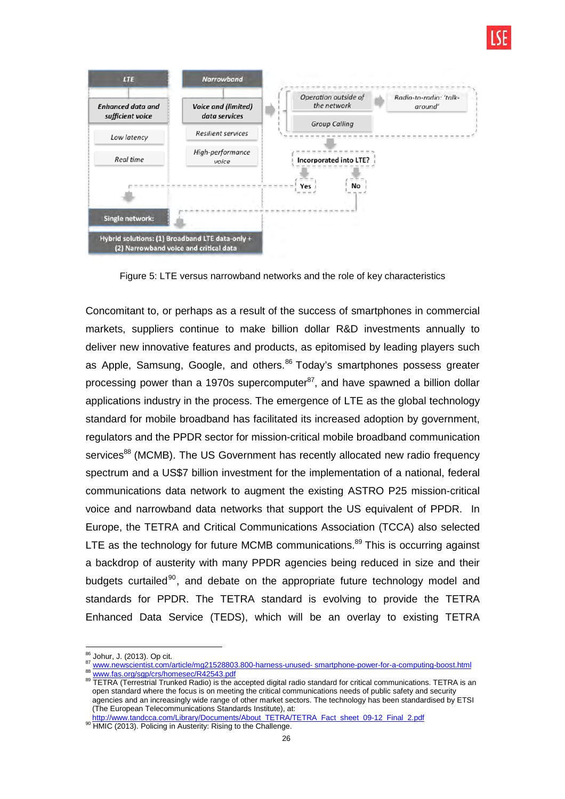



Figure 5: LTE versus narrowband networks and the role of key characteristics

Concomitant to, or perhaps as a result of the success of smartphones in commercial markets, suppliers continue to make billion dollar R&D investments annually to deliver new innovative features and products, as epitomised by leading players such as Apple, Samsung, Google, and others.<sup>86</sup> Today's smartphones possess greater processing power than a 1970s supercomputer<sup>87</sup>, and have spawned a billion dollar applications industry in the process. The emergence of LTE as the global technology standard for mobile broadband has facilitated its increased adoption by government, regulators and the PPDR sector for mission-critical mobile broadband communication services<sup>88</sup> (MCMB). The US Government has recently allocated new radio frequency spectrum and a US\$7 billion investment for the implementation of a national, federal communications data network to augment the existing ASTRO P25 mission-critical voice and narrowband data networks that support the US equivalent of PPDR. In Europe, the TETRA and Critical Communications Association (TCCA) also selected LTE as the technology for future MCMB communications. $89$  This is occurring against a backdrop of austerity with many PPDR agencies being reduced in size and their budgets curtailed<sup>90</sup>, and debate on the appropriate future technology model and standards for PPDR. The TETRA standard is evolving to provide the TETRA Enhanced Data Service (TEDS), which will be an overlay to existing TETRA

90 HMIC (2013). Policing in Austerity: Rising to the Challenge.

 $\overline{\phantom{a}}$ <sup>86</sup> Johur, J. (2013). Op cit.

<sup>87</sup> www.newscientist.com/article/mg21528803.800-harness-unused- smartphone-power-for-a-computing-boost.html

<sup>88</sup> www.fas.org/sgp/crs/homesec/R42543.pdf

<sup>89</sup> TETRA (Terrestrial Trunked Radio) is the accepted digital radio standard for critical communications. TETRA is an open standard where the focus is on meeting the critical communications needs of public safety and security agencies and an increasingly wide range of other market sectors. The technology has been standardised by ETSI (The European Telecommunications Standards Institute), at:

http://www.tandcca.com/Library/Documents/About\_TETRA/TETRA\_Fact\_sheet\_09-12\_Final\_2.pdf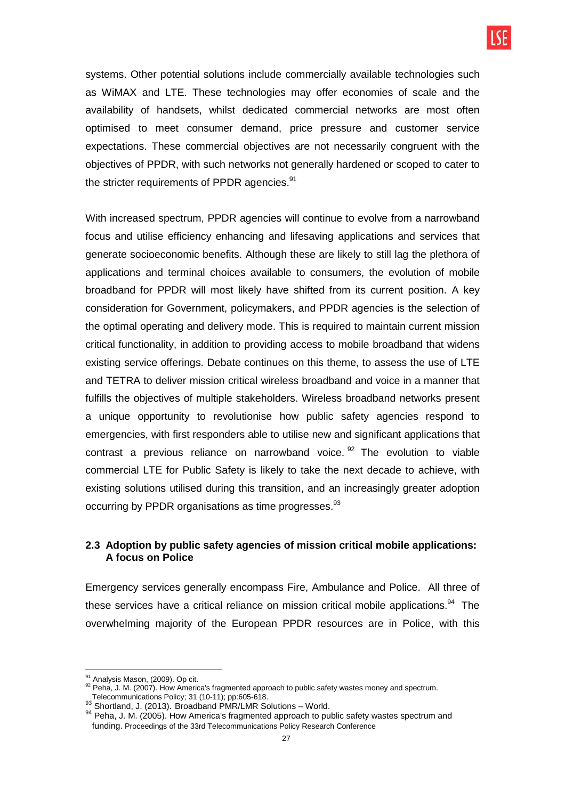systems. Other potential solutions include commercially available technologies such as WiMAX and LTE. These technologies may offer economies of scale and the availability of handsets, whilst dedicated commercial networks are most often optimised to meet consumer demand, price pressure and customer service expectations. These commercial objectives are not necessarily congruent with the objectives of PPDR, with such networks not generally hardened or scoped to cater to the stricter requirements of PPDR agencies.<sup>91</sup>

With increased spectrum, PPDR agencies will continue to evolve from a narrowband focus and utilise efficiency enhancing and lifesaving applications and services that generate socioeconomic benefits. Although these are likely to still lag the plethora of applications and terminal choices available to consumers, the evolution of mobile broadband for PPDR will most likely have shifted from its current position. A key consideration for Government, policymakers, and PPDR agencies is the selection of the optimal operating and delivery mode. This is required to maintain current mission critical functionality, in addition to providing access to mobile broadband that widens existing service offerings. Debate continues on this theme, to assess the use of LTE and TETRA to deliver mission critical wireless broadband and voice in a manner that fulfills the objectives of multiple stakeholders. Wireless broadband networks present a unique opportunity to revolutionise how public safety agencies respond to emergencies, with first responders able to utilise new and significant applications that contrast a previous reliance on narrowband voice.  $92$  The evolution to viable commercial LTE for Public Safety is likely to take the next decade to achieve, with existing solutions utilised during this transition, and an increasingly greater adoption occurring by PPDR organisations as time progresses.<sup>93</sup>

## **2.3 Adoption by public safety agencies of mission critical mobile applications: A focus on Police**

Emergency services generally encompass Fire, Ambulance and Police. All three of these services have a critical reliance on mission critical mobile applications.<sup>94</sup> The overwhelming majority of the European PPDR resources are in Police, with this

 $\overline{a}$ 

Analysis Mason, (2009). Op cit.

 $92$  Peha, J. M. (2007). How America's fragmented approach to public safety wastes money and spectrum. Telecommunications Policy; 31 (10-11); pp:605-618.

<sup>93</sup> Shortland, J. (2013). Broadband PMR/LMR Solutions - World.

<sup>94</sup> Peha, J. M. (2005). How America's fragmented approach to public safety wastes spectrum and funding. Proceedings of the 33rd Telecommunications Policy Research Conference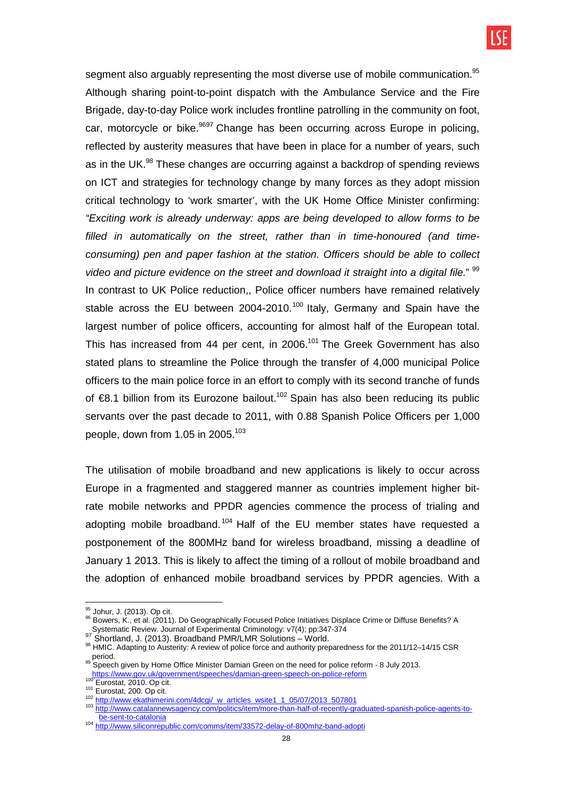segment also arguably representing the most diverse use of mobile communication.<sup>95</sup> Although sharing point-to-point dispatch with the Ambulance Service and the Fire Brigade, day-to-day Police work includes frontline patrolling in the community on foot, car, motorcycle or bike.<sup>9697</sup> Change has been occurring across Europe in policing, reflected by austerity measures that have been in place for a number of years, such as in the UK.<sup>98</sup> These changes are occurring against a backdrop of spending reviews on ICT and strategies for technology change by many forces as they adopt mission critical technology to 'work smarter', with the UK Home Office Minister confirming: "Exciting work is already underway: apps are being developed to allow forms to be filled in automatically on the street, rather than in time-honoured (and timeconsuming) pen and paper fashion at the station. Officers should be able to collect video and picture evidence on the street and download it straight into a digital file."  $99$ In contrast to UK Police reduction,, Police officer numbers have remained relatively stable across the EU between 2004-2010.<sup>100</sup> Italy, Germany and Spain have the largest number of police officers, accounting for almost half of the European total. This has increased from 44 per cent, in 2006.<sup>101</sup> The Greek Government has also stated plans to streamline the Police through the transfer of 4,000 municipal Police officers to the main police force in an effort to comply with its second tranche of funds of €8.1 billion from its Eurozone bailout.<sup>102</sup> Spain has also been reducing its public servants over the past decade to 2011, with 0.88 Spanish Police Officers per 1,000 people, down from 1.05 in 2005. $^{103}$ 

The utilisation of mobile broadband and new applications is likely to occur across Europe in a fragmented and staggered manner as countries implement higher bitrate mobile networks and PPDR agencies commence the process of trialing and adopting mobile broadband.<sup>104</sup> Half of the EU member states have requested a postponement of the 800MHz band for wireless broadband, missing a deadline of January 1 2013. This is likely to affect the timing of a rollout of mobile broadband and the adoption of enhanced mobile broadband services by PPDR agencies. With a

 $\overline{\phantom{a}}$ <sup>95</sup> Johur, J. (2013). Op cit.

<sup>96</sup> Bowers, K., et al. (2011). Do Geographically Focused Police Initiatives Displace Crime or Diffuse Benefits? A Systematic Review. Journal of Experimental Criminology: v7(4); pp:347-374<br><sup>97</sup> Shortland, J. (2013). Broadband PMR/LMR Solutions – World.

<sup>98</sup> HMIC. Adapting to Austerity: A review of police force and authority preparedness for the 2011/12–14/15 CSR <sub>s</sub> period.<br><sup>99</sup> Speech given by Home Office Minister Damian Green on the need for police reform - 8 July 2013.

https://www.gov.uk/government/speeches/damian-green-speech-on-police-reform blues and the Eurostat, 2010. Op cit.

 $\frac{101}{102}$  Eurostat, 200. Op cit. http://www.ekathimerini.com/4dcgi/\_w\_articles\_wsite1\_1\_05/07/2013\_507801

<sup>103</sup> http://www.catalannewsagency.com/politics/item/more-than-half-of-recently-graduated-spanish-police-agents-tobe-sent-to-catalonia

<sup>104</sup> http://www.siliconrepublic.com/comms/item/33572-delay-of-800mhz-band-adopti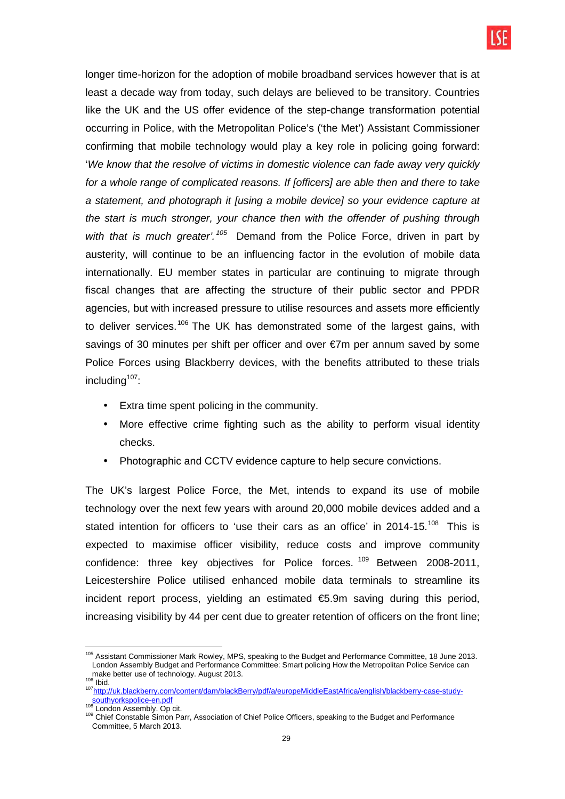longer time-horizon for the adoption of mobile broadband services however that is at least a decade way from today, such delays are believed to be transitory. Countries like the UK and the US offer evidence of the step-change transformation potential occurring in Police, with the Metropolitan Police's ('the Met') Assistant Commissioner confirming that mobile technology would play a key role in policing going forward: 'We know that the resolve of victims in domestic violence can fade away very quickly for a whole range of complicated reasons. If [officers] are able then and there to take a statement, and photograph it [using a mobile device] so your evidence capture at the start is much stronger, your chance then with the offender of pushing through with that is much greater'.<sup>105</sup> Demand from the Police Force, driven in part by austerity, will continue to be an influencing factor in the evolution of mobile data internationally. EU member states in particular are continuing to migrate through fiscal changes that are affecting the structure of their public sector and PPDR agencies, but with increased pressure to utilise resources and assets more efficiently to deliver services.<sup>106</sup> The UK has demonstrated some of the largest gains, with savings of 30 minutes per shift per officer and over €7m per annum saved by some Police Forces using Blackberry devices, with the benefits attributed to these trials including $107$ :

- Extra time spent policing in the community.
- More effective crime fighting such as the ability to perform visual identity checks.
- Photographic and CCTV evidence capture to help secure convictions.

The UK's largest Police Force, the Met, intends to expand its use of mobile technology over the next few years with around 20,000 mobile devices added and a stated intention for officers to 'use their cars as an office' in 2014-15.<sup>108</sup> This is expected to maximise officer visibility, reduce costs and improve community confidence: three key objectives for Police forces.<sup>109</sup> Between 2008-2011. Leicestershire Police utilised enhanced mobile data terminals to streamline its incident report process, yielding an estimated €5.9m saving during this period, increasing visibility by 44 per cent due to greater retention of officers on the front line;

 <sup>105</sup> Assistant Commissioner Mark Rowley, MPS, speaking to the Budget and Performance Committee, 18 June 2013. London Assembly Budget and Performance Committee: Smart policing How the Metropolitan Police Service can make better use of technology. August 2013. <sup>106</sup> Ibid.

<sup>107</sup>http://uk.blackberry.com/content/dam/blackBerry/pdf/a/europeMiddleEastAfrica/english/blackberry-case-studysouthyorkspolice-en.pdf<br><sup>108</sup> London Assembly. Op cit.

<sup>109</sup> Chief Constable Simon Parr, Association of Chief Police Officers, speaking to the Budget and Performance Committee, 5 March 2013.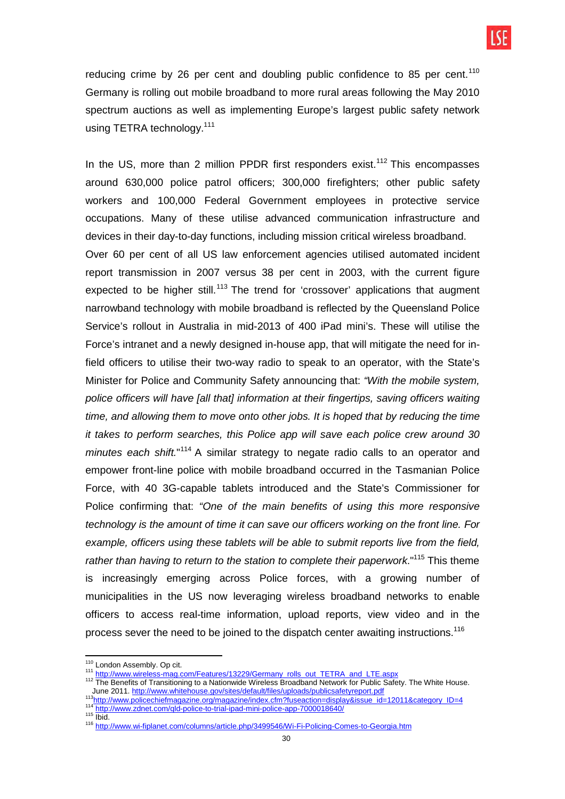reducing crime by 26 per cent and doubling public confidence to 85 per cent.<sup>110</sup> Germany is rolling out mobile broadband to more rural areas following the May 2010 spectrum auctions as well as implementing Europe's largest public safety network using TETRA technology.<sup>111</sup>

In the US, more than 2 million PPDR first responders exist.<sup>112</sup> This encompasses around 630,000 police patrol officers; 300,000 firefighters; other public safety workers and 100,000 Federal Government employees in protective service occupations. Many of these utilise advanced communication infrastructure and devices in their day-to-day functions, including mission critical wireless broadband. Over 60 per cent of all US law enforcement agencies utilised automated incident report transmission in 2007 versus 38 per cent in 2003, with the current figure expected to be higher still.<sup>113</sup> The trend for 'crossover' applications that augment narrowband technology with mobile broadband is reflected by the Queensland Police Service's rollout in Australia in mid-2013 of 400 iPad mini's. These will utilise the Force's intranet and a newly designed in-house app, that will mitigate the need for infield officers to utilise their two-way radio to speak to an operator, with the State's Minister for Police and Community Safety announcing that: "With the mobile system, police officers will have [all that] information at their fingertips, saving officers waiting time, and allowing them to move onto other jobs. It is hoped that by reducing the time it takes to perform searches, this Police app will save each police crew around 30 minutes each shift."<sup>114</sup> A similar strategy to negate radio calls to an operator and empower front-line police with mobile broadband occurred in the Tasmanian Police Force, with 40 3G-capable tablets introduced and the State's Commissioner for Police confirming that: "One of the main benefits of using this more responsive technology is the amount of time it can save our officers working on the front line. For example, officers using these tablets will be able to submit reports live from the field, rather than having to return to the station to complete their paperwork."<sup>115</sup> This theme is increasingly emerging across Police forces, with a growing number of municipalities in the US now leveraging wireless broadband networks to enable officers to access real-time information, upload reports, view video and in the process sever the need to be joined to the dispatch center awaiting instructions.<sup>116</sup>

 $\overline{a}$ 

<sup>&</sup>lt;sup>110</sup> London Assembly. Op cit.

<sup>&</sup>lt;sup>111</sup> http://www.wireless-mag.com/Features/13229/Germany\_rolls\_out\_TETRA\_and\_LTE.aspx

<sup>&</sup>lt;sup>112</sup> The Benefits of Transitioning to a Nationwide Wireless Broadband Network for Public Safety. The White House. June 2011. http://www.whitehouse.gov/sites/default/files/uploads/publicsafetyreport.pdf

<sup>113</sup>http://www.policechiefmagazine.org/magazine/index.cfm?fuseaction=display&issue\_id=12011&category\_ID=4 <sup>114</sup> http://www.zdnet.com/qld-police-to-trial-ipad-mini-police-app-7000018640/  $115$   $\overline{\text{lbid}}$ .

<sup>116</sup> http://www.wi-fiplanet.com/columns/article.php/3499546/Wi-Fi-Policing-Comes-to-Georgia.htm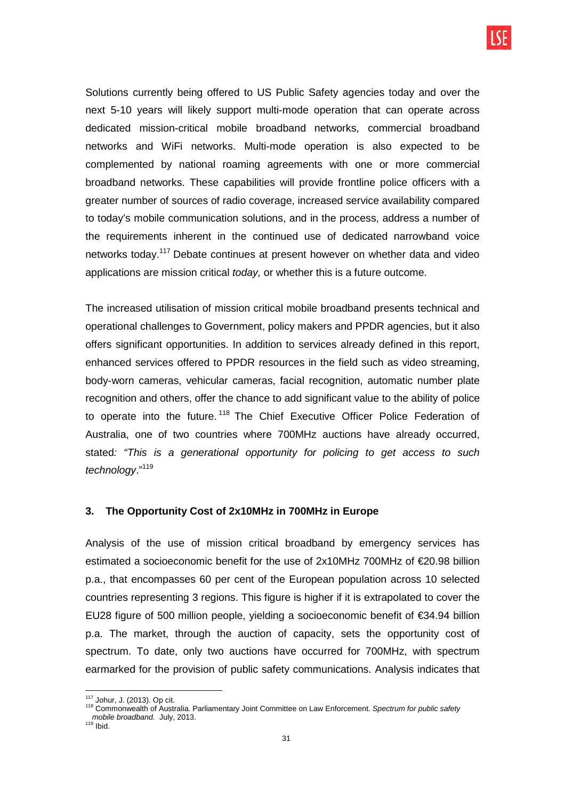Solutions currently being offered to US Public Safety agencies today and over the next 5-10 years will likely support multi-mode operation that can operate across dedicated mission-critical mobile broadband networks, commercial broadband networks and WiFi networks. Multi-mode operation is also expected to be complemented by national roaming agreements with one or more commercial broadband networks. These capabilities will provide frontline police officers with a greater number of sources of radio coverage, increased service availability compared to today's mobile communication solutions, and in the process, address a number of the requirements inherent in the continued use of dedicated narrowband voice networks today.<sup>117</sup> Debate continues at present however on whether data and video applications are mission critical today, or whether this is a future outcome.

The increased utilisation of mission critical mobile broadband presents technical and operational challenges to Government, policy makers and PPDR agencies, but it also offers significant opportunities. In addition to services already defined in this report, enhanced services offered to PPDR resources in the field such as video streaming, body-worn cameras, vehicular cameras, facial recognition, automatic number plate recognition and others, offer the chance to add significant value to the ability of police to operate into the future.<sup>118</sup> The Chief Executive Officer Police Federation of Australia, one of two countries where 700MHz auctions have already occurred, stated: "This is a generational opportunity for policing to get access to such technology."<sup>119</sup>

## **3. The Opportunity Cost of 2x10MHz in 700MHz in Europe**

Analysis of the use of mission critical broadband by emergency services has estimated a socioeconomic benefit for the use of 2x10MHz 700MHz of €20.98 billion p.a., that encompasses 60 per cent of the European population across 10 selected countries representing 3 regions. This figure is higher if it is extrapolated to cover the EU28 figure of 500 million people, yielding a socioeconomic benefit of €34.94 billion p.a. The market, through the auction of capacity, sets the opportunity cost of spectrum. To date, only two auctions have occurred for 700MHz, with spectrum earmarked for the provision of public safety communications. Analysis indicates that

<sup>117</sup> Johur, J. (2013). Op cit.

<sup>&</sup>lt;sup>118</sup> Commonwealth of Australia. Parliamentary Joint Committee on Law Enforcement. Spectrum for public safety mobile broadband. July, 2013. mobile broadband. July, 2013.<br><sup>119</sup> Ibid.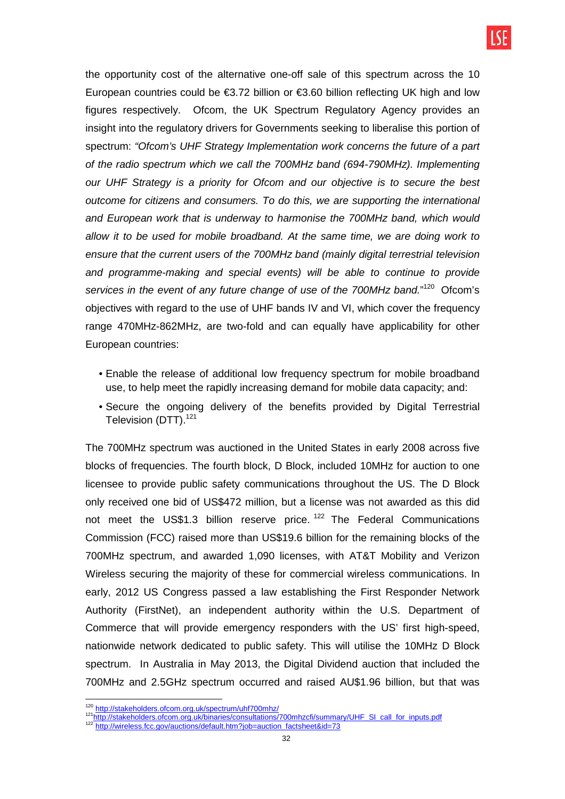the opportunity cost of the alternative one-off sale of this spectrum across the 10 European countries could be  $\epsilon$ 3.72 billion or  $\epsilon$ 3.60 billion reflecting UK high and low figures respectively. Ofcom, the UK Spectrum Regulatory Agency provides an insight into the regulatory drivers for Governments seeking to liberalise this portion of spectrum: "Ofcom's UHF Strategy Implementation work concerns the future of a part of the radio spectrum which we call the 700MHz band (694-790MHz). Implementing our UHF Strategy is a priority for Ofcom and our objective is to secure the best outcome for citizens and consumers. To do this, we are supporting the international and European work that is underway to harmonise the 700MHz band, which would allow it to be used for mobile broadband. At the same time, we are doing work to ensure that the current users of the 700MHz band (mainly digital terrestrial television and programme-making and special events) will be able to continue to provide services in the event of any future change of use of the 700MHz band."<sup>120</sup> Ofcom's objectives with regard to the use of UHF bands IV and VI, which cover the frequency range 470MHz-862MHz, are two-fold and can equally have applicability for other European countries:

- Enable the release of additional low frequency spectrum for mobile broadband use, to help meet the rapidly increasing demand for mobile data capacity; and:
- Secure the ongoing delivery of the benefits provided by Digital Terrestrial Television (DTT).<sup>121</sup>

The 700MHz spectrum was auctioned in the United States in early 2008 across five blocks of frequencies. The fourth block, D Block, included 10MHz for auction to one licensee to provide public safety communications throughout the US. The D Block only received one bid of US\$472 million, but a license was not awarded as this did not meet the US\$1.3 billion reserve price.<sup>122</sup> The Federal Communications Commission (FCC) raised more than US\$19.6 billion for the remaining blocks of the 700MHz spectrum, and awarded 1,090 licenses, with AT&T Mobility and Verizon Wireless securing the majority of these for commercial wireless communications. In early, 2012 US Congress passed a law establishing the First Responder Network Authority (FirstNet), an independent authority within the U.S. Department of Commerce that will provide emergency responders with the US' first high-speed, nationwide network dedicated to public safety. This will utilise the 10MHz D Block spectrum. In Australia in May 2013, the Digital Dividend auction that included the 700MHz and 2.5GHz spectrum occurred and raised AU\$1.96 billion, but that was

 <sup>120</sup> http://stakeholders.ofcom.org.uk/spectrum/uhf700mhz/

<sup>&</sup>lt;sup>121</sup>http://stakeholders.ofcom.org.uk/binaries/consultations/700mhzcfi/summary/UHF\_SI\_call\_for\_inputs.pdf

<sup>&</sup>lt;sup>122</sup> http://wireless.fcc.gov/auctions/default.htm?job=auction\_factsheet&id=73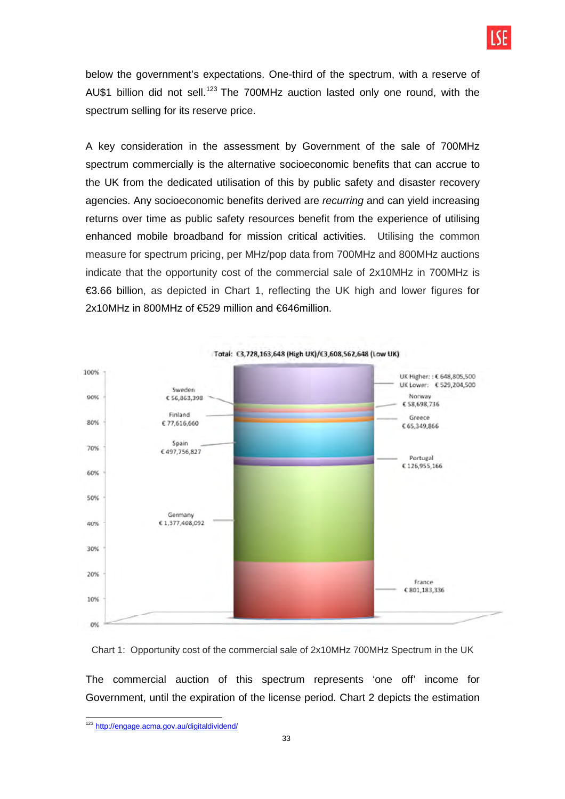

below the government's expectations. One-third of the spectrum, with a reserve of AU\$1 billion did not sell.<sup>123</sup> The 700MHz auction lasted only one round, with the spectrum selling for its reserve price.

A key consideration in the assessment by Government of the sale of 700MHz spectrum commercially is the alternative socioeconomic benefits that can accrue to the UK from the dedicated utilisation of this by public safety and disaster recovery agencies. Any socioeconomic benefits derived are recurring and can yield increasing returns over time as public safety resources benefit from the experience of utilising enhanced mobile broadband for mission critical activities. Utilising the common measure for spectrum pricing, per MHz/pop data from 700MHz and 800MHz auctions indicate that the opportunity cost of the commercial sale of 2x10MHz in 700MHz is €3.66 billion, as depicted in Chart 1, reflecting the UK high and lower figures for 2x10MHz in 800MHz of €529 million and €646million.



Chart 1: Opportunity cost of the commercial sale of 2x10MHz 700MHz Spectrum in the UK

The commercial auction of this spectrum represents 'one off' income for Government, until the expiration of the license period. Chart 2 depicts the estimation

 $\overline{a}$ 

<sup>&</sup>lt;sup>123</sup> http://engage.acma.gov.au/digitaldividend/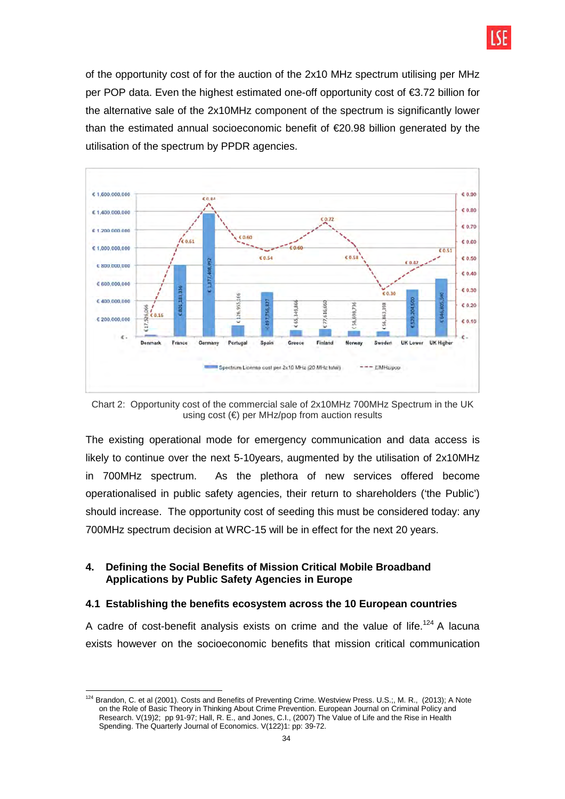

of the opportunity cost of for the auction of the 2x10 MHz spectrum utilising per MHz per POP data. Even the highest estimated one-off opportunity cost of €3.72 billion for the alternative sale of the 2x10MHz component of the spectrum is significantly lower than the estimated annual socioeconomic benefit of €20.98 billion generated by the utilisation of the spectrum by PPDR agencies.



Chart 2: Opportunity cost of the commercial sale of 2x10MHz 700MHz Spectrum in the UK using cost  $(\epsilon)$  per MHz/pop from auction results

The existing operational mode for emergency communication and data access is likely to continue over the next 5-10years, augmented by the utilisation of 2x10MHz in 700MHz spectrum. As the plethora of new services offered become operationalised in public safety agencies, their return to shareholders ('the Public') should increase. The opportunity cost of seeding this must be considered today: any 700MHz spectrum decision at WRC-15 will be in effect for the next 20 years.

### **4. Defining the Social Benefits of Mission Critical Mobile Broadband Applications by Public Safety Agencies in Europe**

#### **4.1 Establishing the benefits ecosystem across the 10 European countries**

A cadre of cost-benefit analysis exists on crime and the value of life.<sup>124</sup> A lacuna exists however on the socioeconomic benefits that mission critical communication

 $\overline{a}$ <sup>124</sup> Brandon, C. et al (2001). Costs and Benefits of Preventing Crime. Westview Press. U.S.;, M. R., (2013); A Note on the Role of Basic Theory in Thinking About Crime Prevention. European Journal on Criminal Policy and Research. V(19)2; pp 91-97; Hall, R. E., and Jones, C.I., (2007) The Value of Life and the Rise in Health Spending. The Quarterly Journal of Economics. V(122)1: pp: 39-72.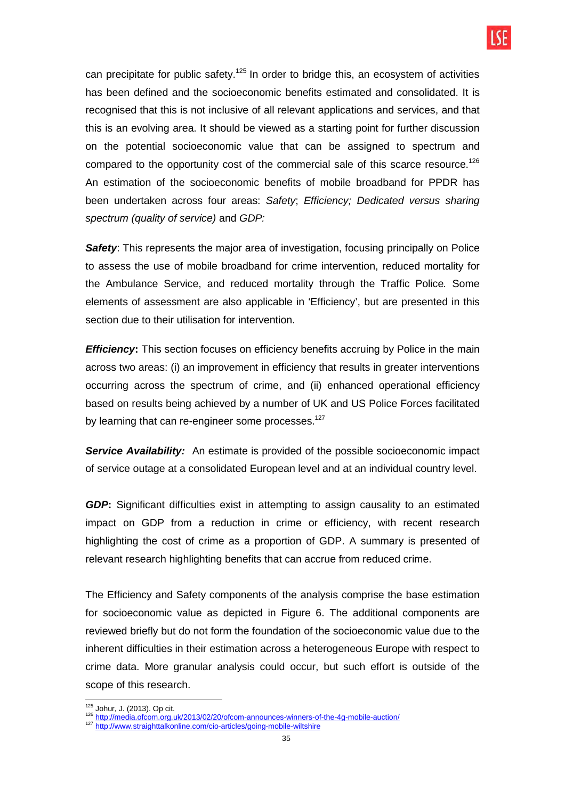

can precipitate for public safety.<sup>125</sup> In order to bridge this, an ecosystem of activities has been defined and the socioeconomic benefits estimated and consolidated. It is recognised that this is not inclusive of all relevant applications and services, and that this is an evolving area. It should be viewed as a starting point for further discussion on the potential socioeconomic value that can be assigned to spectrum and compared to the opportunity cost of the commercial sale of this scarce resource.<sup>126</sup> An estimation of the socioeconomic benefits of mobile broadband for PPDR has been undertaken across four areas: Safety; Efficiency; Dedicated versus sharing spectrum (quality of service) and GDP:

**Safety:** This represents the major area of investigation, focusing principally on Police to assess the use of mobile broadband for crime intervention, reduced mortality for the Ambulance Service, and reduced mortality through the Traffic Police. Some elements of assessment are also applicable in 'Efficiency', but are presented in this section due to their utilisation for intervention.

**Efficiency:** This section focuses on efficiency benefits accruing by Police in the main across two areas: (i) an improvement in efficiency that results in greater interventions occurring across the spectrum of crime, and (ii) enhanced operational efficiency based on results being achieved by a number of UK and US Police Forces facilitated by learning that can re-engineer some processes. $127$ 

**Service Availability:** An estimate is provided of the possible socioeconomic impact of service outage at a consolidated European level and at an individual country level.

**GDP:** Significant difficulties exist in attempting to assign causality to an estimated impact on GDP from a reduction in crime or efficiency, with recent research highlighting the cost of crime as a proportion of GDP. A summary is presented of relevant research highlighting benefits that can accrue from reduced crime.

The Efficiency and Safety components of the analysis comprise the base estimation for socioeconomic value as depicted in Figure 6. The additional components are reviewed briefly but do not form the foundation of the socioeconomic value due to the inherent difficulties in their estimation across a heterogeneous Europe with respect to crime data. More granular analysis could occur, but such effort is outside of the scope of this research.

 <sup>125</sup> Johur, J. (2013). Op cit.

<sup>&</sup>lt;sup>126</sup> http://media.ofcom.org.uk/2013/02/20/ofcom-announces-winners-of-the-4g-mobile-auction/

<sup>127</sup> http://www.straighttalkonline.com/cio-articles/going-mobile-wiltshire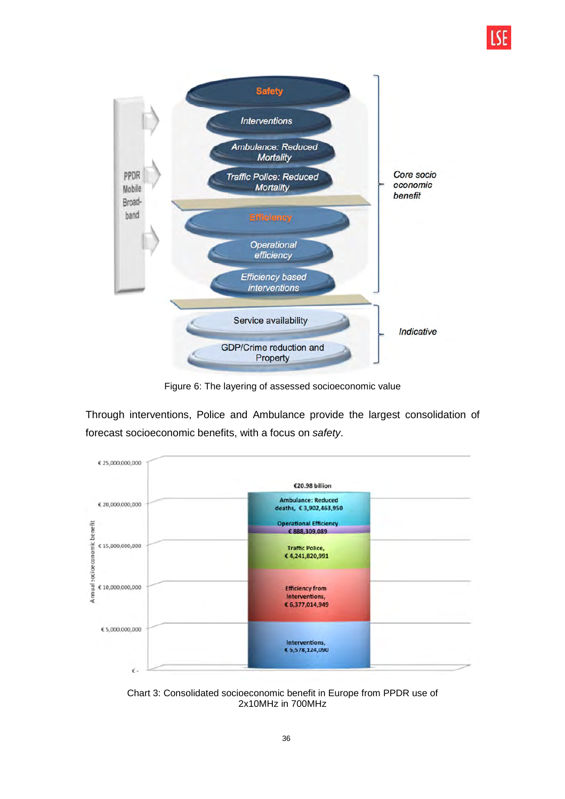

Figure 6: The layering of assessed socioeconomic value

Through interventions, Police and Ambulance provide the largest consolidation of forecast socioeconomic benefits, with a focus on safety.



Chart 3: Consolidated socioeconomic benefit in Europe from PPDR use of 2x10MHz in 700MHz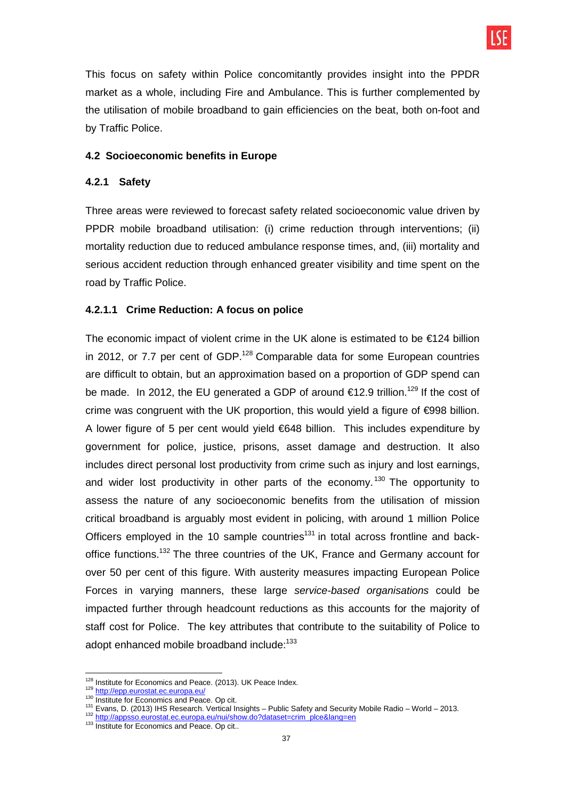

This focus on safety within Police concomitantly provides insight into the PPDR market as a whole, including Fire and Ambulance. This is further complemented by the utilisation of mobile broadband to gain efficiencies on the beat, both on-foot and by Traffic Police.

### **4.2 Socioeconomic benefits in Europe**

### **4.2.1 Safety**

Three areas were reviewed to forecast safety related socioeconomic value driven by PPDR mobile broadband utilisation: (i) crime reduction through interventions; (ii) mortality reduction due to reduced ambulance response times, and, (iii) mortality and serious accident reduction through enhanced greater visibility and time spent on the road by Traffic Police.

## **4.2.1.1 Crime Reduction: A focus on police**

The economic impact of violent crime in the UK alone is estimated to be €124 billion in 2012, or 7.7 per cent of GDP.<sup>128</sup> Comparable data for some European countries are difficult to obtain, but an approximation based on a proportion of GDP spend can be made. In 2012, the EU generated a GDP of around  $\epsilon$ 12.9 trillion.<sup>129</sup> If the cost of crime was congruent with the UK proportion, this would yield a figure of €998 billion. A lower figure of 5 per cent would yield €648 billion. This includes expenditure by government for police, justice, prisons, asset damage and destruction. It also includes direct personal lost productivity from crime such as injury and lost earnings, and wider lost productivity in other parts of the economy.<sup>130</sup> The opportunity to assess the nature of any socioeconomic benefits from the utilisation of mission critical broadband is arguably most evident in policing, with around 1 million Police Officers employed in the 10 sample countries<sup>131</sup> in total across frontline and backoffice functions.<sup>132</sup> The three countries of the UK, France and Germany account for over 50 per cent of this figure. With austerity measures impacting European Police Forces in varying manners, these large service-based organisations could be impacted further through headcount reductions as this accounts for the majority of staff cost for Police. The key attributes that contribute to the suitability of Police to adopt enhanced mobile broadband include:<sup>133</sup>

 $\overline{a}$ <sup>128</sup> Institute for Economics and Peace. (2013). UK Peace Index.

<sup>129</sup> http://epp.eurostat.ec.europa.eu/

<sup>130</sup> Institute for Economics and Peace. Op cit.

<sup>131</sup> Evans, D. (2013) IHS Research. Vertical Insights – Public Safety and Security Mobile Radio – World – 2013.

<sup>132</sup> http://appsso.eurostat.ec.europa.eu/nui/show.do?dataset=crim\_plce&lang=en

<sup>133</sup> Institute for Economics and Peace. Op cit..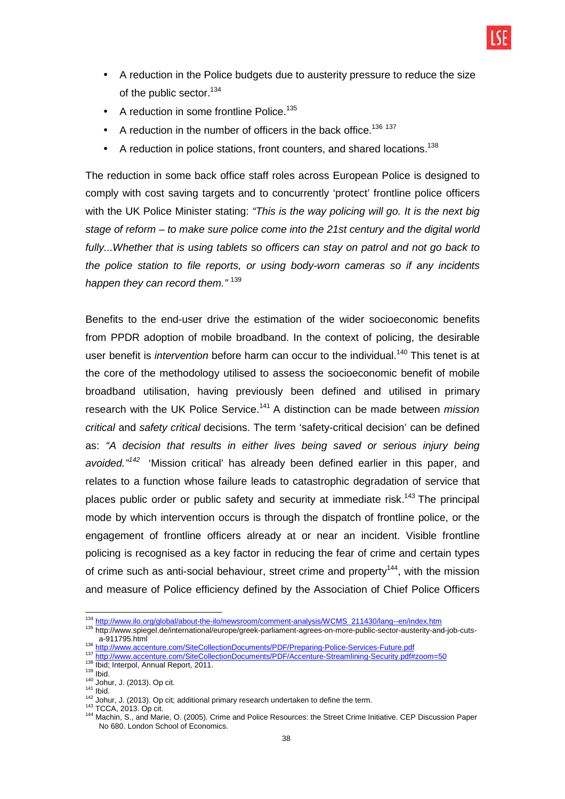

- A reduction in the Police budgets due to austerity pressure to reduce the size of the public sector.<sup>134</sup>
- A reduction in some frontline Police.<sup>135</sup>
- A reduction in the number of officers in the back office.<sup>136 137</sup>
- A reduction in police stations, front counters, and shared locations.<sup>138</sup>

The reduction in some back office staff roles across European Police is designed to comply with cost saving targets and to concurrently 'protect' frontline police officers with the UK Police Minister stating: "This is the way policing will go. It is the next big stage of reform – to make sure police come into the 21st century and the digital world fully...Whether that is using tablets so officers can stay on patrol and not go back to the police station to file reports, or using body-worn cameras so if any incidents happen they can record them."<sup>139</sup>

Benefits to the end-user drive the estimation of the wider socioeconomic benefits from PPDR adoption of mobile broadband. In the context of policing, the desirable user benefit is *intervention* before harm can occur to the individual.<sup>140</sup> This tenet is at the core of the methodology utilised to assess the socioeconomic benefit of mobile broadband utilisation, having previously been defined and utilised in primary research with the UK Police Service.<sup>141</sup> A distinction can be made between *mission* critical and safety critical decisions. The term 'safety-critical decision' can be defined as: "A decision that results in either lives being saved or serious injury being avoided."<sup>142</sup> 'Mission critical' has already been defined earlier in this paper, and relates to a function whose failure leads to catastrophic degradation of service that places public order or public safety and security at immediate risk.<sup>143</sup> The principal mode by which intervention occurs is through the dispatch of frontline police, or the engagement of frontline officers already at or near an incident. Visible frontline policing is recognised as a key factor in reducing the fear of crime and certain types of crime such as anti-social behaviour, street crime and property<sup>144</sup>, with the mission and measure of Police efficiency defined by the Association of Chief Police Officers

<sup>136</sup> http://www.accenture.com/SiteCollectionDocuments/PDF/Preparing-Police-Services-Future.pdf

<sup>143</sup> TCCA, 2013. Op cit.

 <sup>134</sup> http://www.ilo.org/global/about-the-ilo/newsroom/comment-analysis/WCMS\_211430/lang--en/index.htm

<sup>135</sup> http://www.spiegel.de/international/europe/greek-parliament-agrees-on-more-public-sector-austerity-and-job-cutsa-911795.html

<sup>137</sup> http://www.accenture.com/SiteCollectionDocuments/PDF/Accenture-Streamlining-Security.pdf#zoom=50

<sup>138</sup> Ibid; Interpol, Annual Report, 2011.

 $139$  Ibid.

<sup>140</sup> Johur, J. (2013). Op cit.  $141$  Ibid.

<sup>142</sup> Johur, J. (2013). Op cit; additional primary research undertaken to define the term.

<sup>144</sup> Machin, S., and Marie, O. (2005). Crime and Police Resources: the Street Crime Initiative. CEP Discussion Paper No 680. London School of Economics.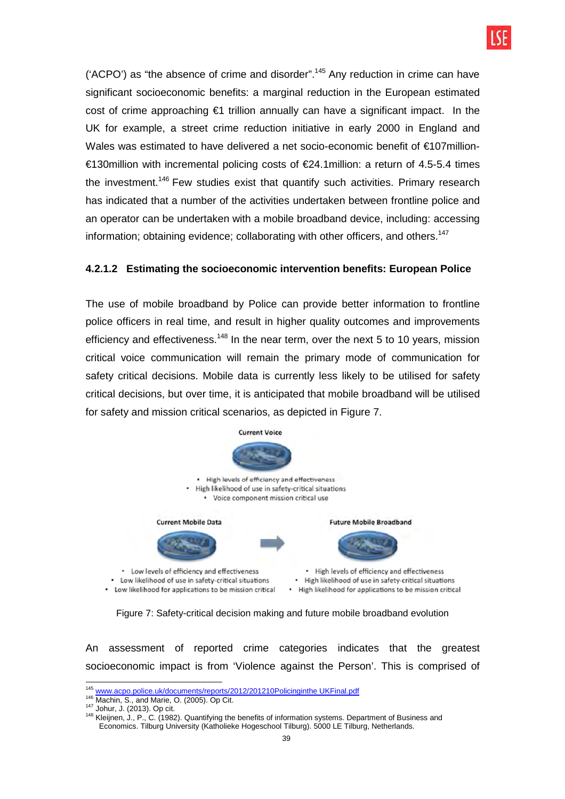

('ACPO') as "the absence of crime and disorder".<sup>145</sup> Any reduction in crime can have significant socioeconomic benefits: a marginal reduction in the European estimated cost of crime approaching €1 trillion annually can have a significant impact. In the UK for example, a street crime reduction initiative in early 2000 in England and Wales was estimated to have delivered a net socio-economic benefit of €107million- €130million with incremental policing costs of €24.1million: a return of 4.5-5.4 times the investment.<sup>146</sup> Few studies exist that quantify such activities. Primary research has indicated that a number of the activities undertaken between frontline police and an operator can be undertaken with a mobile broadband device, including: accessing information; obtaining evidence; collaborating with other officers, and others.<sup>147</sup>

### **4.2.1.2 Estimating the socioeconomic intervention benefits: European Police**

The use of mobile broadband by Police can provide better information to frontline police officers in real time, and result in higher quality outcomes and improvements efficiency and effectiveness.<sup>148</sup> In the near term, over the next 5 to 10 years, mission critical voice communication will remain the primary mode of communication for safety critical decisions. Mobile data is currently less likely to be utilised for safety critical decisions, but over time, it is anticipated that mobile broadband will be utilised for safety and mission critical scenarios, as depicted in Figure 7.



Figure 7: Safety-critical decision making and future mobile broadband evolution

An assessment of reported crime categories indicates that the greatest socioeconomic impact is from 'Violence against the Person'. This is comprised of

 <sup>145</sup> www.acpo.police.uk/documents/reports/2012/201210Policinginthe UKFinal.pdf

<sup>146</sup> **Machin, S., and Marie, O. (2005). Op Cit.** 

<sup>147</sup> Johur, J. (2013). Op cit.

<sup>148</sup> Kleijnen, J., P., C. (1982). Quantifying the benefits of information systems. Department of Business and Economics. Tilburg University (Katholieke Hogeschool Tilburg). 5000 LE Tilburg, Netherlands.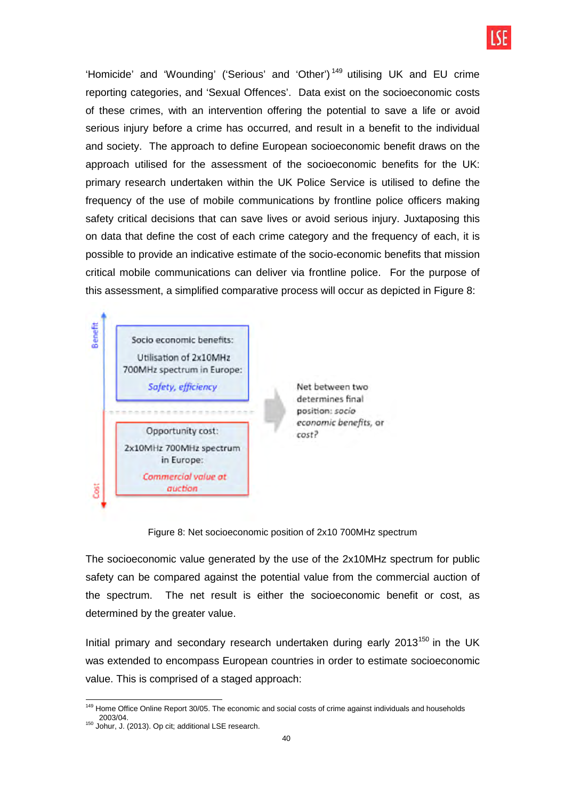

'Homicide' and 'Wounding' ('Serious' and 'Other') <sup>149</sup> utilising UK and EU crime reporting categories, and 'Sexual Offences'. Data exist on the socioeconomic costs of these crimes, with an intervention offering the potential to save a life or avoid serious injury before a crime has occurred, and result in a benefit to the individual and society. The approach to define European socioeconomic benefit draws on the approach utilised for the assessment of the socioeconomic benefits for the UK: primary research undertaken within the UK Police Service is utilised to define the frequency of the use of mobile communications by frontline police officers making safety critical decisions that can save lives or avoid serious injury. Juxtaposing this on data that define the cost of each crime category and the frequency of each, it is possible to provide an indicative estimate of the socio-economic benefits that mission critical mobile communications can deliver via frontline police. For the purpose of this assessment, a simplified comparative process will occur as depicted in Figure 8:



Figure 8: Net socioeconomic position of 2x10 700MHz spectrum

The socioeconomic value generated by the use of the 2x10MHz spectrum for public safety can be compared against the potential value from the commercial auction of the spectrum. The net result is either the socioeconomic benefit or cost, as determined by the greater value.

Initial primary and secondary research undertaken during early  $2013^{150}$  in the UK was extended to encompass European countries in order to estimate socioeconomic value. This is comprised of a staged approach:

 $\overline{a}$ <sup>149</sup> Home Office Online Report 30/05. The economic and social costs of crime against individuals and households 2003/04.

<sup>150</sup> Johur, J. (2013). Op cit; additional LSE research.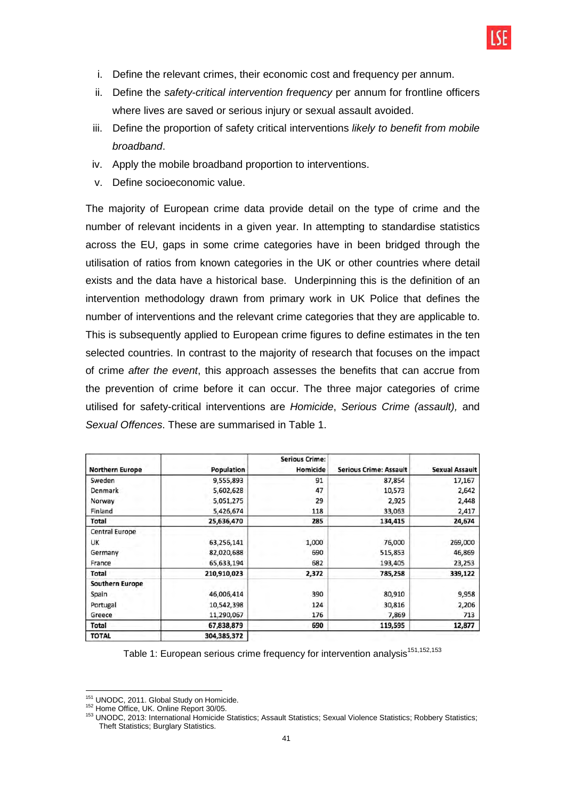

- i. Define the relevant crimes, their economic cost and frequency per annum.
- ii. Define the safety-critical intervention frequency per annum for frontline officers where lives are saved or serious injury or sexual assault avoided.
- iii. Define the proportion of safety critical interventions likely to benefit from mobile broadband.
- iv. Apply the mobile broadband proportion to interventions.
- v. Define socioeconomic value.

The majority of European crime data provide detail on the type of crime and the number of relevant incidents in a given year. In attempting to standardise statistics across the EU, gaps in some crime categories have in been bridged through the utilisation of ratios from known categories in the UK or other countries where detail exists and the data have a historical base. Underpinning this is the definition of an intervention methodology drawn from primary work in UK Police that defines the number of interventions and the relevant crime categories that they are applicable to. This is subsequently applied to European crime figures to define estimates in the ten selected countries. In contrast to the majority of research that focuses on the impact of crime after the event, this approach assesses the benefits that can accrue from the prevention of crime before it can occur. The three major categories of crime utilised for safety-critical interventions are Homicide, Serious Crime (assault), and Sexual Offences. These are summarised in Table 1.

| <b>Northern Europe</b> | Population  | <b>Serious Crime:</b><br>Homicide | <b>Serious Crime: Assault</b> | <b>Sexual Assault</b> |
|------------------------|-------------|-----------------------------------|-------------------------------|-----------------------|
| Sweden                 | 9,555,893   | 91                                | 87,854                        | 17,167                |
| Denmark                | 5,602,628   | 47                                | 10,573                        | 2,642                 |
| Norway                 | 5,051,275   | 29                                | 2,925                         | 2,448                 |
| Finland                | 5,426,674   | 118                               | 33,063                        | 2,417                 |
| Total                  | 25,636,470  | 285                               | 134,415                       | 24,674                |
| Central Europe         |             |                                   |                               |                       |
| <b>UK</b>              | 63,256,141  | 1,000                             | 76,000                        | 269,000               |
| Germany                | 82,020,688  | 690                               | 515,853                       | 46,869                |
| France                 | 65,633,194  | 682                               | 193,405                       | 23,253                |
| Total                  | 210,910,023 | 2,372                             | 785,258                       | 339,122               |
| <b>Southern Europe</b> |             |                                   |                               |                       |
| Spain                  | 46,006,414  | 390                               | 80,910                        | 9,958                 |
| Portugal               | 10,542,398  | 124                               | 30,816                        | 2,206                 |
| Greece                 | 11,290,067  | 176                               | 7,869                         | 713                   |
| Total                  | 67,838,879  | 690                               | 119,595                       | 12,877                |
| <b>TOTAL</b>           | 304,385,372 |                                   |                               |                       |

Table 1: European serious crime frequency for intervention analysis $151,152,153$ 

 $\overline{a}$ 

<sup>&</sup>lt;sup>151</sup> UNODC, 2011. Global Study on Homicide.

<sup>152</sup> Home Office, UK. Online Report 30/05.

<sup>153</sup> UNODC, 2013: International Homicide Statistics; Assault Statistics; Sexual Violence Statistics; Robbery Statistics; Theft Statistics; Burglary Statistics.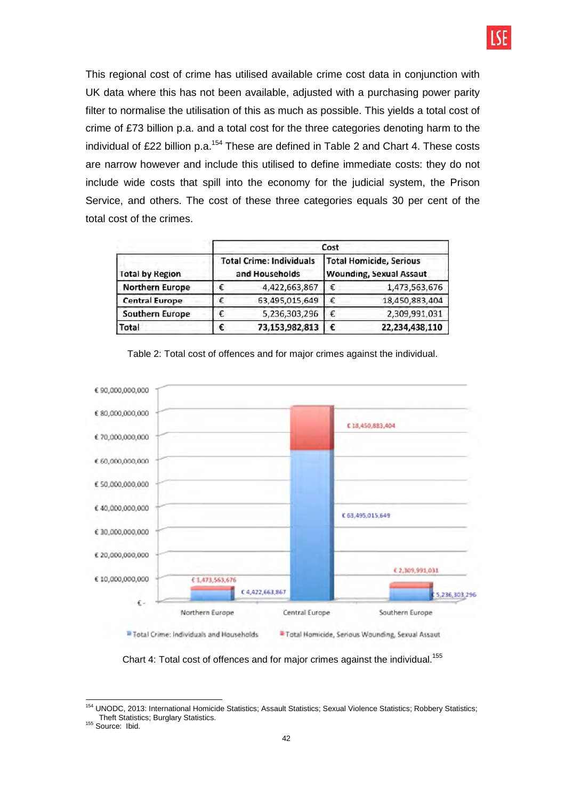

This regional cost of crime has utilised available crime cost data in conjunction with UK data where this has not been available, adjusted with a purchasing power parity filter to normalise the utilisation of this as much as possible. This yields a total cost of crime of £73 billion p.a. and a total cost for the three categories denoting harm to the individual of £22 billion p.a.<sup>154</sup> These are defined in Table 2 and Chart 4. These costs are narrow however and include this utilised to define immediate costs: they do not include wide costs that spill into the economy for the judicial system, the Prison Service, and others. The cost of these three categories equals 30 per cent of the total cost of the crimes.

|                        | Cost                                              |                |                                                                  |                |  |
|------------------------|---------------------------------------------------|----------------|------------------------------------------------------------------|----------------|--|
| <b>Total by Region</b> | <b>Total Crime: Individuals</b><br>and Households |                | <b>Total Homicide, Serious</b><br><b>Wounding, Sexual Assaut</b> |                |  |
| <b>Northern Europe</b> |                                                   | 4,422,663,867  | €                                                                | 1,473,563,676  |  |
| <b>Central Europe</b>  |                                                   | 63,495,015,649 | €                                                                | 18,450,883,404 |  |
| <b>Southern Europe</b> |                                                   | 5,236,303,296  | €                                                                | 2,309,991,031  |  |
| Total                  |                                                   | 73,153,982,813 | €                                                                | 22,234,438,110 |  |



Table 2: Total cost of offences and for major crimes against the individual.

Chart 4: Total cost of offences and for major crimes against the individual.<sup>155</sup>

 $\overline{a}$ <sup>154</sup> UNODC, 2013: International Homicide Statistics; Assault Statistics; Sexual Violence Statistics; Robbery Statistics; Theft Statistics; Burglary Statistics.

<sup>&</sup>lt;sup>155</sup> Source: Ibid.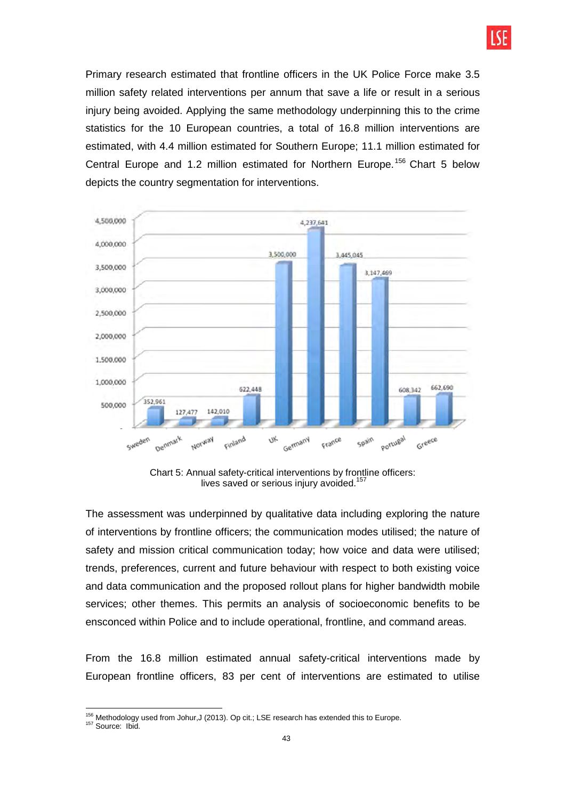

Primary research estimated that frontline officers in the UK Police Force make 3.5 million safety related interventions per annum that save a life or result in a serious injury being avoided. Applying the same methodology underpinning this to the crime statistics for the 10 European countries, a total of 16.8 million interventions are estimated, with 4.4 million estimated for Southern Europe; 11.1 million estimated for Central Europe and 1.2 million estimated for Northern Europe.<sup>156</sup> Chart 5 below depicts the country segmentation for interventions.



Chart 5: Annual safety-critical interventions by frontline officers: lives saved or serious injury avoided.<sup>157</sup>

The assessment was underpinned by qualitative data including exploring the nature of interventions by frontline officers; the communication modes utilised; the nature of safety and mission critical communication today; how voice and data were utilised; trends, preferences, current and future behaviour with respect to both existing voice and data communication and the proposed rollout plans for higher bandwidth mobile services; other themes. This permits an analysis of socioeconomic benefits to be ensconced within Police and to include operational, frontline, and command areas.

From the 16.8 million estimated annual safety-critical interventions made by European frontline officers, 83 per cent of interventions are estimated to utilise

 $\overline{a}$  $156$  Methodology used from Johur, J (2013). Op cit.; LSE research has extended this to Europe.

<sup>&</sup>lt;sup>157</sup> Source: Ibid.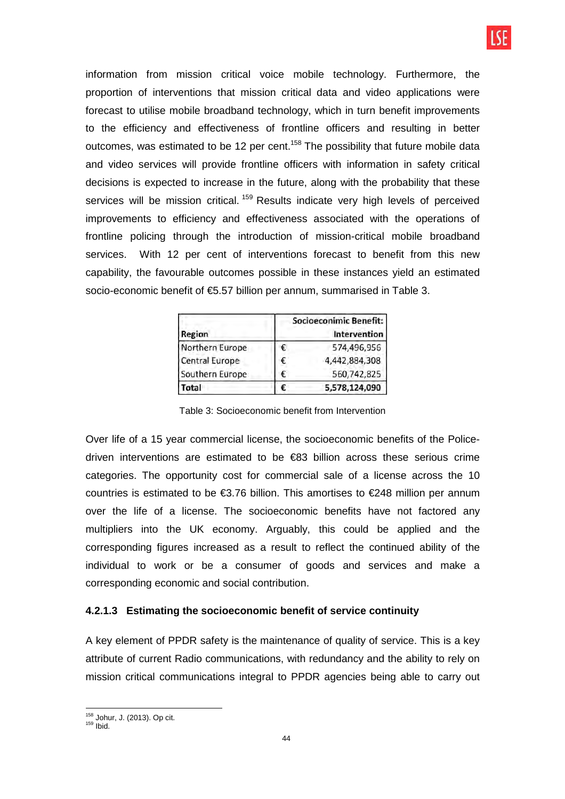information from mission critical voice mobile technology. Furthermore, the proportion of interventions that mission critical data and video applications were forecast to utilise mobile broadband technology, which in turn benefit improvements to the efficiency and effectiveness of frontline officers and resulting in better outcomes, was estimated to be 12 per cent.<sup>158</sup> The possibility that future mobile data and video services will provide frontline officers with information in safety critical decisions is expected to increase in the future, along with the probability that these services will be mission critical.<sup>159</sup> Results indicate very high levels of perceived improvements to efficiency and effectiveness associated with the operations of frontline policing through the introduction of mission-critical mobile broadband services. With 12 per cent of interventions forecast to benefit from this new capability, the favourable outcomes possible in these instances yield an estimated socio-economic benefit of €5.57 billion per annum, summarised in Table 3.

| <b>Region</b>   | Socioeconimic Benefit:<br><b>Intervention</b> |               |  |  |  |
|-----------------|-----------------------------------------------|---------------|--|--|--|
| Northern Europe | €                                             | 574,496,956   |  |  |  |
| Central Europe  | €                                             | 4,442,884,308 |  |  |  |
| Southern Europe | €                                             | 560,742,825   |  |  |  |
| Total           | F                                             | 5,578,124,090 |  |  |  |

Table 3: Socioeconomic benefit from Intervention

Over life of a 15 year commercial license, the socioeconomic benefits of the Policedriven interventions are estimated to be €83 billion across these serious crime categories. The opportunity cost for commercial sale of a license across the 10 countries is estimated to be €3.76 billion. This amortises to €248 million per annum over the life of a license. The socioeconomic benefits have not factored any multipliers into the UK economy. Arguably, this could be applied and the corresponding figures increased as a result to reflect the continued ability of the individual to work or be a consumer of goods and services and make a corresponding economic and social contribution.

## **4.2.1.3 Estimating the socioeconomic benefit of service continuity**

A key element of PPDR safety is the maintenance of quality of service. This is a key attribute of current Radio communications, with redundancy and the ability to rely on mission critical communications integral to PPDR agencies being able to carry out

 $\overline{a}$ <sup>158</sup> Johur, J. (2013). Op cit.

<sup>159</sup> Ibid.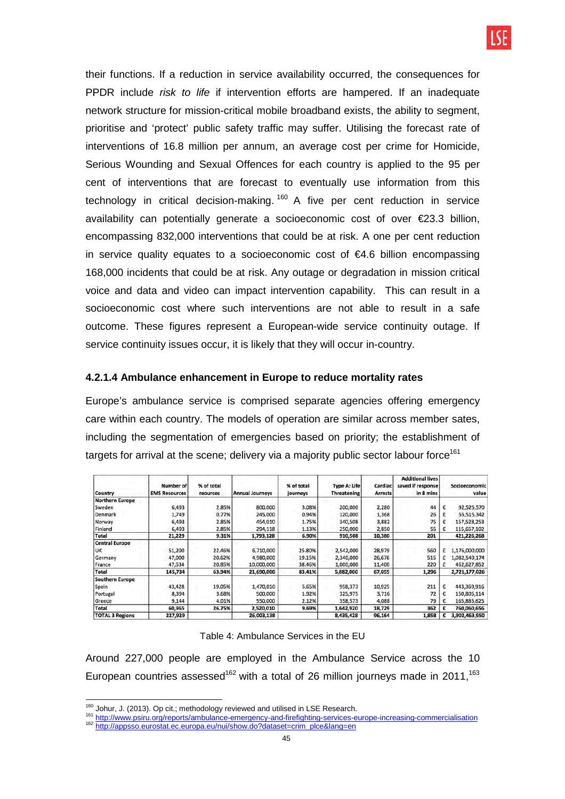their functions. If a reduction in service availability occurred, the consequences for PPDR include *risk to life* if intervention efforts are hampered. If an inadequate network structure for mission-critical mobile broadband exists, the ability to segment, prioritise and 'protect' public safety traffic may suffer. Utilising the forecast rate of interventions of 16.8 million per annum, an average cost per crime for Homicide, Serious Wounding and Sexual Offences for each country is applied to the 95 per cent of interventions that are forecast to eventually use information from this technology in critical decision-making.<sup>160</sup> A five per cent reduction in service availability can potentially generate a socioeconomic cost of over €23.3 billion, encompassing 832,000 interventions that could be at risk. A one per cent reduction in service quality equates to a socioeconomic cost of  $\epsilon$ 4.6 billion encompassing 168,000 incidents that could be at risk. Any outage or degradation in mission critical voice and data and video can impact intervention capability. This can result in a socioeconomic cost where such interventions are not able to result in a safe outcome. These figures represent a European-wide service continuity outage. If service continuity issues occur, it is likely that they will occur in-country.

### **4.2.1.4 Ambulance enhancement in Europe to reduce mortality rates**

Europe's ambulance service is comprised separate agencies offering emergency care within each country. The models of operation are similar across member sates, including the segmentation of emergencies based on priority; the establishment of targets for arrival at the scene; delivery via a majority public sector labour force<sup>161</sup>

| Country                | Number of<br><b>EMS Resources</b> | % of total<br>reources | <b>Annual Journeys</b> | % of total<br>journeys | <b>Type A: Life</b><br><b>Threatening</b> | Cardiac<br><b>Arrests</b> | <b>Additional lives</b><br>saved if response<br>in 8 mins |   | Socioeconomic<br>value |
|------------------------|-----------------------------------|------------------------|------------------------|------------------------|-------------------------------------------|---------------------------|-----------------------------------------------------------|---|------------------------|
| <b>Northern Europe</b> |                                   |                        |                        |                        |                                           |                           |                                                           |   |                        |
| Sweden                 | 6,493                             | 2.85%                  | 800,000                | 3.08%                  | 200,000                                   | 2,280                     | 44                                                        | € | 92,525,570             |
| Denmark                | 1,749                             | 0.77%                  | 245,000                | 0.94%                  | 120,000                                   | 1,368                     | 26                                                        | € | 55,515,342             |
| Norway                 | 6,493                             | 2.85%                  | 454,010                | 1.75%                  | 340,508                                   | 3,882                     | 75                                                        | € | 157,528,253            |
| Finland                | 6,493                             | 2.85%                  | 294,118                | 1.13%                  | 250,000                                   | 2,850                     | 55                                                        | € | 115,657,102            |
| Total                  | 21,229                            | 9.31%                  | 1,793,128              | 6.90%                  | 910,508                                   | 10,380                    | 201                                                       |   | 421,226,268            |
| <b>Central Europe</b>  |                                   |                        |                        |                        |                                           |                           |                                                           |   |                        |
| <b>UK</b>              | 51,200                            | 22.46%                 | 6,710,000              | 25.80%                 | 2,542,000                                 | 28,979                    | 560                                                       |   | 1,176,000,000          |
| Germany                | 47,000                            | 20.62%                 | 4,980,000              | 19.15%                 | 2,340,000                                 | 26,676                    | 515                                                       |   | 1,082,549,174          |
| France                 | 47,534                            | 20.85%                 | 10,000,000             | 38.46%                 | 1,000,000                                 | 11,400                    | 220                                                       |   | 462,627,852            |
| <b>Total</b>           | 145,734                           | 63.94%                 | 21,690,000             | 83.41%                 | 5,882,000                                 | 67,055                    | 1,296                                                     |   | 2,721,177,026          |
| <b>Southern Europe</b> |                                   |                        |                        |                        |                                           |                           |                                                           |   |                        |
| Spain                  | 43,428                            | 19.05%                 | 1,470,010              | 5.65%                  | 958,373                                   | 10,925                    | 211                                                       | € | 443,369,916            |
| Portugal               | 8,394                             | 3.68%                  | 500,000                | 1.92%                  | 325,975                                   | 3,716                     | 72                                                        |   | 150,805,114            |
| Greece                 | 9,144                             | 4.01%                  | 550,000                | 2.12%                  | 358,573                                   | 4,088                     | 79                                                        | E | 165,885,625            |
| Total                  | 60,965                            | 26.75%                 | 2,520,010              | 9.69%                  | 1,642,920                                 | 18,729                    | 362                                                       | € | 760,060,656            |
| <b>TOTAL 3 Regions</b> | 227,929                           |                        | 26,003,138             |                        | 8,435,428                                 | 96,164                    | 1,858                                                     | € | 3,902,463,950          |

#### Table 4: Ambulance Services in the EU

Around 227,000 people are employed in the Ambulance Service across the 10 European countries assessed<sup>162</sup> with a total of 26 million journeys made in 2011,<sup>163</sup>

<sup>161</sup> http://www.psiru.org/reports/ambulance-emergency-and-firefighting-services-europe-increasing-commercialisation <sup>162</sup> http://appsso.eurostat.ec.europa.eu/nui/show.do?dataset=crim\_plce&lang=en

 $\overline{a}$  $160$  Johur, J. (2013). Op cit.; methodology reviewed and utilised in LSE Research.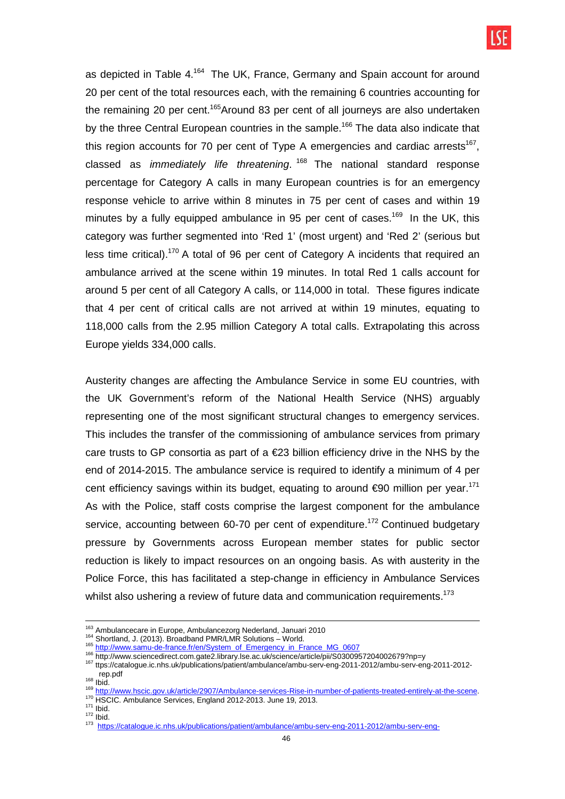as depicted in Table 4.<sup>164</sup> The UK, France, Germany and Spain account for around 20 per cent of the total resources each, with the remaining 6 countries accounting for the remaining 20 per cent.<sup>165</sup>Around 83 per cent of all journeys are also undertaken by the three Central European countries in the sample.<sup>166</sup> The data also indicate that this region accounts for 70 per cent of Type A emergencies and cardiac arrests<sup>167</sup>, classed as *immediately life threatening*.<sup>168</sup> The national standard response percentage for Category A calls in many European countries is for an emergency response vehicle to arrive within 8 minutes in 75 per cent of cases and within 19 minutes by a fully equipped ambulance in 95 per cent of cases.<sup>169</sup> In the UK, this category was further segmented into 'Red 1' (most urgent) and 'Red 2' (serious but less time critical).<sup>170</sup> A total of 96 per cent of Category A incidents that required an ambulance arrived at the scene within 19 minutes. In total Red 1 calls account for around 5 per cent of all Category A calls, or 114,000 in total. These figures indicate that 4 per cent of critical calls are not arrived at within 19 minutes, equating to 118,000 calls from the 2.95 million Category A total calls. Extrapolating this across Europe yields 334,000 calls.

Austerity changes are affecting the Ambulance Service in some EU countries, with the UK Government's reform of the National Health Service (NHS) arguably representing one of the most significant structural changes to emergency services. This includes the transfer of the commissioning of ambulance services from primary care trusts to GP consortia as part of a €23 billion efficiency drive in the NHS by the end of 2014-2015. The ambulance service is required to identify a minimum of 4 per cent efficiency savings within its budget, equating to around €90 million per year.<sup>171</sup> As with the Police, staff costs comprise the largest component for the ambulance service, accounting between 60-70 per cent of expenditure.<sup>172</sup> Continued budgetary pressure by Governments across European member states for public sector reduction is likely to impact resources on an ongoing basis. As with austerity in the Police Force, this has facilitated a step-change in efficiency in Ambulance Services whilst also ushering a review of future data and communication requirements.<sup>173</sup>

 $\overline{a}$ 

 $171$  Ibid.  $172$  Ibid.

<sup>&</sup>lt;sup>163</sup> Ambulancecare in Europe, Ambulancezorg Nederland, Januari 2010

<sup>164</sup> Shortland, J. (2013). Broadband PMR/LMR Solutions – World.

<sup>165</sup> http://www.samu-de-france.fr/en/System\_of\_Emergency\_in\_France\_MG\_0607

<sup>166</sup> http://www.sciencedirect.com.gate2.library.lse.ac.uk/science/article/pii/S0300957204002679?np=y

<sup>167</sup> ttps://catalogue.ic.nhs.uk/publications/patient/ambulance/ambu-serv-eng-2011-2012/ambu-serv-eng-2011-2012 rep.pdf  $168$  Ibid.

<sup>169&</sup>lt;br>http://www.hscic.gov.uk/article/2907/Ambulance-services-Rise-in-<u>number-of-patients-treated-entirely-at-the-scene</u>. 170 HSCIC. Ambulance Services, England 2012-2013. June 19, 2013.

<sup>173</sup> https://catalogue.ic.nhs<u>.uk/publications/patient/ambulance/ambu-serv-eng-2011-2012/ambu-serv-eng-</u>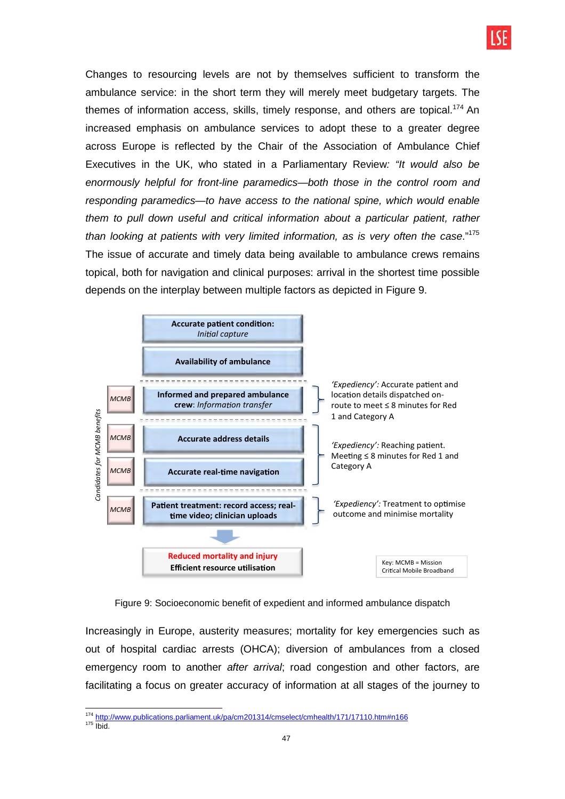

Changes to resourcing levels are not by themselves sufficient to transform the ambulance service: in the short term they will merely meet budgetary targets. The themes of information access, skills, timely response, and others are topical.<sup>174</sup> An increased emphasis on ambulance services to adopt these to a greater degree across Europe is reflected by the Chair of the Association of Ambulance Chief Executives in the UK, who stated in a Parliamentary Review: "It would also be enormously helpful for front-line paramedics—both those in the control room and responding paramedics—to have access to the national spine, which would enable them to pull down useful and critical information about a particular patient, rather than looking at patients with very limited information, as is very often the case."<sup>175</sup> The issue of accurate and timely data being available to ambulance crews remains topical, both for navigation and clinical purposes: arrival in the shortest time possible depends on the interplay between multiple factors as depicted in Figure 9.



Figure 9: Socioeconomic benefit of expedient and informed ambulance dispatch

Increasingly in Europe, austerity measures; mortality for key emergencies such as out of hospital cardiac arrests (OHCA); diversion of ambulances from a closed emergency room to another *after arrival*; road congestion and other factors, are facilitating a focus on greater accuracy of information at all stages of the journey to

 <sup>174</sup> http://www.publications.parliament.uk/pa/cm201314/cmselect/cmhealth/171/17110.htm#n166

 $175$  Ibid.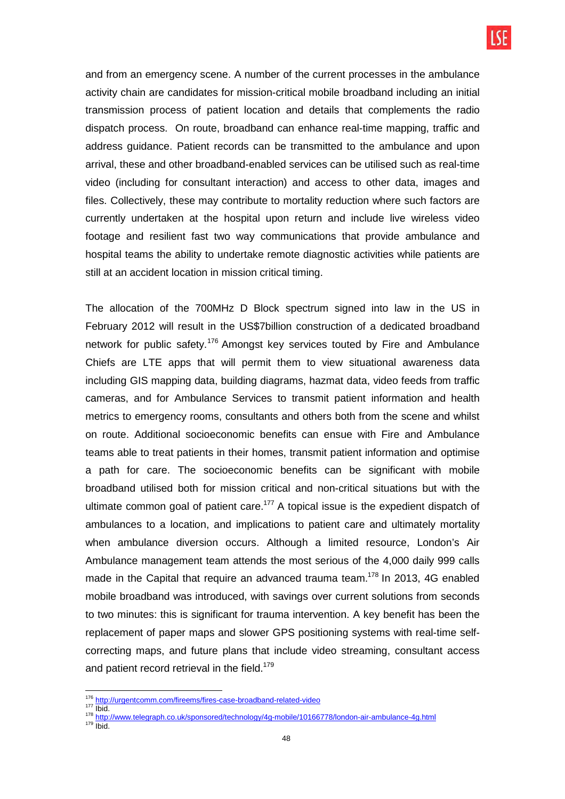

and from an emergency scene. A number of the current processes in the ambulance activity chain are candidates for mission-critical mobile broadband including an initial transmission process of patient location and details that complements the radio dispatch process. On route, broadband can enhance real-time mapping, traffic and address guidance. Patient records can be transmitted to the ambulance and upon arrival, these and other broadband-enabled services can be utilised such as real-time video (including for consultant interaction) and access to other data, images and files. Collectively, these may contribute to mortality reduction where such factors are currently undertaken at the hospital upon return and include live wireless video footage and resilient fast two way communications that provide ambulance and hospital teams the ability to undertake remote diagnostic activities while patients are still at an accident location in mission critical timing.

The allocation of the 700MHz D Block spectrum signed into law in the US in February 2012 will result in the US\$7billion construction of a dedicated broadband network for public safety.<sup>176</sup> Amongst key services touted by Fire and Ambulance Chiefs are LTE apps that will permit them to view situational awareness data including GIS mapping data, building diagrams, hazmat data, video feeds from traffic cameras, and for Ambulance Services to transmit patient information and health metrics to emergency rooms, consultants and others both from the scene and whilst on route. Additional socioeconomic benefits can ensue with Fire and Ambulance teams able to treat patients in their homes, transmit patient information and optimise a path for care. The socioeconomic benefits can be significant with mobile broadband utilised both for mission critical and non-critical situations but with the ultimate common goal of patient care.<sup>177</sup> A topical issue is the expedient dispatch of ambulances to a location, and implications to patient care and ultimately mortality when ambulance diversion occurs. Although a limited resource, London's Air Ambulance management team attends the most serious of the 4,000 daily 999 calls made in the Capital that require an advanced trauma team.<sup>178</sup> In 2013, 4G enabled mobile broadband was introduced, with savings over current solutions from seconds to two minutes: this is significant for trauma intervention. A key benefit has been the replacement of paper maps and slower GPS positioning systems with real-time selfcorrecting maps, and future plans that include video streaming, consultant access and patient record retrieval in the field.<sup>179</sup>

<sup>&</sup>lt;sup>176</sup> http://urgentcomm.com/fireems/fires-case-broadband-related-video

 $177 \overline{\text{libid}}$ .

<sup>178</sup> http://www.telegraph.co.uk/sponsored/technology/4g-mobile/10166778/london-air-ambulance-4g.html

 $179$  Ibid.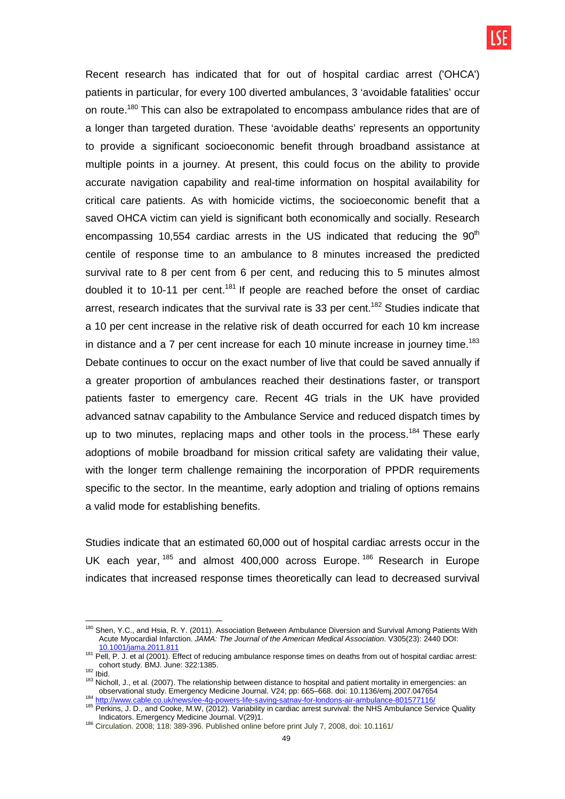Recent research has indicated that for out of hospital cardiac arrest ('OHCA') patients in particular, for every 100 diverted ambulances, 3 'avoidable fatalities' occur on route.<sup>180</sup> This can also be extrapolated to encompass ambulance rides that are of a longer than targeted duration. These 'avoidable deaths' represents an opportunity to provide a significant socioeconomic benefit through broadband assistance at multiple points in a journey. At present, this could focus on the ability to provide accurate navigation capability and real-time information on hospital availability for critical care patients. As with homicide victims, the socioeconomic benefit that a saved OHCA victim can yield is significant both economically and socially. Research encompassing 10,554 cardiac arrests in the US indicated that reducing the  $90<sup>th</sup>$ centile of response time to an ambulance to 8 minutes increased the predicted survival rate to 8 per cent from 6 per cent, and reducing this to 5 minutes almost doubled it to 10-11 per cent.<sup>181</sup> If people are reached before the onset of cardiac arrest, research indicates that the survival rate is 33 per cent.<sup>182</sup> Studies indicate that a 10 per cent increase in the relative risk of death occurred for each 10 km increase in distance and a  $7$  per cent increase for each 10 minute increase in journey time.<sup>183</sup> Debate continues to occur on the exact number of live that could be saved annually if a greater proportion of ambulances reached their destinations faster, or transport patients faster to emergency care. Recent 4G trials in the UK have provided advanced satnav capability to the Ambulance Service and reduced dispatch times by up to two minutes, replacing maps and other tools in the process.<sup>184</sup> These early adoptions of mobile broadband for mission critical safety are validating their value, with the longer term challenge remaining the incorporation of PPDR requirements specific to the sector. In the meantime, early adoption and trialing of options remains a valid mode for establishing benefits.

Studies indicate that an estimated 60,000 out of hospital cardiac arrests occur in the UK each year, <sup>185</sup> and almost 400,000 across Europe.<sup>186</sup> Research in Europe indicates that increased response times theoretically can lead to decreased survival

 $\overline{a}$ 

Shen, Y.C., and Hsia, R. Y. (2011). Association Between Ambulance Diversion and Survival Among Patients With Acute Myocardial Infarction. JAMA: The Journal of the American Medical Association. V305(23): 2440 DOI: 10.1001/jama.2011.811

<sup>181</sup> Pell, P. J. et al (2001). Effect of reducing ambulance response times on deaths from out of hospital cardiac arrest: cohort study. BMJ. June: 322:1385.

 $182$  Ibid.

<sup>183</sup> Nicholl, J., et al. (2007). The relationship between distance to hospital and patient mortality in emergencies: an observational study. Emergency Medicine Journal. V24; pp: 665–668. doi: 10.1136/emj.2007.047654 <sup>184</sup> http://www.cable.co.uk/news/ee-4g-powers-life-saving-satnav-for-londons-air-ambulance-801577116/

<sup>185</sup> Perkins, J. D., and Cooke, M.W, (2012). Variability in cardiac arrest survival: the NHS Ambulance Service Quality Indicators. Emergency Medicine Journal. V(29)1.

<sup>186</sup> Circulation. 2008; 118: 389-396. Published online before print July 7, 2008, doi: 10.1161/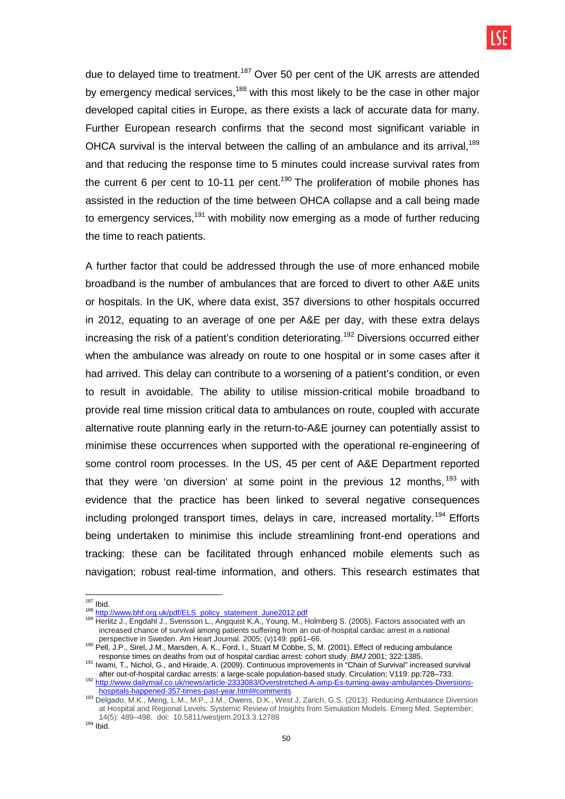due to delayed time to treatment.<sup>187</sup> Over 50 per cent of the UK arrests are attended by emergency medical services,<sup>188</sup> with this most likely to be the case in other major developed capital cities in Europe, as there exists a lack of accurate data for many. Further European research confirms that the second most significant variable in OHCA survival is the interval between the calling of an ambulance and its arrival,  $189$ and that reducing the response time to 5 minutes could increase survival rates from the current 6 per cent to 10-11 per cent.<sup>190</sup> The proliferation of mobile phones has assisted in the reduction of the time between OHCA collapse and a call being made to emergency services,<sup>191</sup> with mobility now emerging as a mode of further reducing the time to reach patients.

A further factor that could be addressed through the use of more enhanced mobile broadband is the number of ambulances that are forced to divert to other A&E units or hospitals. In the UK, where data exist, 357 diversions to other hospitals occurred in 2012, equating to an average of one per A&E per day, with these extra delays increasing the risk of a patient's condition deteriorating.<sup>192</sup> Diversions occurred either when the ambulance was already on route to one hospital or in some cases after it had arrived. This delay can contribute to a worsening of a patient's condition, or even to result in avoidable. The ability to utilise mission-critical mobile broadband to provide real time mission critical data to ambulances on route, coupled with accurate alternative route planning early in the return-to-A&E journey can potentially assist to minimise these occurrences when supported with the operational re-engineering of some control room processes. In the US, 45 per cent of A&E Department reported that they were 'on diversion' at some point in the previous 12 months,  $133$  with evidence that the practice has been linked to several negative consequences including prolonged transport times, delays in care, increased mortality.<sup>194</sup> Efforts being undertaken to minimise this include streamlining front-end operations and tracking: these can be facilitated through enhanced mobile elements such as navigation; robust real-time information, and others. This research estimates that

 <sup>187</sup> Ibid.

<sup>188</sup> http://www.bhf.org.uk/pdf/ELS\_policy\_statement\_June2012.pdf

<sup>189</sup> Herlitz J., Engdahl J., Svensson L., Angquist K.A., Young, M., Holmberg S. (2005). Factors associated with an increased chance of survival among patients suffering from an out-of-hospital cardiac arrest in a national perspective in Sweden. Am Heart Journal. 2005; (v)149: pp61–66.

<sup>190</sup> Pell, J.P., Sirel, J.M., Marsden, A. K., Ford, I., Stuart M Cobbe, S, M. (2001). Effect of reducing ambulance response times on deaths from out of hospital cardiac arrest: cohort study. BMJ 2001; 322:1385.

<sup>191</sup> Iwami, T., Nichol, G., and Hiraide, A. (2009). Continuous improvements in "Chain of Survival" increased survival after out-of-hospital cardiac arrests: a large-scale population-based study. Circulation; V119: pp:728–733. <sup>192</sup> http://www.dailymail.co.uk/news/article-2333083/Overstretched-A-amp-Es-turning-away-ambulances-Diversions-

hospitals-happened-357-times-past-year.html#comments 193 Delgado, M.K., Meng, L.M., M.P., J.M., Owens, D.K., West J, Zarich, G.S. (2013). Reducing Ambulance Diversion at Hospital and Regional Levels: Systemic Review of Insights from Simulation Models. Emerg Med. September; 14(5): 489–498. doi: 10.5811/westjem.2013.3.12788

 $194$  Ibid.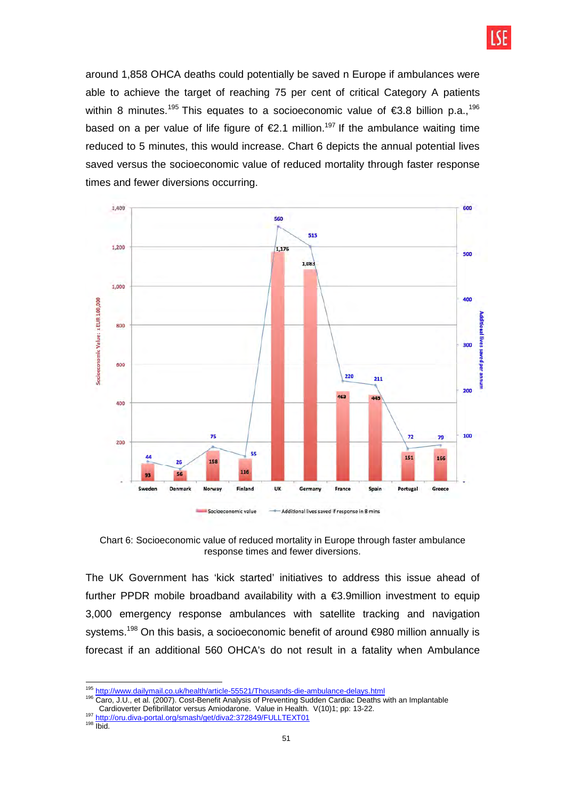

around 1,858 OHCA deaths could potentially be saved n Europe if ambulances were able to achieve the target of reaching 75 per cent of critical Category A patients within 8 minutes.<sup>195</sup> This equates to a socioeconomic value of  $\epsilon$ 3.8 billion p.a.,<sup>196</sup> based on a per value of life figure of  $\epsilon$ 2.1 million.<sup>197</sup> If the ambulance waiting time reduced to 5 minutes, this would increase. Chart 6 depicts the annual potential lives saved versus the socioeconomic value of reduced mortality through faster response times and fewer diversions occurring.



Chart 6: Socioeconomic value of reduced mortality in Europe through faster ambulance response times and fewer diversions.

The UK Government has 'kick started' initiatives to address this issue ahead of further PPDR mobile broadband availability with a  $\epsilon$ 3.9million investment to equip 3,000 emergency response ambulances with satellite tracking and navigation systems.<sup>198</sup> On this basis, a socioeconomic benefit of around €980 million annually is forecast if an additional 560 OHCA's do not result in a fatality when Ambulance

<sup>197</sup> http://oru.diva-portal.org/smash/get/diva2:372849/FULLTEXT01

 $198$   $\frac{1}{1}$  Ibid.

<sup>&</sup>lt;sup>195</sup> http://www.dailymail.co.uk/health/article-55521/Thousands-die-ambulance-delays.html

<sup>196</sup> Caro, J.U., et al. (2007). Cost-Benefit Analysis of Preventing Sudden Cardiac Deaths with an Implantable Cardioverter Defibrillator versus Amiodarone. Value in Health. V(10)1; pp: 13-22.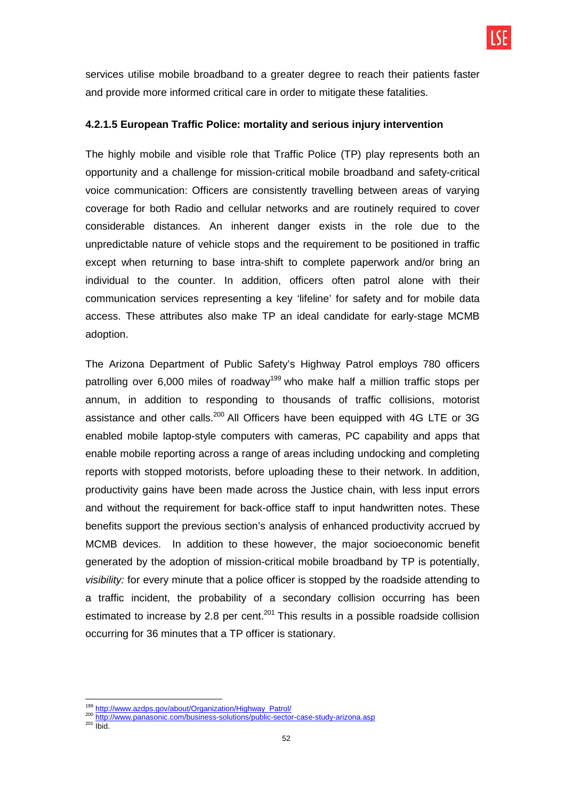

services utilise mobile broadband to a greater degree to reach their patients faster and provide more informed critical care in order to mitigate these fatalities.

#### **4.2.1.5 European Traffic Police: mortality and serious injury intervention**

The highly mobile and visible role that Traffic Police (TP) play represents both an opportunity and a challenge for mission-critical mobile broadband and safety-critical voice communication: Officers are consistently travelling between areas of varying coverage for both Radio and cellular networks and are routinely required to cover considerable distances. An inherent danger exists in the role due to the unpredictable nature of vehicle stops and the requirement to be positioned in traffic except when returning to base intra-shift to complete paperwork and/or bring an individual to the counter. In addition, officers often patrol alone with their communication services representing a key 'lifeline' for safety and for mobile data access. These attributes also make TP an ideal candidate for early-stage MCMB adoption.

The Arizona Department of Public Safety's Highway Patrol employs 780 officers patrolling over 6,000 miles of roadway<sup>199</sup> who make half a million traffic stops per annum, in addition to responding to thousands of traffic collisions, motorist assistance and other calls.<sup>200</sup> All Officers have been equipped with 4G LTE or 3G enabled mobile laptop-style computers with cameras, PC capability and apps that enable mobile reporting across a range of areas including undocking and completing reports with stopped motorists, before uploading these to their network. In addition, productivity gains have been made across the Justice chain, with less input errors and without the requirement for back-office staff to input handwritten notes. These benefits support the previous section's analysis of enhanced productivity accrued by MCMB devices. In addition to these however, the major socioeconomic benefit generated by the adoption of mission-critical mobile broadband by TP is potentially, visibility: for every minute that a police officer is stopped by the roadside attending to a traffic incident, the probability of a secondary collision occurring has been estimated to increase by 2.8 per cent.<sup>201</sup> This results in a possible roadside collision occurring for 36 minutes that a TP officer is stationary.

 <sup>199</sup> http://www.azdps.gov/about/Organization/Highway\_Patrol/

<sup>&</sup>lt;sup>200</sup> http://www.panasonic.com/business-solutions/public-sector-case-study-arizona.asp  $^{201}$  Ibid.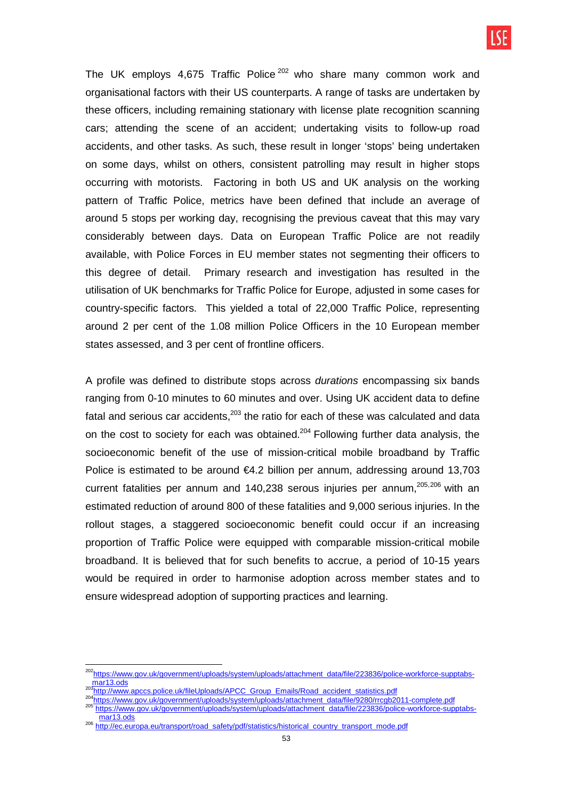The UK employs 4,675 Traffic Police<sup>202</sup> who share many common work and organisational factors with their US counterparts. A range of tasks are undertaken by these officers, including remaining stationary with license plate recognition scanning cars; attending the scene of an accident; undertaking visits to follow-up road accidents, and other tasks. As such, these result in longer 'stops' being undertaken on some days, whilst on others, consistent patrolling may result in higher stops occurring with motorists. Factoring in both US and UK analysis on the working pattern of Traffic Police, metrics have been defined that include an average of around 5 stops per working day, recognising the previous caveat that this may vary considerably between days. Data on European Traffic Police are not readily available, with Police Forces in EU member states not segmenting their officers to this degree of detail. Primary research and investigation has resulted in the utilisation of UK benchmarks for Traffic Police for Europe, adjusted in some cases for country-specific factors. This yielded a total of 22,000 Traffic Police, representing around 2 per cent of the 1.08 million Police Officers in the 10 European member states assessed, and 3 per cent of frontline officers.

A profile was defined to distribute stops across durations encompassing six bands ranging from 0-10 minutes to 60 minutes and over. Using UK accident data to define fatal and serious car accidents. $203$  the ratio for each of these was calculated and data on the cost to society for each was obtained.<sup>204</sup> Following further data analysis, the socioeconomic benefit of the use of mission-critical mobile broadband by Traffic Police is estimated to be around €4.2 billion per annum, addressing around 13,703 current fatalities per annum and  $140,238$  serous injuries per annum,<sup>205,206</sup> with an estimated reduction of around 800 of these fatalities and 9,000 serious injuries. In the rollout stages, a staggered socioeconomic benefit could occur if an increasing proportion of Traffic Police were equipped with comparable mission-critical mobile broadband. It is believed that for such benefits to accrue, a period of 10-15 years would be required in order to harmonise adoption across member states and to ensure widespread adoption of supporting practices and learning.

 $\overline{\phantom{a}}$ 

<sup>&</sup>lt;sup>202</sup>https://www.gov.uk/government/uploads/system/uploads/attachment\_data/file/223836/police-workforce-supptabsmar13.ods

<sup>203</sup>http://www.apccs.police.uk/fileUploads/APCC\_Group\_Emails/Road\_accident\_statistics.pdf

<sup>204</sup>https://www.gov.uk/government/uploads/system/uploads/attachment\_data/file/9280/rrcgb2011-complete.pdf 205 https://www.gov.uk/government/uploads/system/uploads/attachment\_data/file/223836/police-workforce-supptabsmar13.ods

<sup>206</sup> http://ec.europa.eu/tr<u>ansport/road\_safety/pdf/statistics/historical</u>\_country\_transport\_mode.pdf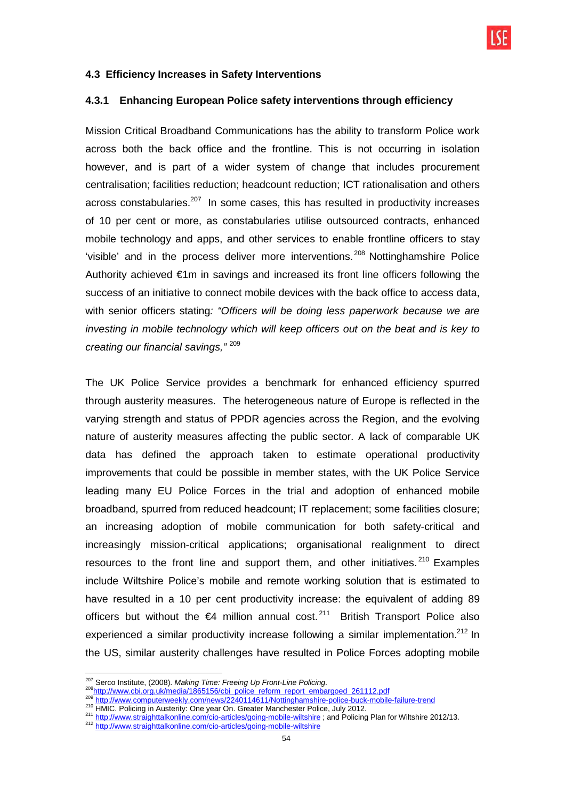

#### **4.3 Efficiency Increases in Safety Interventions**

### **4.3.1 Enhancing European Police safety interventions through efficiency**

Mission Critical Broadband Communications has the ability to transform Police work across both the back office and the frontline. This is not occurring in isolation however, and is part of a wider system of change that includes procurement centralisation; facilities reduction; headcount reduction; ICT rationalisation and others across constabularies.<sup>207</sup> In some cases, this has resulted in productivity increases of 10 per cent or more, as constabularies utilise outsourced contracts, enhanced mobile technology and apps, and other services to enable frontline officers to stay 'visible' and in the process deliver more interventions. <sup>208</sup> Nottinghamshire Police Authority achieved €1m in savings and increased its front line officers following the success of an initiative to connect mobile devices with the back office to access data, with senior officers stating: "Officers will be doing less paperwork because we are investing in mobile technology which will keep officers out on the beat and is key to creating our financial savings,"<sup>209</sup>

The UK Police Service provides a benchmark for enhanced efficiency spurred through austerity measures. The heterogeneous nature of Europe is reflected in the varying strength and status of PPDR agencies across the Region, and the evolving nature of austerity measures affecting the public sector. A lack of comparable UK data has defined the approach taken to estimate operational productivity improvements that could be possible in member states, with the UK Police Service leading many EU Police Forces in the trial and adoption of enhanced mobile broadband, spurred from reduced headcount; IT replacement; some facilities closure; an increasing adoption of mobile communication for both safety-critical and increasingly mission-critical applications; organisational realignment to direct resources to the front line and support them, and other initiatives.  $210$  Examples include Wiltshire Police's mobile and remote working solution that is estimated to have resulted in a 10 per cent productivity increase: the equivalent of adding 89 officers but without the  $\epsilon$ 4 million annual cost.<sup>211</sup> British Transport Police also experienced a similar productivity increase following a similar implementation.<sup>212</sup> In the US, similar austerity challenges have resulted in Police Forces adopting mobile

 $\overline{a}$ 

210 HMIC. Policing in Austerity: One year On. Greater Manchester Police, July 2012.

<sup>&</sup>lt;sup>207</sup> Serco Institute, (2008). Making Time: Freeing Up Front-Line Policing.

<sup>208</sup>http://www.cbi.org.uk/media/1865156/cbi\_police\_reform\_report\_embargoed\_261112.pdf

http://www.computerweekly.com/news/2240114611/Nottinghamshire-police-buck-mobile-failure-trend

<sup>&</sup>lt;sup>211</sup> http://www.straighttalkonline.com/cio-articles/going-mobile-wiltshire ; and Policing Plan for Wiltshire 2012/13.

<sup>&</sup>lt;sup>212</sup> http://www.straighttalkonline.com/cio-articles/going-mobile-wiltshire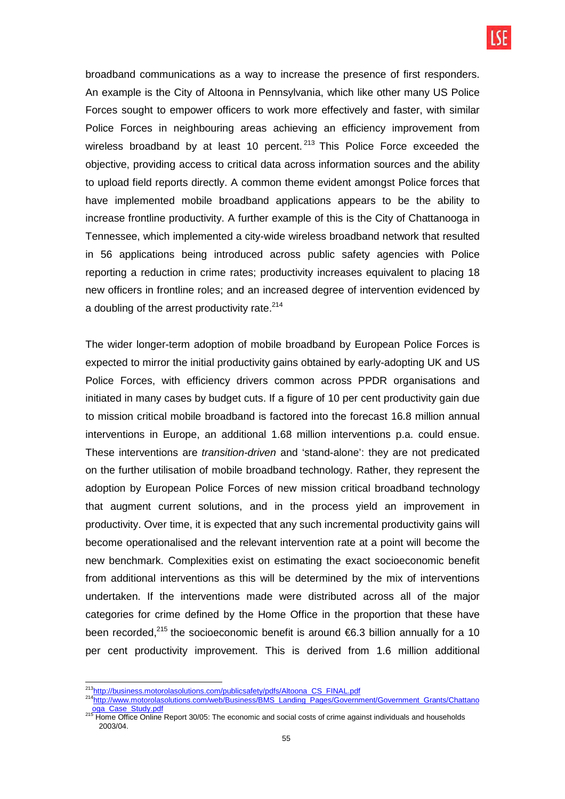broadband communications as a way to increase the presence of first responders. An example is the City of Altoona in Pennsylvania, which like other many US Police Forces sought to empower officers to work more effectively and faster, with similar Police Forces in neighbouring areas achieving an efficiency improvement from wireless broadband by at least 10 percent.  $213$  This Police Force exceeded the objective, providing access to critical data across information sources and the ability to upload field reports directly. A common theme evident amongst Police forces that have implemented mobile broadband applications appears to be the ability to increase frontline productivity. A further example of this is the City of Chattanooga in Tennessee, which implemented a city-wide wireless broadband network that resulted in 56 applications being introduced across public safety agencies with Police reporting a reduction in crime rates; productivity increases equivalent to placing 18 new officers in frontline roles; and an increased degree of intervention evidenced by a doubling of the arrest productivity rate.<sup>214</sup>

The wider longer-term adoption of mobile broadband by European Police Forces is expected to mirror the initial productivity gains obtained by early-adopting UK and US Police Forces, with efficiency drivers common across PPDR organisations and initiated in many cases by budget cuts. If a figure of 10 per cent productivity gain due to mission critical mobile broadband is factored into the forecast 16.8 million annual interventions in Europe, an additional 1.68 million interventions p.a. could ensue. These interventions are transition-driven and 'stand-alone': they are not predicated on the further utilisation of mobile broadband technology. Rather, they represent the adoption by European Police Forces of new mission critical broadband technology that augment current solutions, and in the process yield an improvement in productivity. Over time, it is expected that any such incremental productivity gains will become operationalised and the relevant intervention rate at a point will become the new benchmark. Complexities exist on estimating the exact socioeconomic benefit from additional interventions as this will be determined by the mix of interventions undertaken. If the interventions made were distributed across all of the major categories for crime defined by the Home Office in the proportion that these have been recorded,<sup>215</sup> the socioeconomic benefit is around  $\epsilon$ 6.3 billion annually for a 10 per cent productivity improvement. This is derived from 1.6 million additional

 $\overline{\phantom{a}}$ <sup>213</sup>http://business.motorolasolutions.com/publicsafety/pdfs/Altoona\_CS\_FINAL.pdf

<sup>214</sup>http://www.motorolasolutions.com/web/Business/BMS\_Landing\_Pages/Government/Government\_Grants/Chattano oga\_Case\_Study.pdf

<sup>215</sup> Home Office Online Report 30/05: The economic and social costs of crime against individuals and households 2003/04.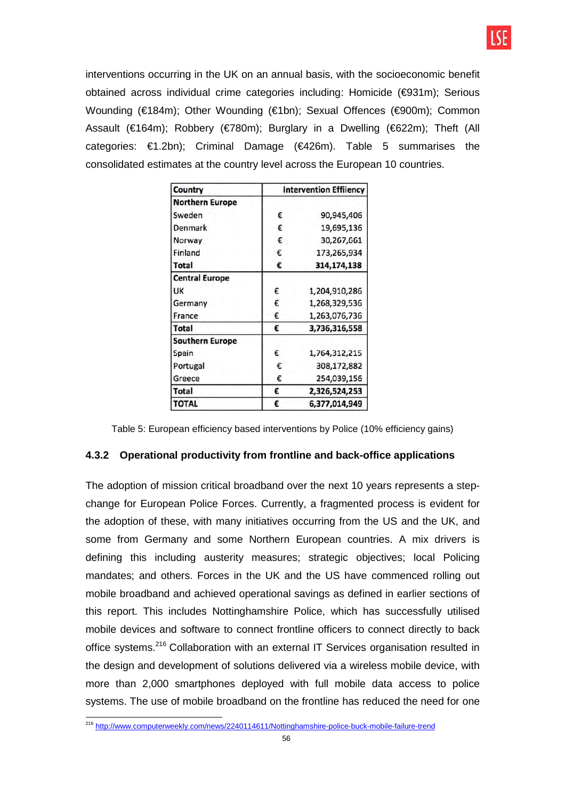

interventions occurring in the UK on an annual basis, with the socioeconomic benefit obtained across individual crime categories including: Homicide (€931m); Serious Wounding (€184m); Other Wounding (€1bn); Sexual Offences (€900m); Common Assault (€164m); Robbery (€780m); Burglary in a Dwelling (€622m); Theft (All categories: €1.2bn); Criminal Damage (€426m). Table 5 summarises the consolidated estimates at the country level across the European 10 countries.

| Country                | <b>Intervention Effilency</b> |               |  |  |  |  |
|------------------------|-------------------------------|---------------|--|--|--|--|
| <b>Northern Europe</b> |                               |               |  |  |  |  |
| Sweden                 | €                             | 90,945,406    |  |  |  |  |
| Denmark                | €                             | 19,695,136    |  |  |  |  |
| Norway                 | €                             | 30,267,661    |  |  |  |  |
| Finland                | €                             | 173,265,934   |  |  |  |  |
| <b>Total</b>           | €                             | 314,174,138   |  |  |  |  |
| <b>Central Europe</b>  |                               |               |  |  |  |  |
| UK                     | €                             | 1,204,910,286 |  |  |  |  |
| Germany                | €                             | 1,268,329,536 |  |  |  |  |
| France                 | €                             | 1,263,076,736 |  |  |  |  |
| Total                  | €                             | 3,736,316,558 |  |  |  |  |
| <b>Southern Europe</b> |                               |               |  |  |  |  |
| Spain                  | €                             | 1,764,312,215 |  |  |  |  |
| Portugal               | €                             | 308,172,882   |  |  |  |  |
| Greece                 | €                             | 254,039,156   |  |  |  |  |
| <b>Total</b>           | €                             | 2,326,524,253 |  |  |  |  |
| <b>TOTAL</b>           | €                             | 6,377,014,949 |  |  |  |  |

Table 5: European efficiency based interventions by Police (10% efficiency gains)

#### **4.3.2 Operational productivity from frontline and back-office applications**

The adoption of mission critical broadband over the next 10 years represents a stepchange for European Police Forces. Currently, a fragmented process is evident for the adoption of these, with many initiatives occurring from the US and the UK, and some from Germany and some Northern European countries. A mix drivers is defining this including austerity measures; strategic objectives; local Policing mandates; and others. Forces in the UK and the US have commenced rolling out mobile broadband and achieved operational savings as defined in earlier sections of this report. This includes Nottinghamshire Police, which has successfully utilised mobile devices and software to connect frontline officers to connect directly to back office systems.<sup>216</sup> Collaboration with an external IT Services organisation resulted in the design and development of solutions delivered via a wireless mobile device, with more than 2,000 smartphones deployed with full mobile data access to police systems. The use of mobile broadband on the frontline has reduced the need for one

 $\overline{\phantom{a}}$ <sup>216</sup> http://www.computerweekly.com/news/2240114611/Nottinghamshire-police-buck-mobile-failure-trend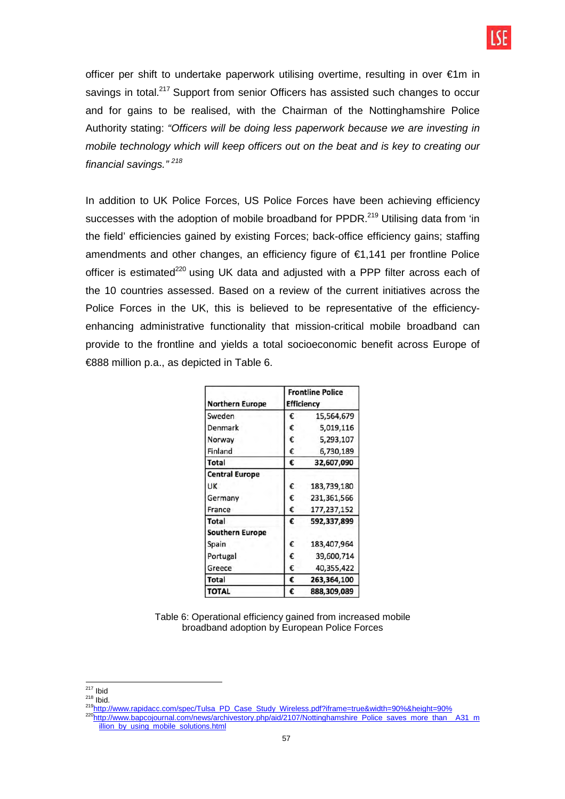

officer per shift to undertake paperwork utilising overtime, resulting in over €1m in savings in total.<sup>217</sup> Support from senior Officers has assisted such changes to occur and for gains to be realised, with the Chairman of the Nottinghamshire Police Authority stating: "Officers will be doing less paperwork because we are investing in mobile technology which will keep officers out on the beat and is key to creating our financial savings."<sup>218</sup>

In addition to UK Police Forces, US Police Forces have been achieving efficiency successes with the adoption of mobile broadband for PPDR.<sup>219</sup> Utilising data from 'in the field' efficiencies gained by existing Forces; back-office efficiency gains; staffing amendments and other changes, an efficiency figure of €1,141 per frontline Police officer is estimated $220$  using UK data and adjusted with a PPP filter across each of the 10 countries assessed. Based on a review of the current initiatives across the Police Forces in the UK, this is believed to be representative of the efficiencyenhancing administrative functionality that mission-critical mobile broadband can provide to the frontline and yields a total socioeconomic benefit across Europe of €888 million p.a., as depicted in Table 6.

| <b>Northern Europe</b> | <b>Frontline Police</b><br><b>Efficiency</b> |             |  |  |  |
|------------------------|----------------------------------------------|-------------|--|--|--|
| Sweden                 | €                                            | 15,564,679  |  |  |  |
| Denmark                | €                                            | 5,019,116   |  |  |  |
| Norway                 | €                                            | 5,293,107   |  |  |  |
| Finland                | €                                            | 6,730,189   |  |  |  |
| Total                  | €                                            | 32,607,090  |  |  |  |
| <b>Central Europe</b>  |                                              |             |  |  |  |
| UK                     | €                                            | 183,739,180 |  |  |  |
| Germany                | €                                            | 231,361,566 |  |  |  |
| France                 | €                                            | 177,237,152 |  |  |  |
| Total                  | €                                            | 592,337,899 |  |  |  |
| <b>Southern Europe</b> |                                              |             |  |  |  |
| Spain                  | €                                            | 183,407,964 |  |  |  |
| Portugal               | €                                            | 39,600,714  |  |  |  |
| Greece                 | €                                            | 40,355,422  |  |  |  |
| Total                  | €                                            | 263,364,100 |  |  |  |
| <b>TOTAL</b>           | €                                            | 888,309,089 |  |  |  |

Table 6: Operational efficiency gained from increased mobile broadband adoption by European Police Forces

<sup>219</sup>http://www.rapidacc.com/spec/Tulsa\_PD\_Case\_Study\_Wireless.pdf?iframe=true&width=90%&height=90%

 $\overline{\phantom{a}}$ <sup>217</sup> Ibid

 $218$  Ibid.

<sup>220</sup>http://www.bapcojournal.com/news/archivestory.php/aid/2107/Nottinghamshire\_Police\_saves\_more\_than\_\_A31\_m illion\_by\_using\_mobile\_solutions.html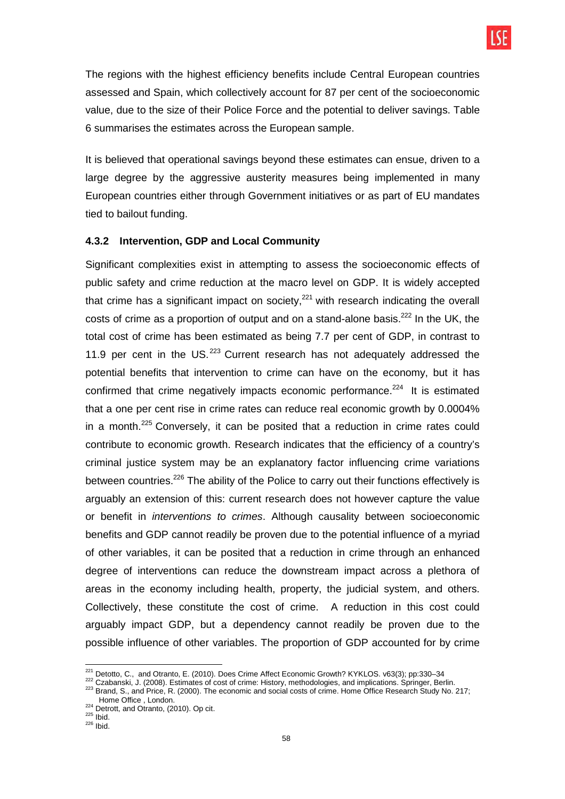The regions with the highest efficiency benefits include Central European countries assessed and Spain, which collectively account for 87 per cent of the socioeconomic value, due to the size of their Police Force and the potential to deliver savings. Table 6 summarises the estimates across the European sample.

It is believed that operational savings beyond these estimates can ensue, driven to a large degree by the aggressive austerity measures being implemented in many European countries either through Government initiatives or as part of EU mandates tied to bailout funding.

### **4.3.2 Intervention, GDP and Local Community**

Significant complexities exist in attempting to assess the socioeconomic effects of public safety and crime reduction at the macro level on GDP. It is widely accepted that crime has a significant impact on society, $^{221}$  with research indicating the overall costs of crime as a proportion of output and on a stand-alone basis.<sup>222</sup> In the UK, the total cost of crime has been estimated as being 7.7 per cent of GDP, in contrast to 11.9 per cent in the US. $^{223}$  Current research has not adequately addressed the potential benefits that intervention to crime can have on the economy, but it has confirmed that crime negatively impacts economic performance.<sup>224</sup> It is estimated that a one per cent rise in crime rates can reduce real economic growth by 0.0004% in a month. $^{225}$  Conversely, it can be posited that a reduction in crime rates could contribute to economic growth. Research indicates that the efficiency of a country's criminal justice system may be an explanatory factor influencing crime variations between countries.<sup>226</sup> The ability of the Police to carry out their functions effectively is arguably an extension of this: current research does not however capture the value or benefit in interventions to crimes. Although causality between socioeconomic benefits and GDP cannot readily be proven due to the potential influence of a myriad of other variables, it can be posited that a reduction in crime through an enhanced degree of interventions can reduce the downstream impact across a plethora of areas in the economy including health, property, the judicial system, and others. Collectively, these constitute the cost of crime. A reduction in this cost could arguably impact GDP, but a dependency cannot readily be proven due to the possible influence of other variables. The proportion of GDP accounted for by crime

 $\overline{\phantom{a}}$  $^{221}$  Detotto, C., and Otranto, E. (2010). Does Crime Affect Economic Growth? KYKLOS. v63(3); pp:330–34

<sup>&</sup>lt;sup>222</sup> Czabanski, J. (2008). Estimates of cost of crime: History, methodologies, and implications. Springer, Berlin.

 $^{223}$  Brand, S., and Price, R. (2000). The economic and social costs of crime. Home Office Research Study No. 217; Home Office , London.

 $224$  Detrott, and Otranto, (2010). Op cit.

 $225$  Ibid.

 $226$  Ibid.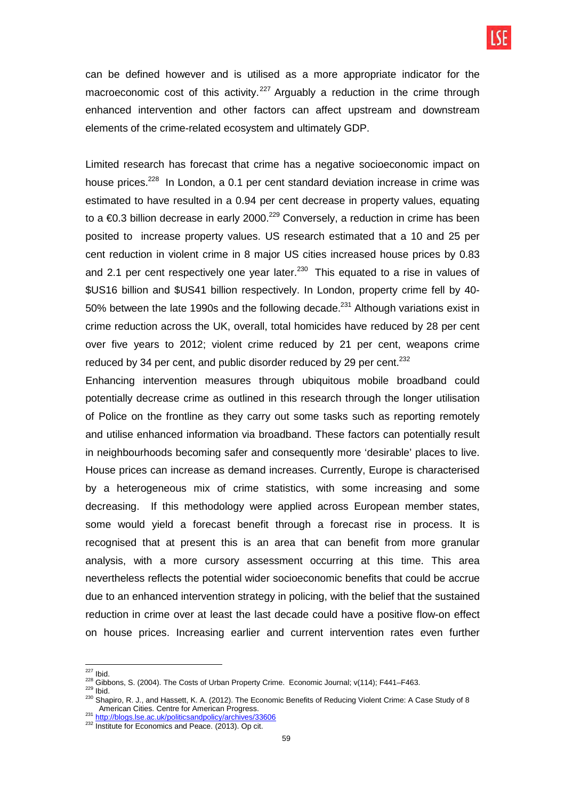can be defined however and is utilised as a more appropriate indicator for the macroeconomic cost of this activity.<sup>227</sup> Arguably a reduction in the crime through enhanced intervention and other factors can affect upstream and downstream elements of the crime-related ecosystem and ultimately GDP.

Limited research has forecast that crime has a negative socioeconomic impact on house prices.<sup>228</sup> In London, a 0.1 per cent standard deviation increase in crime was estimated to have resulted in a 0.94 per cent decrease in property values, equating to a  $\epsilon$ 0.3 billion decrease in early 2000.<sup>229</sup> Conversely, a reduction in crime has been posited to increase property values. US research estimated that a 10 and 25 per cent reduction in violent crime in 8 major US cities increased house prices by 0.83 and 2.1 per cent respectively one year later. $^{230}$  This equated to a rise in values of \$US16 billion and \$US41 billion respectively. In London, property crime fell by 40- 50% between the late 1990s and the following decade.<sup>231</sup> Although variations exist in crime reduction across the UK, overall, total homicides have reduced by 28 per cent over five years to 2012; violent crime reduced by 21 per cent, weapons crime reduced by 34 per cent, and public disorder reduced by 29 per cent. $^{232}$ 

Enhancing intervention measures through ubiquitous mobile broadband could potentially decrease crime as outlined in this research through the longer utilisation of Police on the frontline as they carry out some tasks such as reporting remotely and utilise enhanced information via broadband. These factors can potentially result in neighbourhoods becoming safer and consequently more 'desirable' places to live. House prices can increase as demand increases. Currently, Europe is characterised by a heterogeneous mix of crime statistics, with some increasing and some decreasing. If this methodology were applied across European member states, some would vield a forecast benefit through a forecast rise in process. It is recognised that at present this is an area that can benefit from more granular analysis, with a more cursory assessment occurring at this time. This area nevertheless reflects the potential wider socioeconomic benefits that could be accrue due to an enhanced intervention strategy in policing, with the belief that the sustained reduction in crime over at least the last decade could have a positive flow-on effect on house prices. Increasing earlier and current intervention rates even further

 $229$  Ibid.

 $\overline{\phantom{a}}$  $^{227}$  Ibid.

<sup>228</sup> Gibbons, S. (2004). The Costs of Urban Property Crime. Economic Journal; v(114); F441–F463.

<sup>230</sup> Shapiro, R. J., and Hassett, K. A. (2012). The Economic Benefits of Reducing Violent Crime: A Case Study of 8 American Cities. Centre for American Progress.<br><sup>231</sup> http://blogs.lse.ac.uk/politicsandpolicy/archives/33606

<sup>&</sup>lt;sup>232</sup> Institute for Economics and Peace. (2013). Op cit.